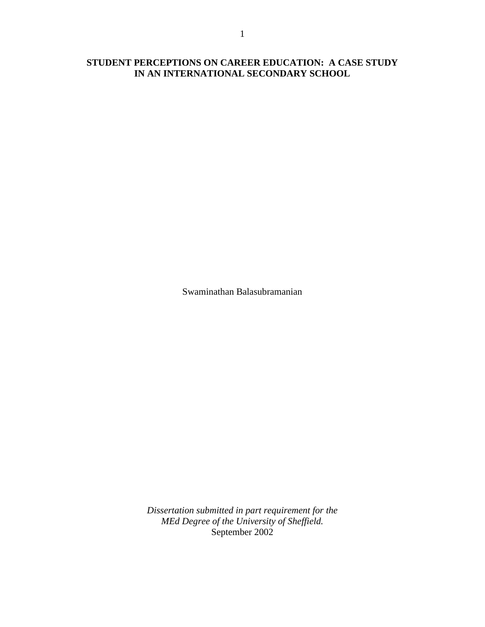# **STUDENT PERCEPTIONS ON CAREER EDUCATION: A CASE STUDY IN AN INTERNATIONAL SECONDARY SCHOOL**

Swaminathan Balasubramanian

*Dissertation submitted in part requirement for the MEd Degree of the University of Sheffield.*  September 2002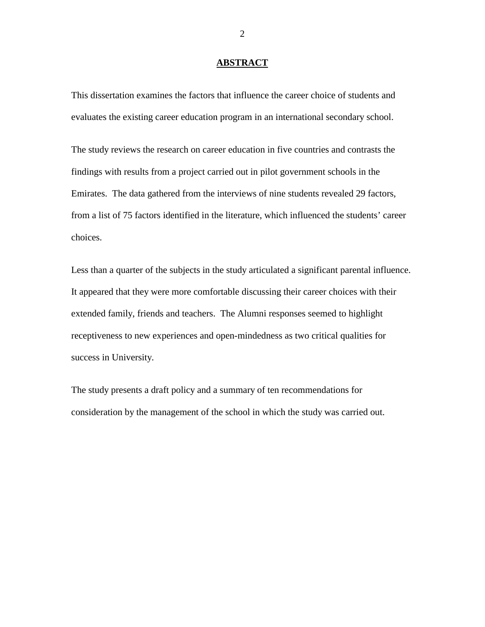#### **ABSTRACT**

This dissertation examines the factors that influence the career choice of students and evaluates the existing career education program in an international secondary school.

The study reviews the research on career education in five countries and contrasts the findings with results from a project carried out in pilot government schools in the Emirates. The data gathered from the interviews of nine students revealed 29 factors, from a list of 75 factors identified in the literature, which influenced the students' career choices.

Less than a quarter of the subjects in the study articulated a significant parental influence. It appeared that they were more comfortable discussing their career choices with their extended family, friends and teachers. The Alumni responses seemed to highlight receptiveness to new experiences and open-mindedness as two critical qualities for success in University.

The study presents a draft policy and a summary of ten recommendations for consideration by the management of the school in which the study was carried out.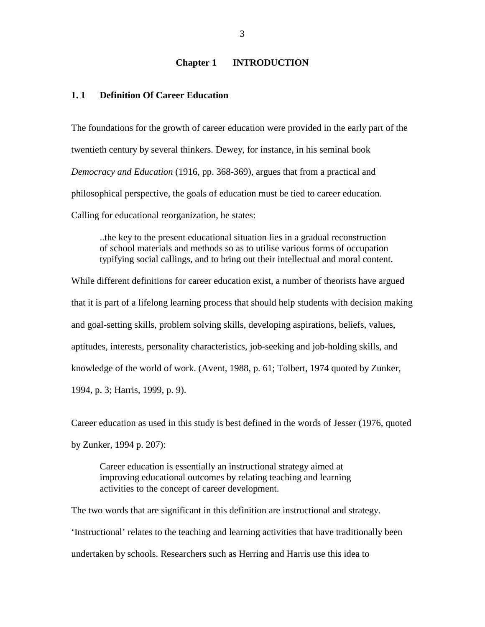#### **Chapter 1 INTRODUCTION**

# **1. 1 Definition Of Career Education**

The foundations for the growth of career education were provided in the early part of the twentieth century by several thinkers. Dewey, for instance, in his seminal book *Democracy and Education* (1916, pp. 368-369), argues that from a practical and philosophical perspective, the goals of education must be tied to career education. Calling for educational reorganization, he states:

..the key to the present educational situation lies in a gradual reconstruction of school materials and methods so as to utilise various forms of occupation typifying social callings, and to bring out their intellectual and moral content.

While different definitions for career education exist, a number of theorists have argued that it is part of a lifelong learning process that should help students with decision making and goal-setting skills, problem solving skills, developing aspirations, beliefs, values, aptitudes, interests, personality characteristics, job-seeking and job-holding skills, and knowledge of the world of work. (Avent, 1988, p. 61; Tolbert, 1974 quoted by Zunker, 1994, p. 3; Harris, 1999, p. 9).

Career education as used in this study is best defined in the words of Jesser (1976, quoted by Zunker, 1994 p. 207):

 Career education is essentially an instructional strategy aimed at improving educational outcomes by relating teaching and learning activities to the concept of career development.

The two words that are significant in this definition are instructional and strategy. 'Instructional' relates to the teaching and learning activities that have traditionally been undertaken by schools. Researchers such as Herring and Harris use this idea to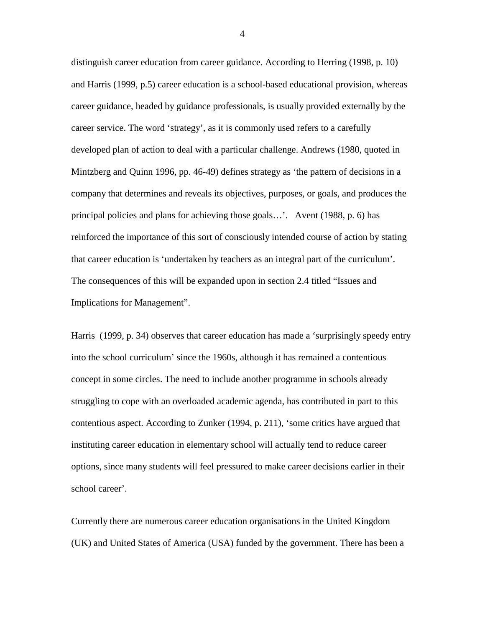distinguish career education from career guidance. According to Herring (1998, p. 10) and Harris (1999, p.5) career education is a school-based educational provision, whereas career guidance, headed by guidance professionals, is usually provided externally by the career service. The word 'strategy', as it is commonly used refers to a carefully developed plan of action to deal with a particular challenge. Andrews (1980, quoted in Mintzberg and Quinn 1996, pp. 46-49) defines strategy as 'the pattern of decisions in a company that determines and reveals its objectives, purposes, or goals, and produces the principal policies and plans for achieving those goals…'. Avent (1988, p. 6) has reinforced the importance of this sort of consciously intended course of action by stating that career education is 'undertaken by teachers as an integral part of the curriculum'. The consequences of this will be expanded upon in section 2.4 titled "Issues and Implications for Management".

Harris (1999, p. 34) observes that career education has made a 'surprisingly speedy entry into the school curriculum' since the 1960s, although it has remained a contentious concept in some circles. The need to include another programme in schools already struggling to cope with an overloaded academic agenda, has contributed in part to this contentious aspect. According to Zunker (1994, p. 211), 'some critics have argued that instituting career education in elementary school will actually tend to reduce career options, since many students will feel pressured to make career decisions earlier in their school career'.

Currently there are numerous career education organisations in the United Kingdom (UK) and United States of America (USA) funded by the government. There has been a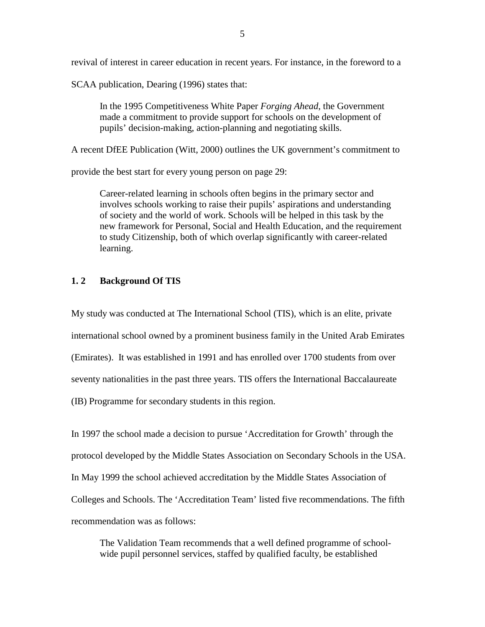revival of interest in career education in recent years. For instance, in the foreword to a

SCAA publication, Dearing (1996) states that:

In the 1995 Competitiveness White Paper *Forging Ahead*, the Government made a commitment to provide support for schools on the development of pupils' decision-making, action-planning and negotiating skills.

A recent DfEE Publication (Witt, 2000) outlines the UK government's commitment to

provide the best start for every young person on page 29:

 Career-related learning in schools often begins in the primary sector and involves schools working to raise their pupils' aspirations and understanding of society and the world of work. Schools will be helped in this task by the new framework for Personal, Social and Health Education, and the requirement to study Citizenship, both of which overlap significantly with career-related learning.

#### **1. 2 Background Of TIS**

My study was conducted at The International School (TIS), which is an elite, private international school owned by a prominent business family in the United Arab Emirates (Emirates). It was established in 1991 and has enrolled over 1700 students from over seventy nationalities in the past three years. TIS offers the International Baccalaureate (IB) Programme for secondary students in this region.

In 1997 the school made a decision to pursue 'Accreditation for Growth' through the protocol developed by the Middle States Association on Secondary Schools in the USA. In May 1999 the school achieved accreditation by the Middle States Association of Colleges and Schools. The 'Accreditation Team' listed five recommendations. The fifth recommendation was as follows:

 The Validation Team recommends that a well defined programme of school wide pupil personnel services, staffed by qualified faculty, be established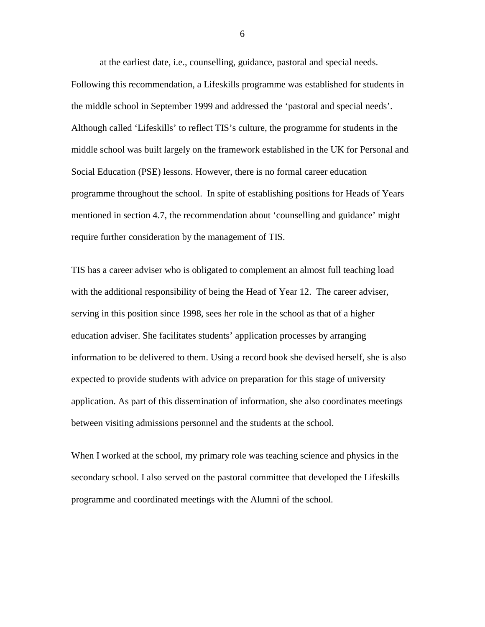at the earliest date, i.e., counselling, guidance, pastoral and special needs. Following this recommendation, a Lifeskills programme was established for students in the middle school in September 1999 and addressed the 'pastoral and special needs'. Although called 'Lifeskills' to reflect TIS's culture, the programme for students in the middle school was built largely on the framework established in the UK for Personal and Social Education (PSE) lessons. However, there is no formal career education programme throughout the school. In spite of establishing positions for Heads of Years mentioned in section 4.7, the recommendation about 'counselling and guidance' might require further consideration by the management of TIS.

TIS has a career adviser who is obligated to complement an almost full teaching load with the additional responsibility of being the Head of Year 12. The career adviser, serving in this position since 1998, sees her role in the school as that of a higher education adviser. She facilitates students' application processes by arranging information to be delivered to them. Using a record book she devised herself, she is also expected to provide students with advice on preparation for this stage of university application. As part of this dissemination of information, she also coordinates meetings between visiting admissions personnel and the students at the school.

When I worked at the school, my primary role was teaching science and physics in the secondary school. I also served on the pastoral committee that developed the Lifeskills programme and coordinated meetings with the Alumni of the school.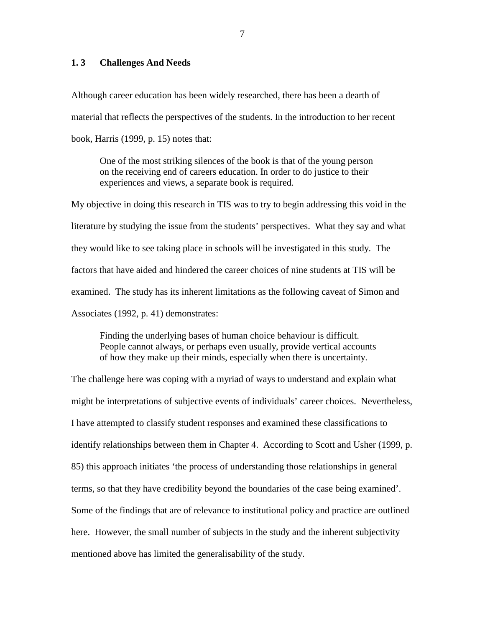# **1. 3 Challenges And Needs**

Although career education has been widely researched, there has been a dearth of material that reflects the perspectives of the students. In the introduction to her recent book, Harris (1999, p. 15) notes that:

One of the most striking silences of the book is that of the young person on the receiving end of careers education. In order to do justice to their experiences and views, a separate book is required.

My objective in doing this research in TIS was to try to begin addressing this void in the literature by studying the issue from the students' perspectives. What they say and what they would like to see taking place in schools will be investigated in this study. The factors that have aided and hindered the career choices of nine students at TIS will be examined. The study has its inherent limitations as the following caveat of Simon and Associates (1992, p. 41) demonstrates:

Finding the underlying bases of human choice behaviour is difficult. People cannot always, or perhaps even usually, provide vertical accounts of how they make up their minds, especially when there is uncertainty.

The challenge here was coping with a myriad of ways to understand and explain what might be interpretations of subjective events of individuals' career choices. Nevertheless, I have attempted to classify student responses and examined these classifications to identify relationships between them in Chapter 4. According to Scott and Usher (1999, p. 85) this approach initiates 'the process of understanding those relationships in general terms, so that they have credibility beyond the boundaries of the case being examined'. Some of the findings that are of relevance to institutional policy and practice are outlined here. However, the small number of subjects in the study and the inherent subjectivity mentioned above has limited the generalisability of the study.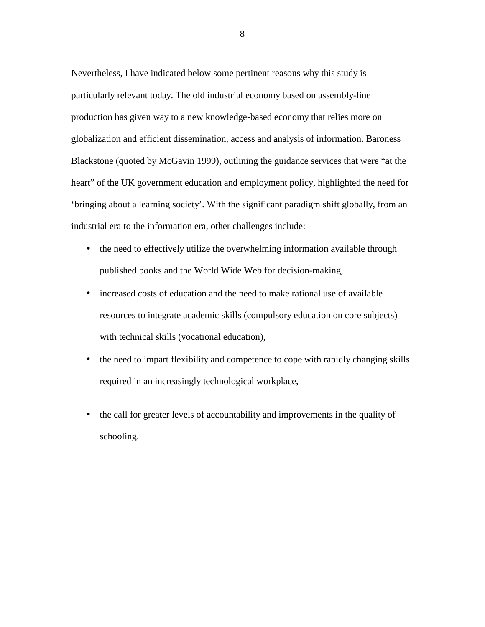Nevertheless, I have indicated below some pertinent reasons why this study is particularly relevant today. The old industrial economy based on assembly-line production has given way to a new knowledge-based economy that relies more on globalization and efficient dissemination, access and analysis of information. Baroness Blackstone (quoted by McGavin 1999), outlining the guidance services that were "at the heart" of the UK government education and employment policy, highlighted the need for 'bringing about a learning society'. With the significant paradigm shift globally, from an industrial era to the information era, other challenges include:

- the need to effectively utilize the overwhelming information available through published books and the World Wide Web for decision-making,
- increased costs of education and the need to make rational use of available resources to integrate academic skills (compulsory education on core subjects) with technical skills (vocational education),
- the need to impart flexibility and competence to cope with rapidly changing skills required in an increasingly technological workplace,
- the call for greater levels of accountability and improvements in the quality of schooling.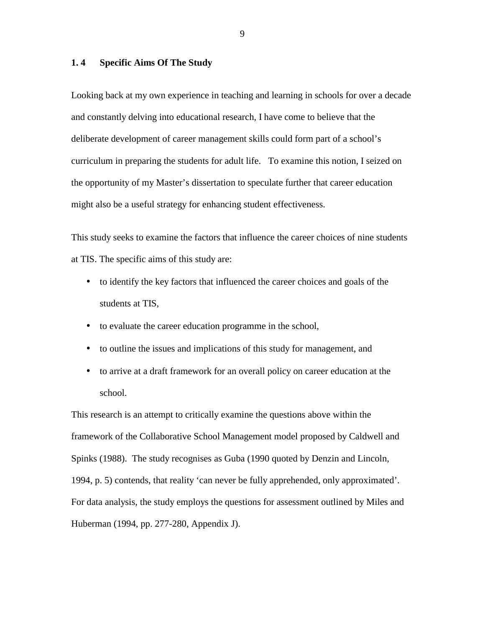#### **1. 4 Specific Aims Of The Study**

Looking back at my own experience in teaching and learning in schools for over a decade and constantly delving into educational research, I have come to believe that the deliberate development of career management skills could form part of a school's curriculum in preparing the students for adult life. To examine this notion, I seized on the opportunity of my Master's dissertation to speculate further that career education might also be a useful strategy for enhancing student effectiveness.

This study seeks to examine the factors that influence the career choices of nine students at TIS. The specific aims of this study are:

- to identify the key factors that influenced the career choices and goals of the students at TIS,
- to evaluate the career education programme in the school,
- to outline the issues and implications of this study for management, and
- to arrive at a draft framework for an overall policy on career education at the school.

This research is an attempt to critically examine the questions above within the framework of the Collaborative School Management model proposed by Caldwell and Spinks (1988). The study recognises as Guba (1990 quoted by Denzin and Lincoln, 1994, p. 5) contends, that reality 'can never be fully apprehended, only approximated'. For data analysis, the study employs the questions for assessment outlined by Miles and Huberman (1994, pp. 277-280, Appendix J).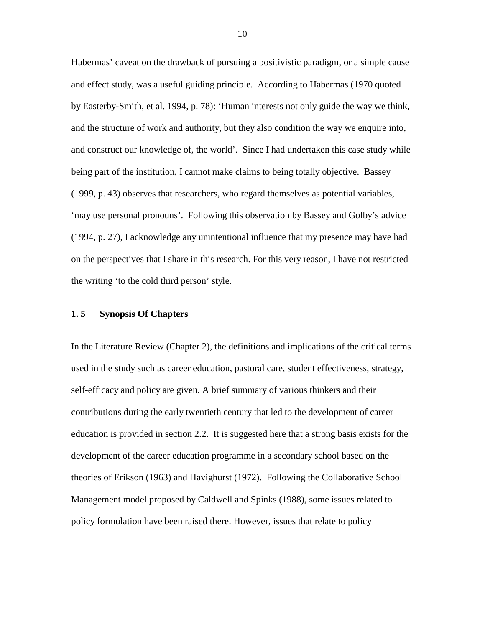Habermas' caveat on the drawback of pursuing a positivistic paradigm, or a simple cause and effect study, was a useful guiding principle. According to Habermas (1970 quoted by Easterby-Smith, et al. 1994, p. 78): 'Human interests not only guide the way we think, and the structure of work and authority, but they also condition the way we enquire into, and construct our knowledge of, the world'. Since I had undertaken this case study while being part of the institution, I cannot make claims to being totally objective. Bassey (1999, p. 43) observes that researchers, who regard themselves as potential variables, 'may use personal pronouns'. Following this observation by Bassey and Golby's advice (1994, p. 27), I acknowledge any unintentional influence that my presence may have had on the perspectives that I share in this research. For this very reason, I have not restricted the writing 'to the cold third person' style.

#### **1. 5 Synopsis Of Chapters**

In the Literature Review (Chapter 2), the definitions and implications of the critical terms used in the study such as career education, pastoral care, student effectiveness, strategy, self-efficacy and policy are given. A brief summary of various thinkers and their contributions during the early twentieth century that led to the development of career education is provided in section 2.2. It is suggested here that a strong basis exists for the development of the career education programme in a secondary school based on the theories of Erikson (1963) and Havighurst (1972). Following the Collaborative School Management model proposed by Caldwell and Spinks (1988), some issues related to policy formulation have been raised there. However, issues that relate to policy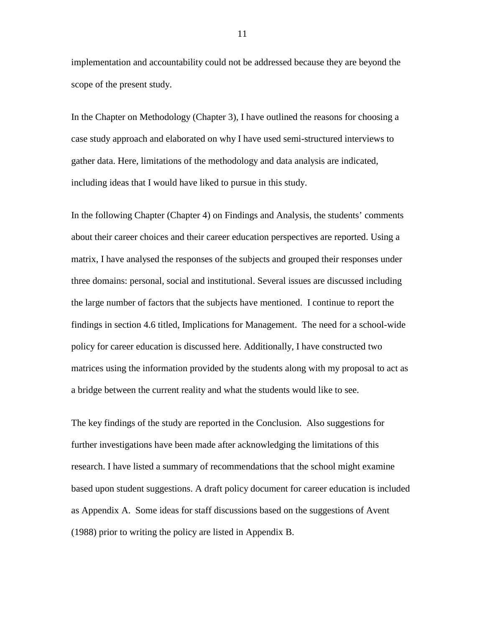implementation and accountability could not be addressed because they are beyond the scope of the present study.

In the Chapter on Methodology (Chapter 3), I have outlined the reasons for choosing a case study approach and elaborated on why I have used semi-structured interviews to gather data. Here, limitations of the methodology and data analysis are indicated, including ideas that I would have liked to pursue in this study.

In the following Chapter (Chapter 4) on Findings and Analysis, the students' comments about their career choices and their career education perspectives are reported. Using a matrix, I have analysed the responses of the subjects and grouped their responses under three domains: personal, social and institutional. Several issues are discussed including the large number of factors that the subjects have mentioned. I continue to report the findings in section 4.6 titled, Implications for Management. The need for a school-wide policy for career education is discussed here. Additionally, I have constructed two matrices using the information provided by the students along with my proposal to act as a bridge between the current reality and what the students would like to see.

The key findings of the study are reported in the Conclusion. Also suggestions for further investigations have been made after acknowledging the limitations of this research. I have listed a summary of recommendations that the school might examine based upon student suggestions. A draft policy document for career education is included as Appendix A. Some ideas for staff discussions based on the suggestions of Avent (1988) prior to writing the policy are listed in Appendix B.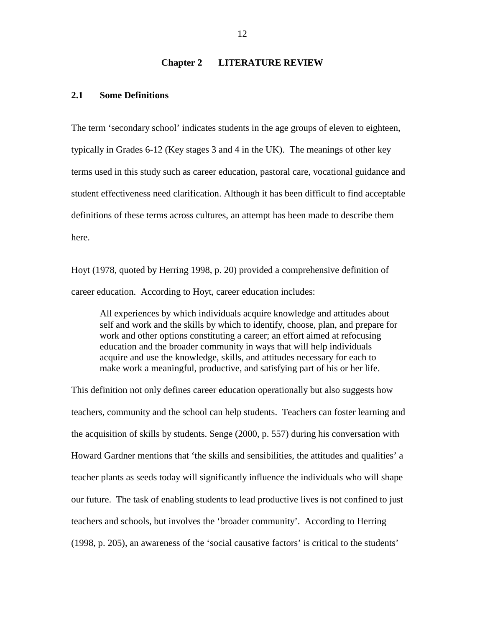#### **Chapter 2 LITERATURE REVIEW**

#### **2.1 Some Definitions**

The term 'secondary school' indicates students in the age groups of eleven to eighteen, typically in Grades 6-12 (Key stages 3 and 4 in the UK). The meanings of other key terms used in this study such as career education, pastoral care, vocational guidance and student effectiveness need clarification. Although it has been difficult to find acceptable definitions of these terms across cultures, an attempt has been made to describe them here.

Hoyt (1978, quoted by Herring 1998, p. 20) provided a comprehensive definition of career education. According to Hoyt, career education includes:

All experiences by which individuals acquire knowledge and attitudes about self and work and the skills by which to identify, choose, plan, and prepare for work and other options constituting a career; an effort aimed at refocusing education and the broader community in ways that will help individuals acquire and use the knowledge, skills, and attitudes necessary for each to make work a meaningful, productive, and satisfying part of his or her life.

This definition not only defines career education operationally but also suggests how teachers, community and the school can help students. Teachers can foster learning and the acquisition of skills by students. Senge (2000, p. 557) during his conversation with Howard Gardner mentions that 'the skills and sensibilities, the attitudes and qualities' a teacher plants as seeds today will significantly influence the individuals who will shape our future. The task of enabling students to lead productive lives is not confined to just teachers and schools, but involves the 'broader community'. According to Herring (1998, p. 205), an awareness of the 'social causative factors' is critical to the students'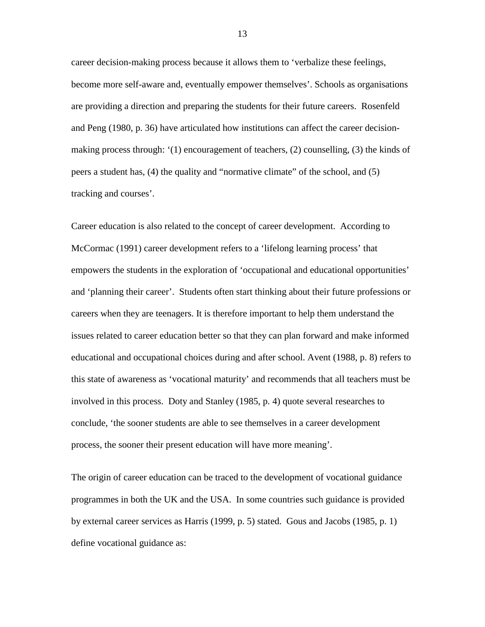career decision-making process because it allows them to 'verbalize these feelings, become more self-aware and, eventually empower themselves'. Schools as organisations are providing a direction and preparing the students for their future careers. Rosenfeld and Peng (1980, p. 36) have articulated how institutions can affect the career decisionmaking process through: '(1) encouragement of teachers, (2) counselling, (3) the kinds of peers a student has, (4) the quality and "normative climate" of the school, and (5) tracking and courses'.

Career education is also related to the concept of career development. According to McCormac (1991) career development refers to a 'lifelong learning process' that empowers the students in the exploration of 'occupational and educational opportunities' and 'planning their career'. Students often start thinking about their future professions or careers when they are teenagers. It is therefore important to help them understand the issues related to career education better so that they can plan forward and make informed educational and occupational choices during and after school. Avent (1988, p. 8) refers to this state of awareness as 'vocational maturity' and recommends that all teachers must be involved in this process. Doty and Stanley (1985, p. 4) quote several researches to conclude, 'the sooner students are able to see themselves in a career development process, the sooner their present education will have more meaning'.

The origin of career education can be traced to the development of vocational guidance programmes in both the UK and the USA. In some countries such guidance is provided by external career services as Harris (1999, p. 5) stated. Gous and Jacobs (1985, p. 1) define vocational guidance as: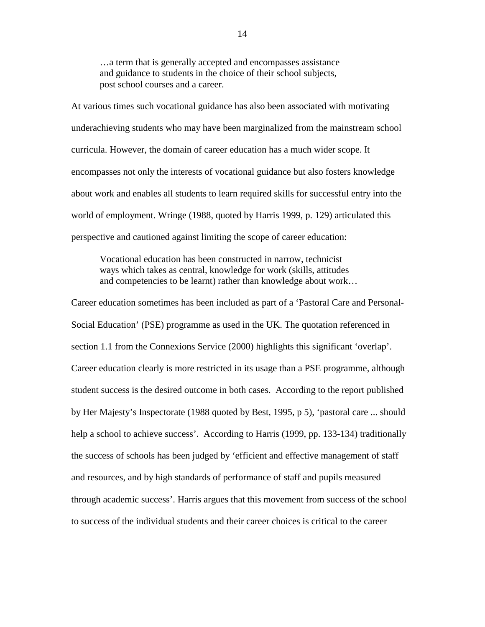…a term that is generally accepted and encompasses assistance and guidance to students in the choice of their school subjects, post school courses and a career.

At various times such vocational guidance has also been associated with motivating underachieving students who may have been marginalized from the mainstream school curricula. However, the domain of career education has a much wider scope. It encompasses not only the interests of vocational guidance but also fosters knowledge about work and enables all students to learn required skills for successful entry into the world of employment. Wringe (1988, quoted by Harris 1999, p. 129) articulated this perspective and cautioned against limiting the scope of career education:

 Vocational education has been constructed in narrow, technicist ways which takes as central, knowledge for work (skills, attitudes and competencies to be learnt) rather than knowledge about work…

Career education sometimes has been included as part of a 'Pastoral Care and Personal-Social Education' (PSE) programme as used in the UK. The quotation referenced in section 1.1 from the Connexions Service (2000) highlights this significant 'overlap'. Career education clearly is more restricted in its usage than a PSE programme, although student success is the desired outcome in both cases. According to the report published by Her Majesty's Inspectorate (1988 quoted by Best, 1995, p 5), 'pastoral care ... should help a school to achieve success'. According to Harris (1999, pp. 133-134) traditionally the success of schools has been judged by 'efficient and effective management of staff and resources, and by high standards of performance of staff and pupils measured through academic success'. Harris argues that this movement from success of the school to success of the individual students and their career choices is critical to the career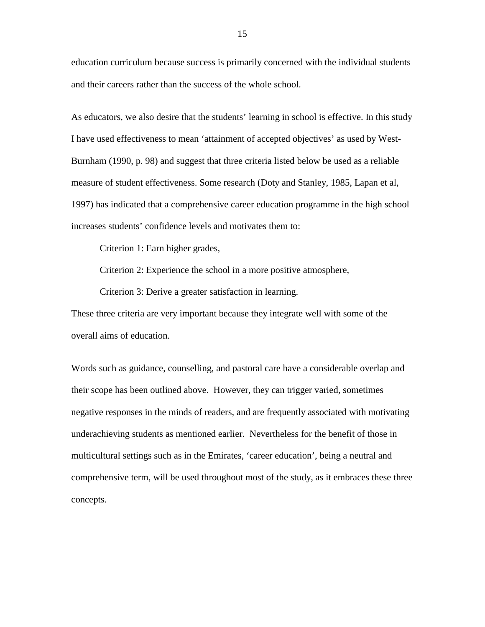education curriculum because success is primarily concerned with the individual students and their careers rather than the success of the whole school.

As educators, we also desire that the students' learning in school is effective. In this study I have used effectiveness to mean 'attainment of accepted objectives' as used by West-Burnham (1990, p. 98) and suggest that three criteria listed below be used as a reliable measure of student effectiveness. Some research (Doty and Stanley, 1985, Lapan et al, 1997) has indicated that a comprehensive career education programme in the high school increases students' confidence levels and motivates them to:

Criterion 1: Earn higher grades,

Criterion 2: Experience the school in a more positive atmosphere,

Criterion 3: Derive a greater satisfaction in learning.

These three criteria are very important because they integrate well with some of the overall aims of education.

Words such as guidance, counselling, and pastoral care have a considerable overlap and their scope has been outlined above. However, they can trigger varied, sometimes negative responses in the minds of readers, and are frequently associated with motivating underachieving students as mentioned earlier. Nevertheless for the benefit of those in multicultural settings such as in the Emirates, 'career education', being a neutral and comprehensive term, will be used throughout most of the study, as it embraces these three concepts.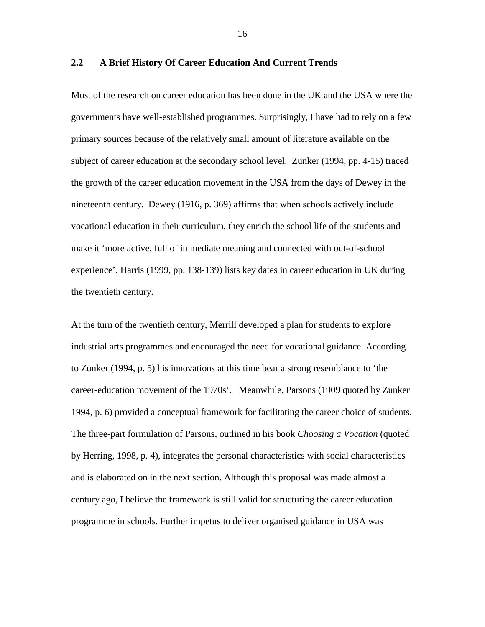#### **2.2 A Brief History Of Career Education And Current Trends**

Most of the research on career education has been done in the UK and the USA where the governments have well-established programmes. Surprisingly, I have had to rely on a few primary sources because of the relatively small amount of literature available on the subject of career education at the secondary school level. Zunker (1994, pp. 4-15) traced the growth of the career education movement in the USA from the days of Dewey in the nineteenth century. Dewey (1916, p. 369) affirms that when schools actively include vocational education in their curriculum, they enrich the school life of the students and make it 'more active, full of immediate meaning and connected with out-of-school experience'. Harris (1999, pp. 138-139) lists key dates in career education in UK during the twentieth century.

At the turn of the twentieth century, Merrill developed a plan for students to explore industrial arts programmes and encouraged the need for vocational guidance. According to Zunker (1994, p. 5) his innovations at this time bear a strong resemblance to 'the career-education movement of the 1970s'. Meanwhile, Parsons (1909 quoted by Zunker 1994, p. 6) provided a conceptual framework for facilitating the career choice of students. The three-part formulation of Parsons, outlined in his book *Choosing a Vocation* (quoted by Herring, 1998, p. 4), integrates the personal characteristics with social characteristics and is elaborated on in the next section. Although this proposal was made almost a century ago, I believe the framework is still valid for structuring the career education programme in schools. Further impetus to deliver organised guidance in USA was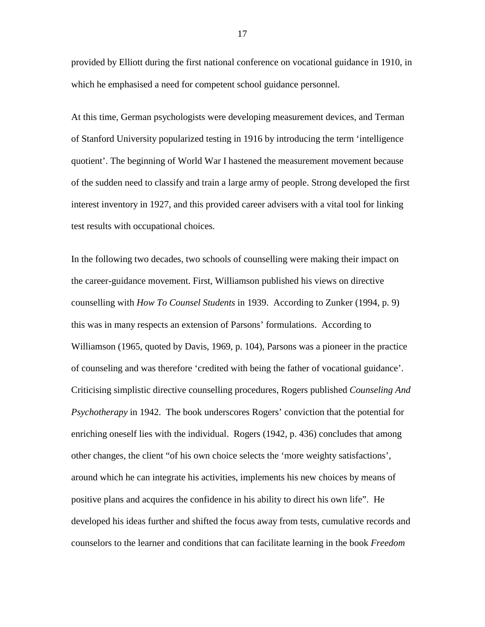provided by Elliott during the first national conference on vocational guidance in 1910, in which he emphasised a need for competent school guidance personnel.

At this time, German psychologists were developing measurement devices, and Terman of Stanford University popularized testing in 1916 by introducing the term 'intelligence quotient'. The beginning of World War I hastened the measurement movement because of the sudden need to classify and train a large army of people. Strong developed the first interest inventory in 1927, and this provided career advisers with a vital tool for linking test results with occupational choices.

In the following two decades, two schools of counselling were making their impact on the career-guidance movement. First, Williamson published his views on directive counselling with *How To Counsel Students* in 1939. According to Zunker (1994, p. 9) this was in many respects an extension of Parsons' formulations. According to Williamson (1965, quoted by Davis, 1969, p. 104), Parsons was a pioneer in the practice of counseling and was therefore 'credited with being the father of vocational guidance'. Criticising simplistic directive counselling procedures, Rogers published *Counseling And Psychotherapy* in 1942. The book underscores Rogers' conviction that the potential for enriching oneself lies with the individual. Rogers (1942, p. 436) concludes that among other changes, the client "of his own choice selects the 'more weighty satisfactions', around which he can integrate his activities, implements his new choices by means of positive plans and acquires the confidence in his ability to direct his own life". He developed his ideas further and shifted the focus away from tests, cumulative records and counselors to the learner and conditions that can facilitate learning in the book *Freedom*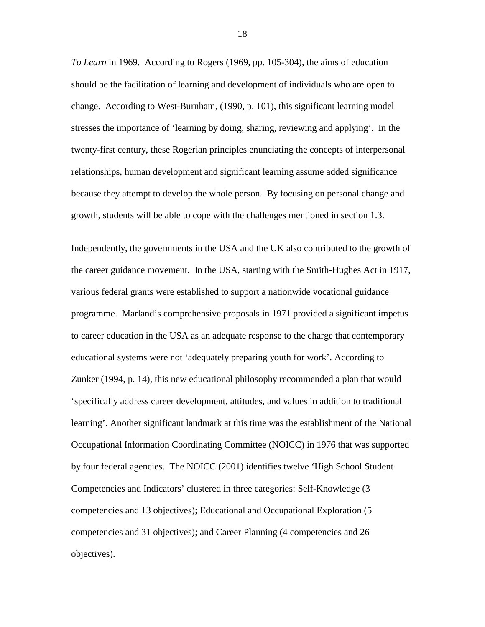*To Learn* in 1969. According to Rogers (1969, pp. 105-304), the aims of education should be the facilitation of learning and development of individuals who are open to change. According to West-Burnham, (1990, p. 101), this significant learning model stresses the importance of 'learning by doing, sharing, reviewing and applying'. In the twenty-first century, these Rogerian principles enunciating the concepts of interpersonal relationships, human development and significant learning assume added significance because they attempt to develop the whole person. By focusing on personal change and growth, students will be able to cope with the challenges mentioned in section 1.3.

Independently, the governments in the USA and the UK also contributed to the growth of the career guidance movement. In the USA, starting with the Smith-Hughes Act in 1917, various federal grants were established to support a nationwide vocational guidance programme. Marland's comprehensive proposals in 1971 provided a significant impetus to career education in the USA as an adequate response to the charge that contemporary educational systems were not 'adequately preparing youth for work'. According to Zunker (1994, p. 14), this new educational philosophy recommended a plan that would 'specifically address career development, attitudes, and values in addition to traditional learning'. Another significant landmark at this time was the establishment of the National Occupational Information Coordinating Committee (NOICC) in 1976 that was supported by four federal agencies. The NOICC (2001) identifies twelve 'High School Student Competencies and Indicators' clustered in three categories: Self-Knowledge (3 competencies and 13 objectives); Educational and Occupational Exploration (5 competencies and 31 objectives); and Career Planning (4 competencies and 26 objectives).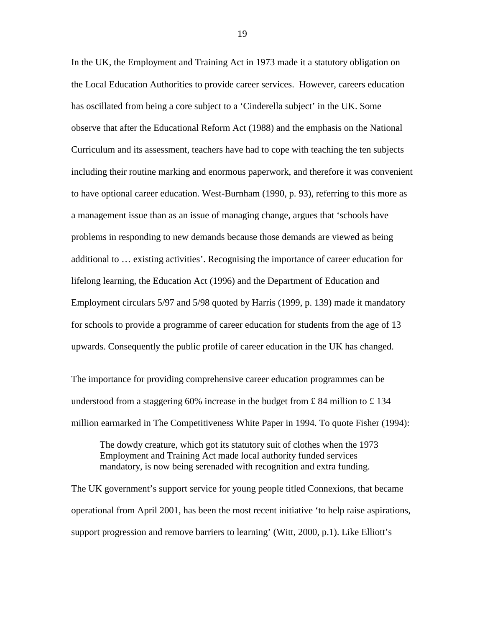In the UK, the Employment and Training Act in 1973 made it a statutory obligation on the Local Education Authorities to provide career services. However, careers education has oscillated from being a core subject to a 'Cinderella subject' in the UK. Some observe that after the Educational Reform Act (1988) and the emphasis on the National Curriculum and its assessment, teachers have had to cope with teaching the ten subjects including their routine marking and enormous paperwork, and therefore it was convenient to have optional career education. West-Burnham (1990, p. 93), referring to this more as a management issue than as an issue of managing change, argues that 'schools have problems in responding to new demands because those demands are viewed as being additional to … existing activities'. Recognising the importance of career education for lifelong learning, the Education Act (1996) and the Department of Education and Employment circulars 5/97 and 5/98 quoted by Harris (1999, p. 139) made it mandatory for schools to provide a programme of career education for students from the age of 13 upwards. Consequently the public profile of career education in the UK has changed.

The importance for providing comprehensive career education programmes can be understood from a staggering 60% increase in the budget from £84 million to £134 million earmarked in The Competitiveness White Paper in 1994. To quote Fisher (1994):

The dowdy creature, which got its statutory suit of clothes when the 1973 Employment and Training Act made local authority funded services mandatory, is now being serenaded with recognition and extra funding.

The UK government's support service for young people titled Connexions, that became operational from April 2001, has been the most recent initiative 'to help raise aspirations, support progression and remove barriers to learning' (Witt, 2000, p.1). Like Elliott's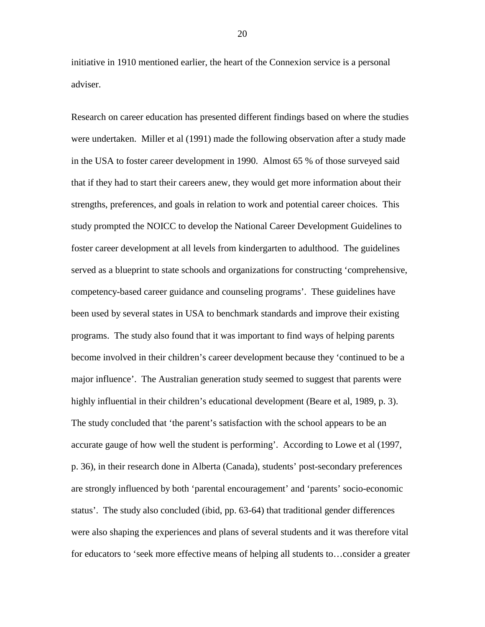initiative in 1910 mentioned earlier, the heart of the Connexion service is a personal adviser.

Research on career education has presented different findings based on where the studies were undertaken. Miller et al (1991) made the following observation after a study made in the USA to foster career development in 1990. Almost 65 % of those surveyed said that if they had to start their careers anew, they would get more information about their strengths, preferences, and goals in relation to work and potential career choices. This study prompted the NOICC to develop the National Career Development Guidelines to foster career development at all levels from kindergarten to adulthood. The guidelines served as a blueprint to state schools and organizations for constructing 'comprehensive, competency-based career guidance and counseling programs'. These guidelines have been used by several states in USA to benchmark standards and improve their existing programs. The study also found that it was important to find ways of helping parents become involved in their children's career development because they 'continued to be a major influence'. The Australian generation study seemed to suggest that parents were highly influential in their children's educational development (Beare et al, 1989, p. 3). The study concluded that 'the parent's satisfaction with the school appears to be an accurate gauge of how well the student is performing'. According to Lowe et al (1997, p. 36), in their research done in Alberta (Canada), students' post-secondary preferences are strongly influenced by both 'parental encouragement' and 'parents' socio-economic status'. The study also concluded (ibid, pp. 63-64) that traditional gender differences were also shaping the experiences and plans of several students and it was therefore vital for educators to 'seek more effective means of helping all students to…consider a greater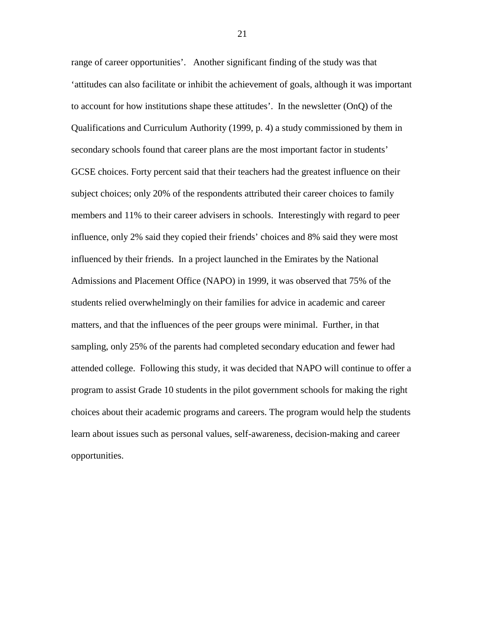range of career opportunities'. Another significant finding of the study was that 'attitudes can also facilitate or inhibit the achievement of goals, although it was important to account for how institutions shape these attitudes'. In the newsletter (OnQ) of the Qualifications and Curriculum Authority (1999, p. 4) a study commissioned by them in secondary schools found that career plans are the most important factor in students' GCSE choices. Forty percent said that their teachers had the greatest influence on their subject choices; only 20% of the respondents attributed their career choices to family members and 11% to their career advisers in schools. Interestingly with regard to peer influence, only 2% said they copied their friends' choices and 8% said they were most influenced by their friends. In a project launched in the Emirates by the National Admissions and Placement Office (NAPO) in 1999, it was observed that 75% of the students relied overwhelmingly on their families for advice in academic and career matters, and that the influences of the peer groups were minimal. Further, in that sampling, only 25% of the parents had completed secondary education and fewer had attended college. Following this study, it was decided that NAPO will continue to offer a program to assist Grade 10 students in the pilot government schools for making the right choices about their academic programs and careers. The program would help the students learn about issues such as personal values, self-awareness, decision-making and career opportunities.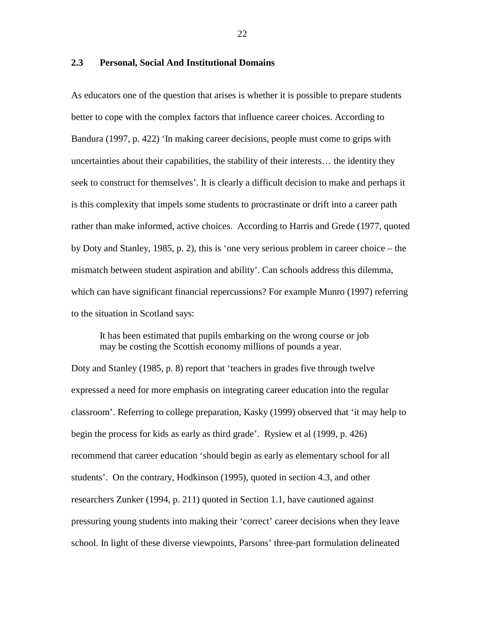#### **2.3 Personal, Social And Institutional Domains**

As educators one of the question that arises is whether it is possible to prepare students better to cope with the complex factors that influence career choices. According to Bandura (1997, p. 422) 'In making career decisions, people must come to grips with uncertainties about their capabilities, the stability of their interests… the identity they seek to construct for themselves'. It is clearly a difficult decision to make and perhaps it is this complexity that impels some students to procrastinate or drift into a career path rather than make informed, active choices. According to Harris and Grede (1977, quoted by Doty and Stanley, 1985, p. 2), this is 'one very serious problem in career choice – the mismatch between student aspiration and ability'. Can schools address this dilemma, which can have significant financial repercussions? For example Munro (1997) referring to the situation in Scotland says:

 It has been estimated that pupils embarking on the wrong course or job may be costing the Scottish economy millions of pounds a year.

Doty and Stanley (1985, p. 8) report that 'teachers in grades five through twelve expressed a need for more emphasis on integrating career education into the regular classroom'. Referring to college preparation, Kasky (1999) observed that 'it may help to begin the process for kids as early as third grade'. Rysiew et al (1999, p. 426) recommend that career education 'should begin as early as elementary school for all students'. On the contrary, Hodkinson (1995), quoted in section 4.3, and other researchers Zunker (1994, p. 211) quoted in Section 1.1, have cautioned against pressuring young students into making their 'correct' career decisions when they leave school. In light of these diverse viewpoints, Parsons' three-part formulation delineated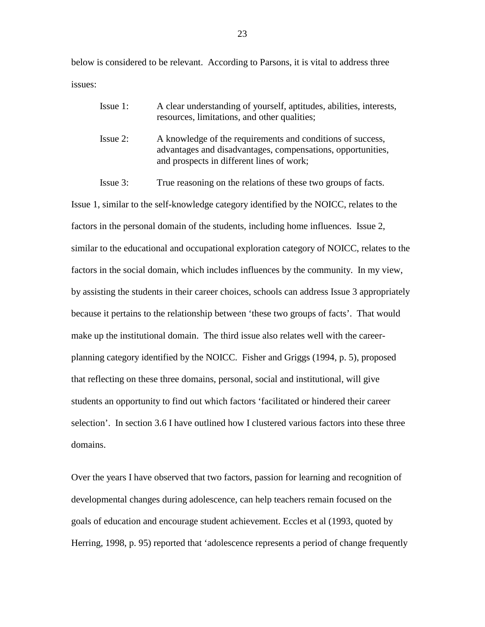below is considered to be relevant. According to Parsons, it is vital to address three issues:

| $I$ ssue 1: | A clear understanding of yourself, aptitudes, abilities, interests,<br>resources, limitations, and other qualities;       |
|-------------|---------------------------------------------------------------------------------------------------------------------------|
| Issue 2:    | A knowledge of the requirements and conditions of success,<br>advantages and disadvantages, compensations, opportunities, |
|             | and prospects in different lines of work;                                                                                 |

Issue 3: True reasoning on the relations of these two groups of facts.

Issue 1, similar to the self-knowledge category identified by the NOICC, relates to the factors in the personal domain of the students, including home influences. Issue 2, similar to the educational and occupational exploration category of NOICC, relates to the factors in the social domain, which includes influences by the community. In my view, by assisting the students in their career choices, schools can address Issue 3 appropriately because it pertains to the relationship between 'these two groups of facts'. That would make up the institutional domain. The third issue also relates well with the careerplanning category identified by the NOICC. Fisher and Griggs (1994, p. 5), proposed that reflecting on these three domains, personal, social and institutional, will give students an opportunity to find out which factors 'facilitated or hindered their career selection'. In section 3.6 I have outlined how I clustered various factors into these three domains.

Over the years I have observed that two factors, passion for learning and recognition of developmental changes during adolescence, can help teachers remain focused on the goals of education and encourage student achievement. Eccles et al (1993, quoted by Herring, 1998, p. 95) reported that 'adolescence represents a period of change frequently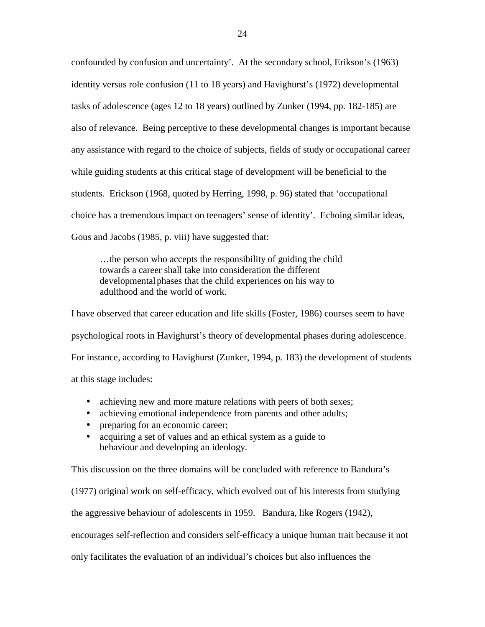confounded by confusion and uncertainty'. At the secondary school, Erikson's (1963) identity versus role confusion (11 to 18 years) and Havighurst's (1972) developmental tasks of adolescence (ages 12 to 18 years) outlined by Zunker (1994, pp. 182-185) are also of relevance. Being perceptive to these developmental changes is important because any assistance with regard to the choice of subjects, fields of study or occupational career while guiding students at this critical stage of development will be beneficial to the students. Erickson (1968, quoted by Herring, 1998, p. 96) stated that 'occupational choice has a tremendous impact on teenagers' sense of identity'. Echoing similar ideas, Gous and Jacobs (1985, p. viii) have suggested that:

 …the person who accepts the responsibility of guiding the child towards a career shall take into consideration the different developmental phases that the child experiences on his way to adulthood and the world of work.

I have observed that career education and life skills (Foster, 1986) courses seem to have psychological roots in Havighurst's theory of developmental phases during adolescence. For instance, according to Havighurst (Zunker, 1994, p. 183) the development of students at this stage includes:

- achieving new and more mature relations with peers of both sexes;
- achieving emotional independence from parents and other adults;
- preparing for an economic career;
- acquiring a set of values and an ethical system as a guide to behaviour and developing an ideology.

This discussion on the three domains will be concluded with reference to Bandura's (1977) original work on self-efficacy, which evolved out of his interests from studying the aggressive behaviour of adolescents in 1959. Bandura, like Rogers (1942), encourages self-reflection and considers self-efficacy a unique human trait because it not only facilitates the evaluation of an individual's choices but also influences the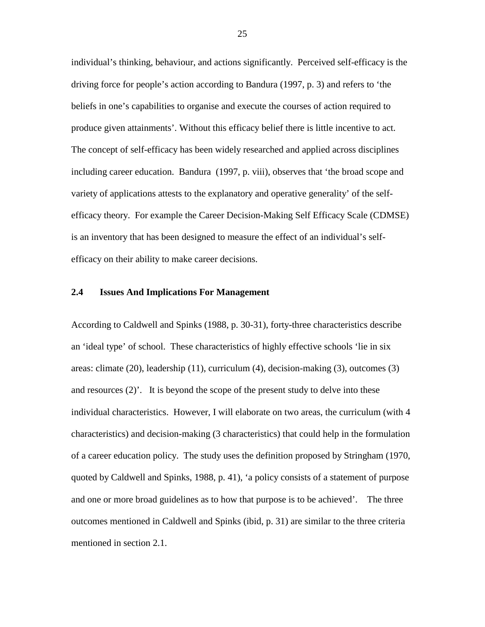individual's thinking, behaviour, and actions significantly. Perceived self-efficacy is the driving force for people's action according to Bandura (1997, p. 3) and refers to 'the beliefs in one's capabilities to organise and execute the courses of action required to produce given attainments'. Without this efficacy belief there is little incentive to act. The concept of self-efficacy has been widely researched and applied across disciplines including career education. Bandura (1997, p. viii), observes that 'the broad scope and variety of applications attests to the explanatory and operative generality' of the selfefficacy theory. For example the Career Decision-Making Self Efficacy Scale (CDMSE) is an inventory that has been designed to measure the effect of an individual's selfefficacy on their ability to make career decisions.

### **2.4 Issues And Implications For Management**

According to Caldwell and Spinks (1988, p. 30-31), forty-three characteristics describe an 'ideal type' of school. These characteristics of highly effective schools 'lie in six areas: climate (20), leadership (11), curriculum (4), decision-making (3), outcomes (3) and resources  $(2)$ . It is beyond the scope of the present study to delve into these individual characteristics. However, I will elaborate on two areas, the curriculum (with 4 characteristics) and decision-making (3 characteristics) that could help in the formulation of a career education policy. The study uses the definition proposed by Stringham (1970, quoted by Caldwell and Spinks, 1988, p. 41), 'a policy consists of a statement of purpose and one or more broad guidelines as to how that purpose is to be achieved'. The three outcomes mentioned in Caldwell and Spinks (ibid, p. 31) are similar to the three criteria mentioned in section 2.1.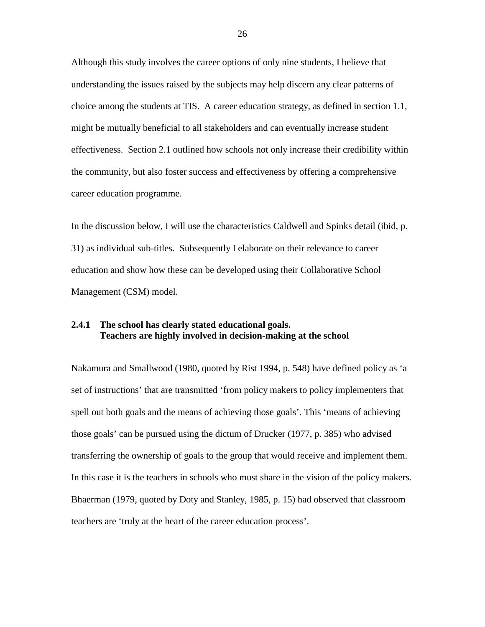Although this study involves the career options of only nine students, I believe that understanding the issues raised by the subjects may help discern any clear patterns of choice among the students at TIS. A career education strategy, as defined in section 1.1, might be mutually beneficial to all stakeholders and can eventually increase student effectiveness. Section 2.1 outlined how schools not only increase their credibility within the community, but also foster success and effectiveness by offering a comprehensive career education programme.

In the discussion below, I will use the characteristics Caldwell and Spinks detail (ibid, p. 31) as individual sub-titles. Subsequently I elaborate on their relevance to career education and show how these can be developed using their Collaborative School Management (CSM) model.

# **2.4.1 The school has clearly stated educational goals. Teachers are highly involved in decision-making at the school**

Nakamura and Smallwood (1980, quoted by Rist 1994, p. 548) have defined policy as 'a set of instructions' that are transmitted 'from policy makers to policy implementers that spell out both goals and the means of achieving those goals'. This 'means of achieving those goals' can be pursued using the dictum of Drucker (1977, p. 385) who advised transferring the ownership of goals to the group that would receive and implement them. In this case it is the teachers in schools who must share in the vision of the policy makers. Bhaerman (1979, quoted by Doty and Stanley, 1985, p. 15) had observed that classroom teachers are 'truly at the heart of the career education process'.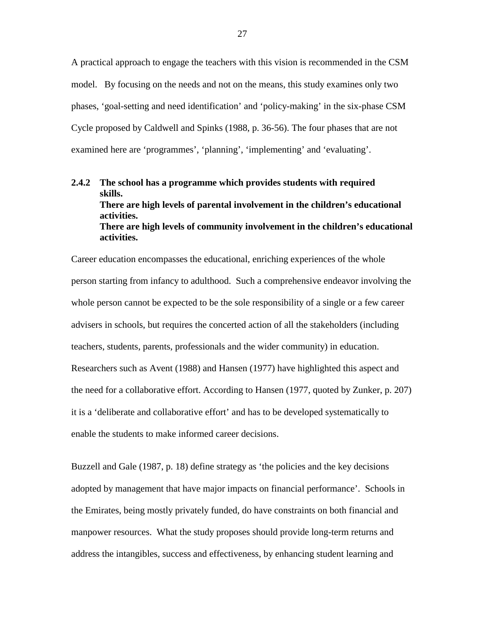A practical approach to engage the teachers with this vision is recommended in the CSM model. By focusing on the needs and not on the means, this study examines only two phases, 'goal-setting and need identification' and 'policy-making' in the six-phase CSM Cycle proposed by Caldwell and Spinks (1988, p. 36-56). The four phases that are not examined here are 'programmes', 'planning', 'implementing' and 'evaluating'.

# **2.4.2 The school has a programme which provides students with required skills. There are high levels of parental involvement in the children's educational activities. There are high levels of community involvement in the children's educational activities.**

Career education encompasses the educational, enriching experiences of the whole person starting from infancy to adulthood. Such a comprehensive endeavor involving the whole person cannot be expected to be the sole responsibility of a single or a few career advisers in schools, but requires the concerted action of all the stakeholders (including teachers, students, parents, professionals and the wider community) in education. Researchers such as Avent (1988) and Hansen (1977) have highlighted this aspect and the need for a collaborative effort. According to Hansen (1977, quoted by Zunker, p. 207) it is a 'deliberate and collaborative effort' and has to be developed systematically to enable the students to make informed career decisions.

Buzzell and Gale (1987, p. 18) define strategy as 'the policies and the key decisions adopted by management that have major impacts on financial performance'. Schools in the Emirates, being mostly privately funded, do have constraints on both financial and manpower resources. What the study proposes should provide long-term returns and address the intangibles, success and effectiveness, by enhancing student learning and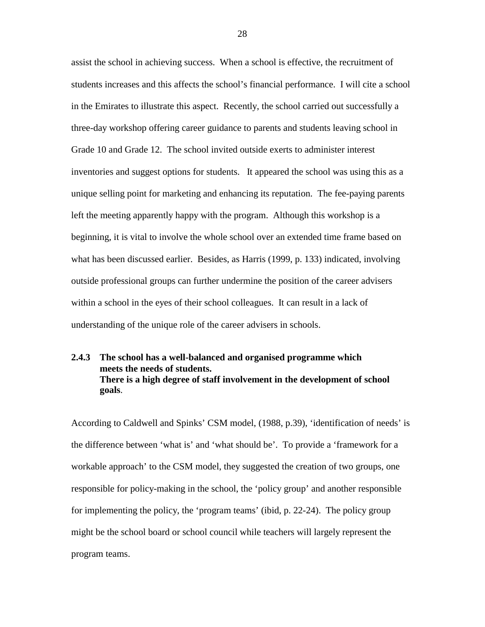assist the school in achieving success. When a school is effective, the recruitment of students increases and this affects the school's financial performance. I will cite a school in the Emirates to illustrate this aspect. Recently, the school carried out successfully a three-day workshop offering career guidance to parents and students leaving school in Grade 10 and Grade 12. The school invited outside exerts to administer interest inventories and suggest options for students. It appeared the school was using this as a unique selling point for marketing and enhancing its reputation. The fee-paying parents left the meeting apparently happy with the program. Although this workshop is a beginning, it is vital to involve the whole school over an extended time frame based on what has been discussed earlier. Besides, as Harris (1999, p. 133) indicated, involving outside professional groups can further undermine the position of the career advisers within a school in the eyes of their school colleagues. It can result in a lack of understanding of the unique role of the career advisers in schools.

# **2.4.3 The school has a well-balanced and organised programme which meets the needs of students. There is a high degree of staff involvement in the development of school goals**.

According to Caldwell and Spinks' CSM model, (1988, p.39), 'identification of needs' is the difference between 'what is' and 'what should be'. To provide a 'framework for a workable approach' to the CSM model, they suggested the creation of two groups, one responsible for policy-making in the school, the 'policy group' and another responsible for implementing the policy, the 'program teams' (ibid, p. 22-24). The policy group might be the school board or school council while teachers will largely represent the program teams.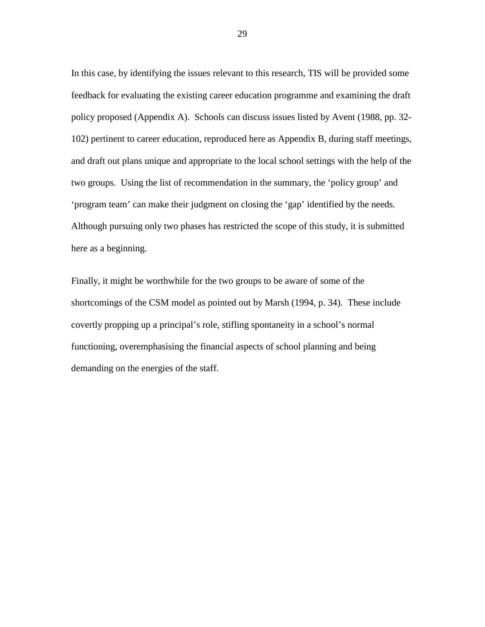In this case, by identifying the issues relevant to this research, TIS will be provided some feedback for evaluating the existing career education programme and examining the draft policy proposed (Appendix A). Schools can discuss issues listed by Avent (1988, pp. 32- 102) pertinent to career education, reproduced here as Appendix B, during staff meetings, and draft out plans unique and appropriate to the local school settings with the help of the two groups. Using the list of recommendation in the summary, the 'policy group' and 'program team' can make their judgment on closing the 'gap' identified by the needs. Although pursuing only two phases has restricted the scope of this study, it is submitted here as a beginning.

Finally, it might be worthwhile for the two groups to be aware of some of the shortcomings of the CSM model as pointed out by Marsh (1994, p. 34). These include covertly propping up a principal's role, stifling spontaneity in a school's normal functioning, overemphasising the financial aspects of school planning and being demanding on the energies of the staff.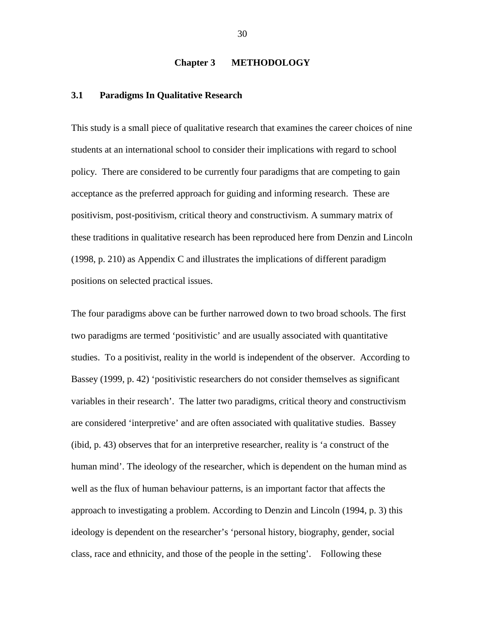#### **Chapter 3 METHODOLOGY**

#### **3.1 Paradigms In Qualitative Research**

This study is a small piece of qualitative research that examines the career choices of nine students at an international school to consider their implications with regard to school policy. There are considered to be currently four paradigms that are competing to gain acceptance as the preferred approach for guiding and informing research. These are positivism, post-positivism, critical theory and constructivism. A summary matrix of these traditions in qualitative research has been reproduced here from Denzin and Lincoln (1998, p. 210) as Appendix C and illustrates the implications of different paradigm positions on selected practical issues.

The four paradigms above can be further narrowed down to two broad schools. The first two paradigms are termed 'positivistic' and are usually associated with quantitative studies. To a positivist, reality in the world is independent of the observer. According to Bassey (1999, p. 42) 'positivistic researchers do not consider themselves as significant variables in their research'. The latter two paradigms, critical theory and constructivism are considered 'interpretive' and are often associated with qualitative studies. Bassey (ibid, p. 43) observes that for an interpretive researcher, reality is 'a construct of the human mind'. The ideology of the researcher, which is dependent on the human mind as well as the flux of human behaviour patterns, is an important factor that affects the approach to investigating a problem. According to Denzin and Lincoln (1994, p. 3) this ideology is dependent on the researcher's 'personal history, biography, gender, social class, race and ethnicity, and those of the people in the setting'. Following these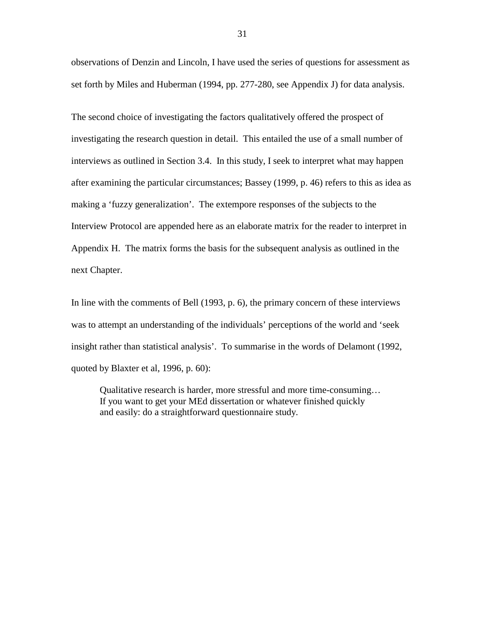observations of Denzin and Lincoln, I have used the series of questions for assessment as set forth by Miles and Huberman (1994, pp. 277-280, see Appendix J) for data analysis.

The second choice of investigating the factors qualitatively offered the prospect of investigating the research question in detail. This entailed the use of a small number of interviews as outlined in Section 3.4. In this study, I seek to interpret what may happen after examining the particular circumstances; Bassey (1999, p. 46) refers to this as idea as making a 'fuzzy generalization'. The extempore responses of the subjects to the Interview Protocol are appended here as an elaborate matrix for the reader to interpret in Appendix H. The matrix forms the basis for the subsequent analysis as outlined in the next Chapter.

In line with the comments of Bell (1993, p. 6), the primary concern of these interviews was to attempt an understanding of the individuals' perceptions of the world and 'seek insight rather than statistical analysis'. To summarise in the words of Delamont (1992, quoted by Blaxter et al, 1996, p. 60):

 Qualitative research is harder, more stressful and more time-consuming… If you want to get your MEd dissertation or whatever finished quickly and easily: do a straightforward questionnaire study.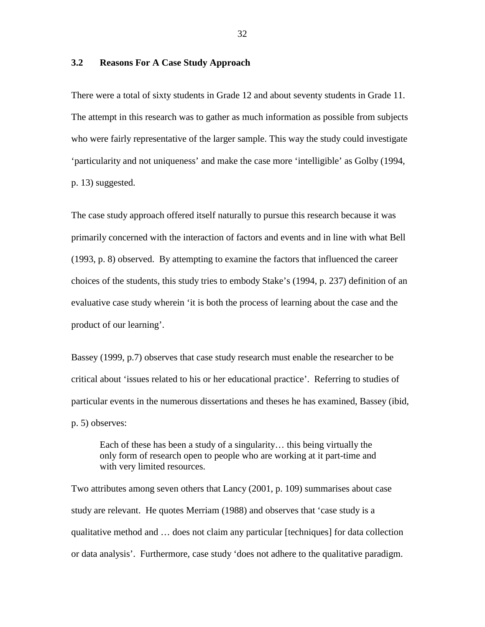# **3.2 Reasons For A Case Study Approach**

There were a total of sixty students in Grade 12 and about seventy students in Grade 11. The attempt in this research was to gather as much information as possible from subjects who were fairly representative of the larger sample. This way the study could investigate 'particularity and not uniqueness' and make the case more 'intelligible' as Golby (1994, p. 13) suggested.

The case study approach offered itself naturally to pursue this research because it was primarily concerned with the interaction of factors and events and in line with what Bell (1993, p. 8) observed. By attempting to examine the factors that influenced the career choices of the students, this study tries to embody Stake's (1994, p. 237) definition of an evaluative case study wherein 'it is both the process of learning about the case and the product of our learning'.

Bassey (1999, p.7) observes that case study research must enable the researcher to be critical about 'issues related to his or her educational practice'. Referring to studies of particular events in the numerous dissertations and theses he has examined, Bassey (ibid, p. 5) observes:

 Each of these has been a study of a singularity… this being virtually the only form of research open to people who are working at it part-time and with very limited resources.

Two attributes among seven others that Lancy (2001, p. 109) summarises about case study are relevant. He quotes Merriam (1988) and observes that 'case study is a qualitative method and … does not claim any particular [techniques] for data collection or data analysis'. Furthermore, case study 'does not adhere to the qualitative paradigm.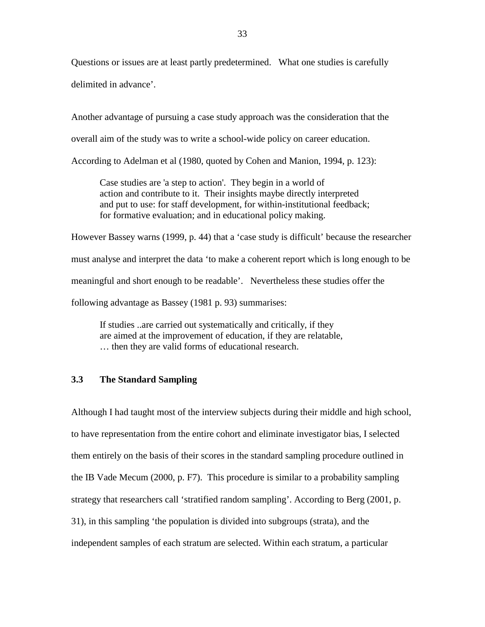Questions or issues are at least partly predetermined. What one studies is carefully delimited in advance'.

Another advantage of pursuing a case study approach was the consideration that the overall aim of the study was to write a school-wide policy on career education.

According to Adelman et al (1980, quoted by Cohen and Manion, 1994, p. 123):

Case studies are 'a step to action'. They begin in a world of action and contribute to it. Their insights maybe directly interpreted and put to use: for staff development, for within-institutional feedback; for formative evaluation; and in educational policy making.

However Bassey warns (1999, p. 44) that a 'case study is difficult' because the researcher must analyse and interpret the data 'to make a coherent report which is long enough to be meaningful and short enough to be readable'. Nevertheless these studies offer the following advantage as Bassey (1981 p. 93) summarises:

If studies ..are carried out systematically and critically, if they are aimed at the improvement of education, if they are relatable, … then they are valid forms of educational research.

# **3.3 The Standard Sampling**

Although I had taught most of the interview subjects during their middle and high school, to have representation from the entire cohort and eliminate investigator bias, I selected them entirely on the basis of their scores in the standard sampling procedure outlined in the IB Vade Mecum (2000, p. F7). This procedure is similar to a probability sampling strategy that researchers call 'stratified random sampling'. According to Berg (2001, p. 31), in this sampling 'the population is divided into subgroups (strata), and the independent samples of each stratum are selected. Within each stratum, a particular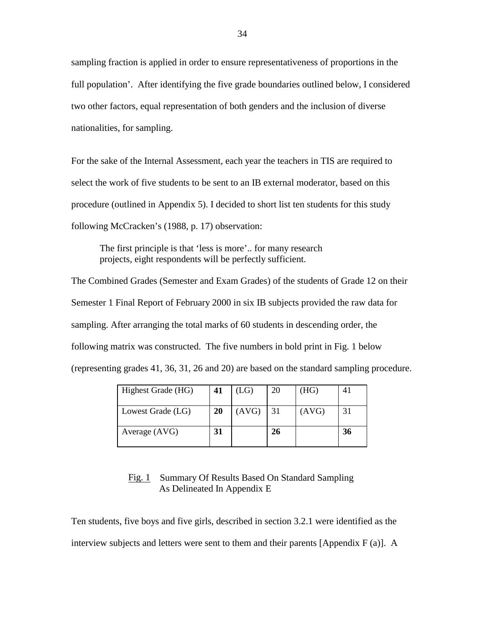sampling fraction is applied in order to ensure representativeness of proportions in the full population'. After identifying the five grade boundaries outlined below, I considered two other factors, equal representation of both genders and the inclusion of diverse nationalities, for sampling.

For the sake of the Internal Assessment, each year the teachers in TIS are required to select the work of five students to be sent to an IB external moderator, based on this procedure (outlined in Appendix 5). I decided to short list ten students for this study following McCracken's (1988, p. 17) observation:

The first principle is that 'less is more'.. for many research projects, eight respondents will be perfectly sufficient.

The Combined Grades (Semester and Exam Grades) of the students of Grade 12 on their Semester 1 Final Report of February 2000 in six IB subjects provided the raw data for sampling. After arranging the total marks of 60 students in descending order, the following matrix was constructed. The five numbers in bold print in Fig. 1 below (representing grades 41, 36, 31, 26 and 20) are based on the standard sampling procedure.

| Highest Grade (HG) | 41 | (LG)         | 20 | (HG)  |    |
|--------------------|----|--------------|----|-------|----|
| Lowest Grade (LG)  | 20 | $(AVG)$   31 |    | (AVG) | 31 |
| Average (AVG)      | 31 |              | 26 |       | 36 |

# Fig. 1 Summary Of Results Based On Standard Sampling As Delineated In Appendix E

Ten students, five boys and five girls, described in section 3.2.1 were identified as the interview subjects and letters were sent to them and their parents [Appendix F (a)]. A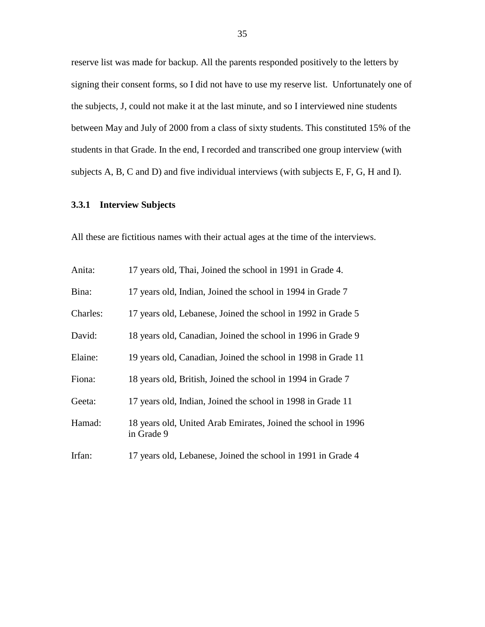reserve list was made for backup. All the parents responded positively to the letters by signing their consent forms, so I did not have to use my reserve list. Unfortunately one of the subjects, J, could not make it at the last minute, and so I interviewed nine students between May and July of 2000 from a class of sixty students. This constituted 15% of the students in that Grade. In the end, I recorded and transcribed one group interview (with subjects A, B, C and D) and five individual interviews (with subjects E, F, G, H and I).

# **3.3.1 Interview Subjects**

All these are fictitious names with their actual ages at the time of the interviews.

| Anita:   | 17 years old, Thai, Joined the school in 1991 in Grade 4.                   |
|----------|-----------------------------------------------------------------------------|
| Bina:    | 17 years old, Indian, Joined the school in 1994 in Grade 7                  |
| Charles: | 17 years old, Lebanese, Joined the school in 1992 in Grade 5                |
| David:   | 18 years old, Canadian, Joined the school in 1996 in Grade 9                |
| Elaine:  | 19 years old, Canadian, Joined the school in 1998 in Grade 11               |
| Fiona:   | 18 years old, British, Joined the school in 1994 in Grade 7                 |
| Geeta:   | 17 years old, Indian, Joined the school in 1998 in Grade 11                 |
| Hamad:   | 18 years old, United Arab Emirates, Joined the school in 1996<br>in Grade 9 |
| Irfan:   | 17 years old, Lebanese, Joined the school in 1991 in Grade 4                |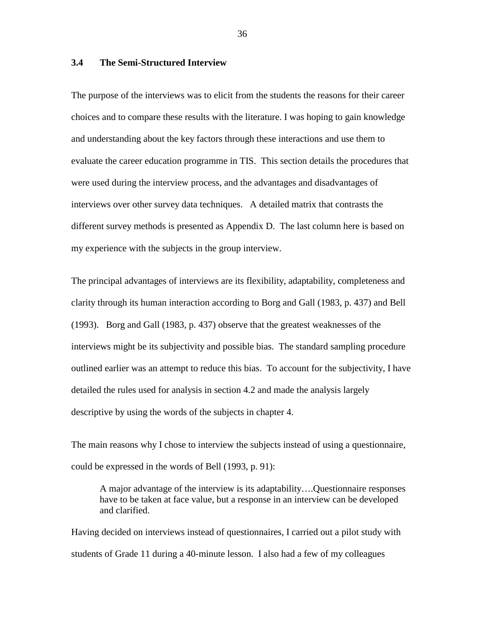## **3.4 The Semi-Structured Interview**

The purpose of the interviews was to elicit from the students the reasons for their career choices and to compare these results with the literature. I was hoping to gain knowledge and understanding about the key factors through these interactions and use them to evaluate the career education programme in TIS. This section details the procedures that were used during the interview process, and the advantages and disadvantages of interviews over other survey data techniques. A detailed matrix that contrasts the different survey methods is presented as Appendix D. The last column here is based on my experience with the subjects in the group interview.

The principal advantages of interviews are its flexibility, adaptability, completeness and clarity through its human interaction according to Borg and Gall (1983, p. 437) and Bell (1993). Borg and Gall (1983, p. 437) observe that the greatest weaknesses of the interviews might be its subjectivity and possible bias. The standard sampling procedure outlined earlier was an attempt to reduce this bias. To account for the subjectivity, I have detailed the rules used for analysis in section 4.2 and made the analysis largely descriptive by using the words of the subjects in chapter 4.

The main reasons why I chose to interview the subjects instead of using a questionnaire, could be expressed in the words of Bell (1993, p. 91):

 A major advantage of the interview is its adaptability….Questionnaire responses have to be taken at face value, but a response in an interview can be developed and clarified.

Having decided on interviews instead of questionnaires, I carried out a pilot study with students of Grade 11 during a 40-minute lesson. I also had a few of my colleagues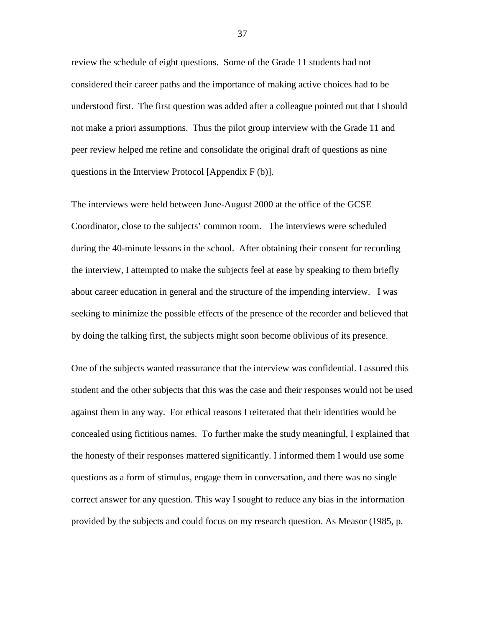review the schedule of eight questions. Some of the Grade 11 students had not considered their career paths and the importance of making active choices had to be understood first. The first question was added after a colleague pointed out that I should not make a priori assumptions. Thus the pilot group interview with the Grade 11 and peer review helped me refine and consolidate the original draft of questions as nine questions in the Interview Protocol [Appendix F (b)].

The interviews were held between June-August 2000 at the office of the GCSE Coordinator, close to the subjects' common room. The interviews were scheduled during the 40-minute lessons in the school. After obtaining their consent for recording the interview, I attempted to make the subjects feel at ease by speaking to them briefly about career education in general and the structure of the impending interview. I was seeking to minimize the possible effects of the presence of the recorder and believed that by doing the talking first, the subjects might soon become oblivious of its presence.

One of the subjects wanted reassurance that the interview was confidential. I assured this student and the other subjects that this was the case and their responses would not be used against them in any way. For ethical reasons I reiterated that their identities would be concealed using fictitious names. To further make the study meaningful, I explained that the honesty of their responses mattered significantly. I informed them I would use some questions as a form of stimulus, engage them in conversation, and there was no single correct answer for any question. This way I sought to reduce any bias in the information provided by the subjects and could focus on my research question. As Measor (1985, p.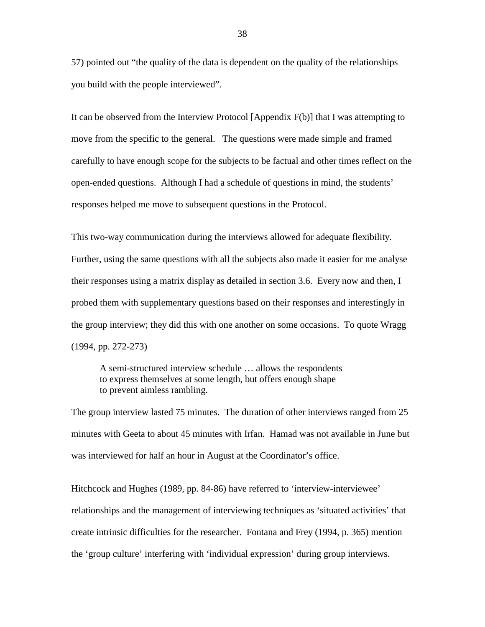57) pointed out "the quality of the data is dependent on the quality of the relationships you build with the people interviewed".

It can be observed from the Interview Protocol [Appendix F(b)] that I was attempting to move from the specific to the general. The questions were made simple and framed carefully to have enough scope for the subjects to be factual and other times reflect on the open-ended questions. Although I had a schedule of questions in mind, the students' responses helped me move to subsequent questions in the Protocol.

This two-way communication during the interviews allowed for adequate flexibility. Further, using the same questions with all the subjects also made it easier for me analyse their responses using a matrix display as detailed in section 3.6. Every now and then, I probed them with supplementary questions based on their responses and interestingly in the group interview; they did this with one another on some occasions. To quote Wragg (1994, pp. 272-273)

A semi-structured interview schedule … allows the respondents to express themselves at some length, but offers enough shape to prevent aimless rambling.

The group interview lasted 75 minutes. The duration of other interviews ranged from 25 minutes with Geeta to about 45 minutes with Irfan. Hamad was not available in June but was interviewed for half an hour in August at the Coordinator's office.

Hitchcock and Hughes (1989, pp. 84-86) have referred to 'interview-interviewee' relationships and the management of interviewing techniques as 'situated activities' that create intrinsic difficulties for the researcher. Fontana and Frey (1994, p. 365) mention the 'group culture' interfering with 'individual expression' during group interviews.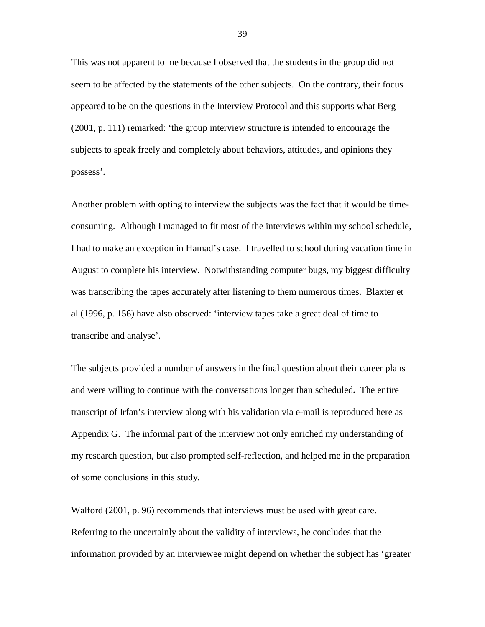This was not apparent to me because I observed that the students in the group did not seem to be affected by the statements of the other subjects. On the contrary, their focus appeared to be on the questions in the Interview Protocol and this supports what Berg (2001, p. 111) remarked: 'the group interview structure is intended to encourage the subjects to speak freely and completely about behaviors, attitudes, and opinions they possess'.

Another problem with opting to interview the subjects was the fact that it would be timeconsuming. Although I managed to fit most of the interviews within my school schedule, I had to make an exception in Hamad's case. I travelled to school during vacation time in August to complete his interview. Notwithstanding computer bugs, my biggest difficulty was transcribing the tapes accurately after listening to them numerous times. Blaxter et al (1996, p. 156) have also observed: 'interview tapes take a great deal of time to transcribe and analyse'.

The subjects provided a number of answers in the final question about their career plans and were willing to continue with the conversations longer than scheduled**.** The entire transcript of Irfan's interview along with his validation via e-mail is reproduced here as Appendix G. The informal part of the interview not only enriched my understanding of my research question, but also prompted self-reflection, and helped me in the preparation of some conclusions in this study.

Walford (2001, p. 96) recommends that interviews must be used with great care. Referring to the uncertainly about the validity of interviews, he concludes that the information provided by an interviewee might depend on whether the subject has 'greater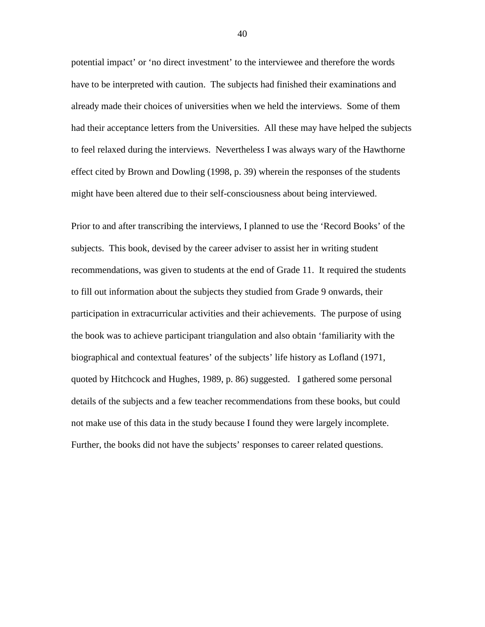potential impact' or 'no direct investment' to the interviewee and therefore the words have to be interpreted with caution. The subjects had finished their examinations and already made their choices of universities when we held the interviews. Some of them had their acceptance letters from the Universities. All these may have helped the subjects to feel relaxed during the interviews. Nevertheless I was always wary of the Hawthorne effect cited by Brown and Dowling (1998, p. 39) wherein the responses of the students might have been altered due to their self-consciousness about being interviewed.

Prior to and after transcribing the interviews, I planned to use the 'Record Books' of the subjects. This book, devised by the career adviser to assist her in writing student recommendations, was given to students at the end of Grade 11. It required the students to fill out information about the subjects they studied from Grade 9 onwards, their participation in extracurricular activities and their achievements. The purpose of using the book was to achieve participant triangulation and also obtain 'familiarity with the biographical and contextual features' of the subjects' life history as Lofland (1971, quoted by Hitchcock and Hughes, 1989, p. 86) suggested. I gathered some personal details of the subjects and a few teacher recommendations from these books, but could not make use of this data in the study because I found they were largely incomplete. Further, the books did not have the subjects' responses to career related questions.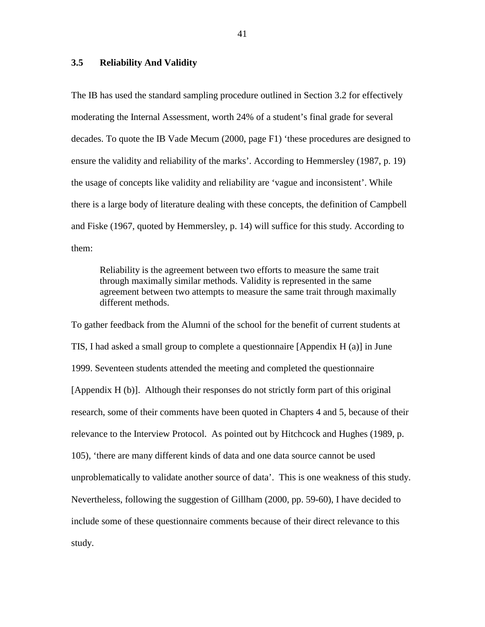## **3.5 Reliability And Validity**

The IB has used the standard sampling procedure outlined in Section 3.2 for effectively moderating the Internal Assessment, worth 24% of a student's final grade for several decades. To quote the IB Vade Mecum (2000, page F1) 'these procedures are designed to ensure the validity and reliability of the marks'. According to Hemmersley (1987, p. 19) the usage of concepts like validity and reliability are 'vague and inconsistent'. While there is a large body of literature dealing with these concepts, the definition of Campbell and Fiske (1967, quoted by Hemmersley, p. 14) will suffice for this study. According to them:

 Reliability is the agreement between two efforts to measure the same trait through maximally similar methods. Validity is represented in the same agreement between two attempts to measure the same trait through maximally different methods.

To gather feedback from the Alumni of the school for the benefit of current students at TIS, I had asked a small group to complete a questionnaire [Appendix H (a)] in June 1999. Seventeen students attended the meeting and completed the questionnaire [Appendix H (b)]. Although their responses do not strictly form part of this original research, some of their comments have been quoted in Chapters 4 and 5, because of their relevance to the Interview Protocol. As pointed out by Hitchcock and Hughes (1989, p. 105), 'there are many different kinds of data and one data source cannot be used unproblematically to validate another source of data'. This is one weakness of this study. Nevertheless, following the suggestion of Gillham (2000, pp. 59-60), I have decided to include some of these questionnaire comments because of their direct relevance to this study.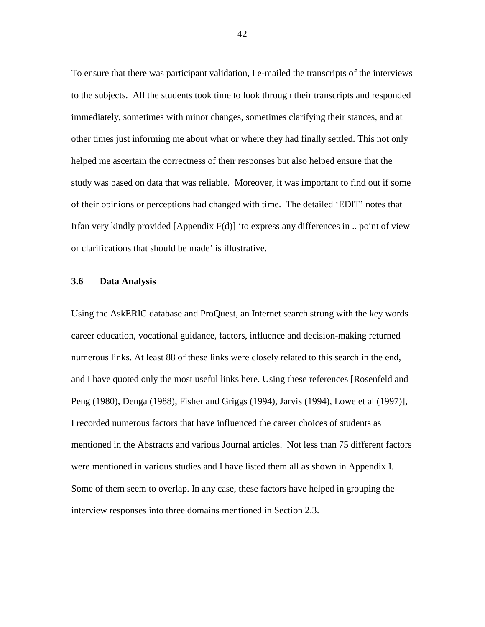To ensure that there was participant validation, I e-mailed the transcripts of the interviews to the subjects. All the students took time to look through their transcripts and responded immediately, sometimes with minor changes, sometimes clarifying their stances, and at other times just informing me about what or where they had finally settled. This not only helped me ascertain the correctness of their responses but also helped ensure that the study was based on data that was reliable. Moreover, it was important to find out if some of their opinions or perceptions had changed with time. The detailed 'EDIT' notes that Irfan very kindly provided [Appendix F(d)] 'to express any differences in .. point of view or clarifications that should be made' is illustrative.

#### **3.6 Data Analysis**

Using the AskERIC database and ProQuest, an Internet search strung with the key words career education, vocational guidance, factors, influence and decision-making returned numerous links. At least 88 of these links were closely related to this search in the end, and I have quoted only the most useful links here. Using these references [Rosenfeld and Peng (1980), Denga (1988), Fisher and Griggs (1994), Jarvis (1994), Lowe et al (1997)], I recorded numerous factors that have influenced the career choices of students as mentioned in the Abstracts and various Journal articles. Not less than 75 different factors were mentioned in various studies and I have listed them all as shown in Appendix I. Some of them seem to overlap. In any case, these factors have helped in grouping the interview responses into three domains mentioned in Section 2.3.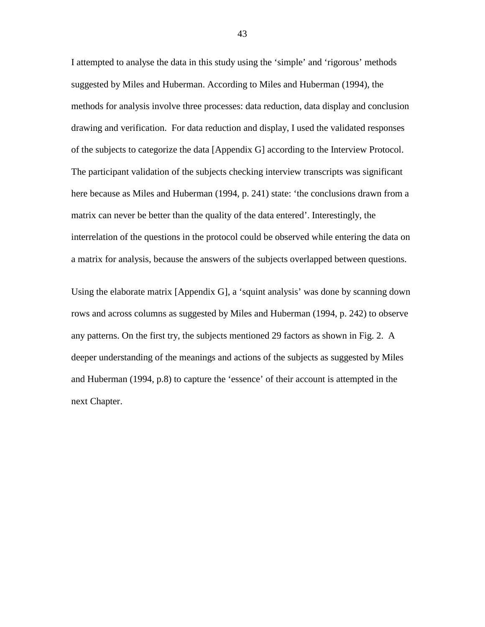I attempted to analyse the data in this study using the 'simple' and 'rigorous' methods suggested by Miles and Huberman. According to Miles and Huberman (1994), the methods for analysis involve three processes: data reduction, data display and conclusion drawing and verification. For data reduction and display, I used the validated responses of the subjects to categorize the data [Appendix G] according to the Interview Protocol. The participant validation of the subjects checking interview transcripts was significant here because as Miles and Huberman (1994, p. 241) state: 'the conclusions drawn from a matrix can never be better than the quality of the data entered'. Interestingly, the interrelation of the questions in the protocol could be observed while entering the data on a matrix for analysis, because the answers of the subjects overlapped between questions.

Using the elaborate matrix [Appendix G], a 'squint analysis' was done by scanning down rows and across columns as suggested by Miles and Huberman (1994, p. 242) to observe any patterns. On the first try, the subjects mentioned 29 factors as shown in Fig. 2. A deeper understanding of the meanings and actions of the subjects as suggested by Miles and Huberman (1994, p.8) to capture the 'essence' of their account is attempted in the next Chapter.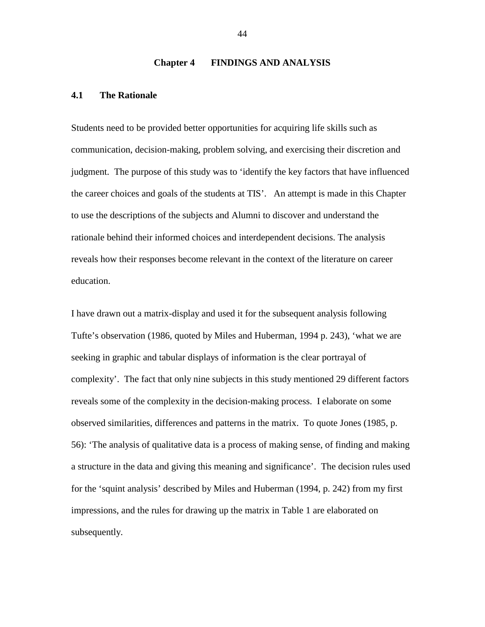#### **Chapter 4 FINDINGS AND ANALYSIS**

### **4.1 The Rationale**

Students need to be provided better opportunities for acquiring life skills such as communication, decision-making, problem solving, and exercising their discretion and judgment. The purpose of this study was to 'identify the key factors that have influenced the career choices and goals of the students at TIS'. An attempt is made in this Chapter to use the descriptions of the subjects and Alumni to discover and understand the rationale behind their informed choices and interdependent decisions. The analysis reveals how their responses become relevant in the context of the literature on career education.

I have drawn out a matrix-display and used it for the subsequent analysis following Tufte's observation (1986, quoted by Miles and Huberman, 1994 p. 243), 'what we are seeking in graphic and tabular displays of information is the clear portrayal of complexity'. The fact that only nine subjects in this study mentioned 29 different factors reveals some of the complexity in the decision-making process. I elaborate on some observed similarities, differences and patterns in the matrix. To quote Jones (1985, p. 56): 'The analysis of qualitative data is a process of making sense, of finding and making a structure in the data and giving this meaning and significance'. The decision rules used for the 'squint analysis' described by Miles and Huberman (1994, p. 242) from my first impressions, and the rules for drawing up the matrix in Table 1 are elaborated on subsequently.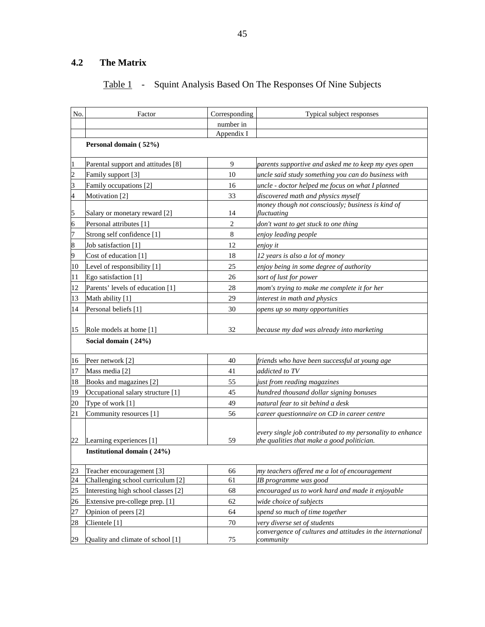# **4.2 The Matrix**

## Table 1 - Squint Analysis Based On The Responses Of Nine Subjects

| No.            | Factor                              | Corresponding  | Typical subject responses                                                                               |  |  |  |  |
|----------------|-------------------------------------|----------------|---------------------------------------------------------------------------------------------------------|--|--|--|--|
|                |                                     | number in      |                                                                                                         |  |  |  |  |
|                |                                     | Appendix I     |                                                                                                         |  |  |  |  |
|                | Personal domain (52%)               |                |                                                                                                         |  |  |  |  |
| 1              | Parental support and attitudes [8]  | 9              | parents supportive and asked me to keep my eyes open                                                    |  |  |  |  |
| $\overline{c}$ | Family support [3]                  | 10             | uncle said study something you can do business with                                                     |  |  |  |  |
| 3              | Family occupations [2]              | 16             | uncle - doctor helped me focus on what I planned                                                        |  |  |  |  |
| 4              | Motivation [2]                      | 33             | discovered math and physics myself                                                                      |  |  |  |  |
| 5              | Salary or monetary reward [2]       | 14             | money though not consciously; business is kind of<br>fluctuating                                        |  |  |  |  |
| 6              | Personal attributes [1]             | $\overline{2}$ | don't want to get stuck to one thing                                                                    |  |  |  |  |
| 7              | Strong self confidence [1]          | $\,8\,$        | enjoy leading people                                                                                    |  |  |  |  |
| 8              | Job satisfaction [1]                | 12             | enjoy it                                                                                                |  |  |  |  |
| 9              | Cost of education [1]               | 18             | 12 years is also a lot of money                                                                         |  |  |  |  |
| 10             | Level of responsibility [1]         | 25             | enjoy being in some degree of authority                                                                 |  |  |  |  |
| 11             | Ego satisfaction [1]                | 26             | sort of lust for power                                                                                  |  |  |  |  |
| 12             | Parents' levels of education [1]    | 28             | mom's trying to make me complete it for her                                                             |  |  |  |  |
| 13             | Math ability [1]                    | 29             | interest in math and physics                                                                            |  |  |  |  |
| 14             | Personal beliefs [1]                | 30             | opens up so many opportunities                                                                          |  |  |  |  |
| 15             | Role models at home [1]             | 32             | because my dad was already into marketing                                                               |  |  |  |  |
|                | Social domain (24%)                 |                |                                                                                                         |  |  |  |  |
| 16             | Peer network [2]                    | 40             | friends who have been successful at young age                                                           |  |  |  |  |
| 17             | Mass media [2]                      | 41             | addicted to TV                                                                                          |  |  |  |  |
| 18             | Books and magazines [2]             | 55             | just from reading magazines                                                                             |  |  |  |  |
| 19             | Occupational salary structure [1]   | 45             | hundred thousand dollar signing bonuses                                                                 |  |  |  |  |
| 20             | Type of work [1]                    | 49             | natural fear to sit behind a desk                                                                       |  |  |  |  |
| 21             | Community resources [1]             | 56             | career questionnaire on CD in career centre                                                             |  |  |  |  |
| 22             | Learning experiences [1]            | 59             | every single job contributed to my personality to enhance<br>the qualities that make a good politician. |  |  |  |  |
|                | Institutional domain (24%)          |                |                                                                                                         |  |  |  |  |
|                |                                     |                |                                                                                                         |  |  |  |  |
| 23             | Teacher encouragement [3]           | 66             | my teachers offered me a lot of encouragement                                                           |  |  |  |  |
| 24             | Challenging school curriculum [2]   | 61             | IB programme was good                                                                                   |  |  |  |  |
| 25             | Interesting high school classes [2] | 68             | encouraged us to work hard and made it enjoyable                                                        |  |  |  |  |
| 26             | Extensive pre-college prep. [1]     | 62             | wide choice of subjects                                                                                 |  |  |  |  |
| 27             | Opinion of peers [2]                | 64             | spend so much of time together                                                                          |  |  |  |  |
| 28             | Clientele [1]                       | $70\,$         | very diverse set of students                                                                            |  |  |  |  |
| 29             | Quality and climate of school [1]   | 75             | convergence of cultures and attitudes in the international<br>community                                 |  |  |  |  |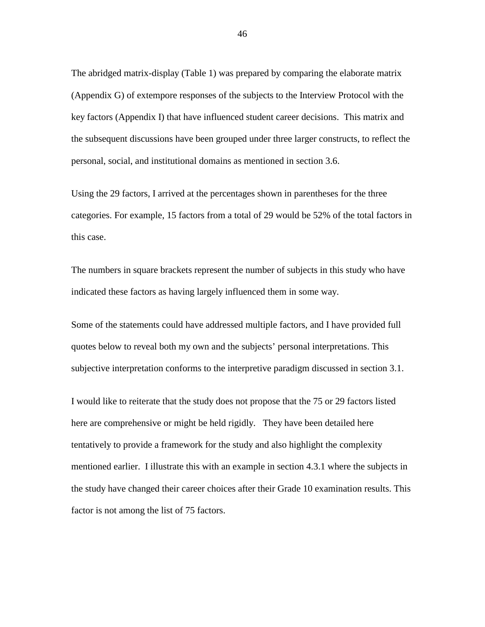The abridged matrix-display (Table 1) was prepared by comparing the elaborate matrix (Appendix G) of extempore responses of the subjects to the Interview Protocol with the key factors (Appendix I) that have influenced student career decisions. This matrix and the subsequent discussions have been grouped under three larger constructs, to reflect the personal, social, and institutional domains as mentioned in section 3.6.

Using the 29 factors, I arrived at the percentages shown in parentheses for the three categories. For example, 15 factors from a total of 29 would be 52% of the total factors in this case.

The numbers in square brackets represent the number of subjects in this study who have indicated these factors as having largely influenced them in some way.

Some of the statements could have addressed multiple factors, and I have provided full quotes below to reveal both my own and the subjects' personal interpretations. This subjective interpretation conforms to the interpretive paradigm discussed in section 3.1.

I would like to reiterate that the study does not propose that the 75 or 29 factors listed here are comprehensive or might be held rigidly. They have been detailed here tentatively to provide a framework for the study and also highlight the complexity mentioned earlier. I illustrate this with an example in section 4.3.1 where the subjects in the study have changed their career choices after their Grade 10 examination results. This factor is not among the list of 75 factors.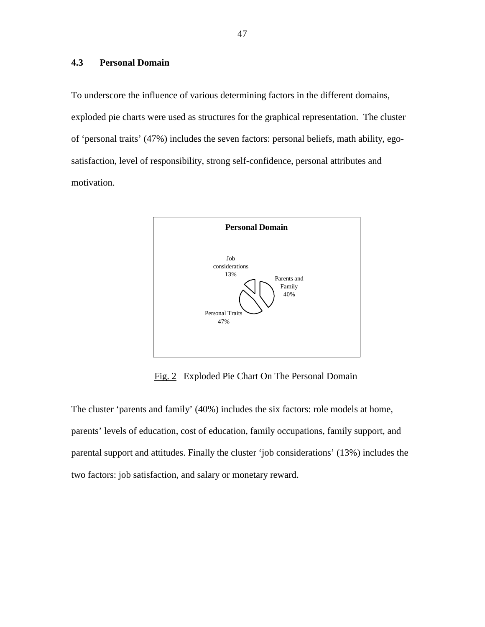## **4.3 Personal Domain**

To underscore the influence of various determining factors in the different domains, exploded pie charts were used as structures for the graphical representation. The cluster of 'personal traits' (47%) includes the seven factors: personal beliefs, math ability, egosatisfaction, level of responsibility, strong self-confidence, personal attributes and motivation.



Fig. 2 Exploded Pie Chart On The Personal Domain

The cluster 'parents and family' (40%) includes the six factors: role models at home, parents' levels of education, cost of education, family occupations, family support, and parental support and attitudes. Finally the cluster 'job considerations' (13%) includes the two factors: job satisfaction, and salary or monetary reward.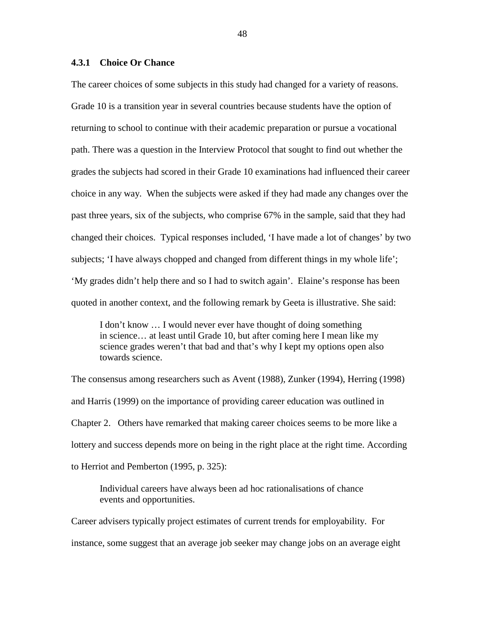#### **4.3.1 Choice Or Chance**

The career choices of some subjects in this study had changed for a variety of reasons. Grade 10 is a transition year in several countries because students have the option of returning to school to continue with their academic preparation or pursue a vocational path. There was a question in the Interview Protocol that sought to find out whether the grades the subjects had scored in their Grade 10 examinations had influenced their career choice in any way. When the subjects were asked if they had made any changes over the past three years, six of the subjects, who comprise 67% in the sample, said that they had changed their choices. Typical responses included, 'I have made a lot of changes' by two subjects; 'I have always chopped and changed from different things in my whole life'; 'My grades didn't help there and so I had to switch again'. Elaine's response has been quoted in another context, and the following remark by Geeta is illustrative. She said:

 I don't know … I would never ever have thought of doing something in science… at least until Grade 10, but after coming here I mean like my science grades weren't that bad and that's why I kept my options open also towards science.

The consensus among researchers such as Avent (1988), Zunker (1994), Herring (1998) and Harris (1999) on the importance of providing career education was outlined in Chapter 2. Others have remarked that making career choices seems to be more like a lottery and success depends more on being in the right place at the right time. According to Herriot and Pemberton (1995, p. 325):

 Individual careers have always been ad hoc rationalisations of chance events and opportunities.

Career advisers typically project estimates of current trends for employability. For instance, some suggest that an average job seeker may change jobs on an average eight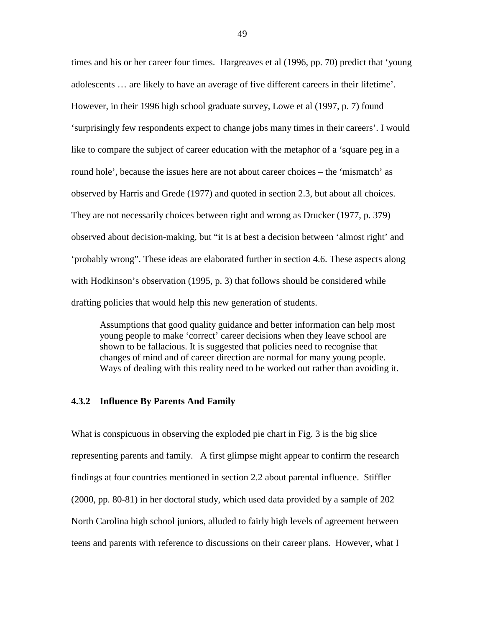times and his or her career four times. Hargreaves et al (1996, pp. 70) predict that 'young adolescents … are likely to have an average of five different careers in their lifetime'. However, in their 1996 high school graduate survey, Lowe et al (1997, p. 7) found 'surprisingly few respondents expect to change jobs many times in their careers'. I would like to compare the subject of career education with the metaphor of a 'square peg in a round hole', because the issues here are not about career choices – the 'mismatch' as observed by Harris and Grede (1977) and quoted in section 2.3, but about all choices. They are not necessarily choices between right and wrong as Drucker (1977, p. 379) observed about decision-making, but "it is at best a decision between 'almost right' and 'probably wrong". These ideas are elaborated further in section 4.6. These aspects along with Hodkinson's observation (1995, p. 3) that follows should be considered while drafting policies that would help this new generation of students.

Assumptions that good quality guidance and better information can help most young people to make 'correct' career decisions when they leave school are shown to be fallacious. It is suggested that policies need to recognise that changes of mind and of career direction are normal for many young people. Ways of dealing with this reality need to be worked out rather than avoiding it.

#### **4.3.2 Influence By Parents And Family**

What is conspicuous in observing the exploded pie chart in Fig. 3 is the big slice representing parents and family. A first glimpse might appear to confirm the research findings at four countries mentioned in section 2.2 about parental influence. Stiffler (2000, pp. 80-81) in her doctoral study, which used data provided by a sample of 202 North Carolina high school juniors, alluded to fairly high levels of agreement between teens and parents with reference to discussions on their career plans. However, what I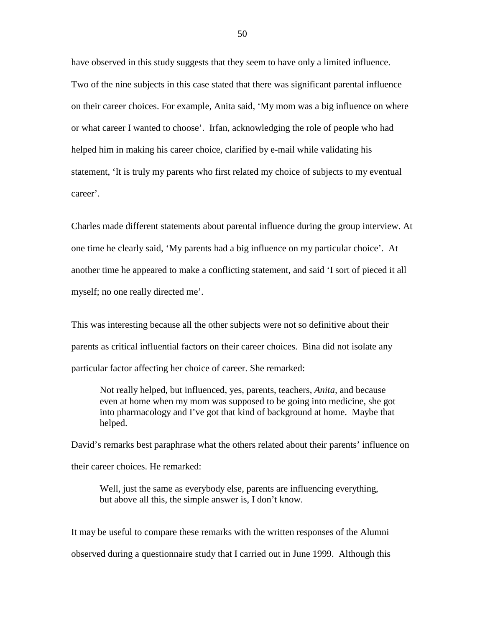have observed in this study suggests that they seem to have only a limited influence. Two of the nine subjects in this case stated that there was significant parental influence on their career choices. For example, Anita said, 'My mom was a big influence on where or what career I wanted to choose'. Irfan, acknowledging the role of people who had helped him in making his career choice, clarified by e-mail while validating his statement, 'It is truly my parents who first related my choice of subjects to my eventual career'.

Charles made different statements about parental influence during the group interview. At one time he clearly said, 'My parents had a big influence on my particular choice'. At another time he appeared to make a conflicting statement, and said 'I sort of pieced it all myself; no one really directed me'.

This was interesting because all the other subjects were not so definitive about their parents as critical influential factors on their career choices. Bina did not isolate any particular factor affecting her choice of career. She remarked:

Not really helped, but influenced, yes, parents, teachers, *Anita,* and because even at home when my mom was supposed to be going into medicine, she got into pharmacology and I've got that kind of background at home. Maybe that helped.

David's remarks best paraphrase what the others related about their parents' influence on their career choices. He remarked:

Well, just the same as everybody else, parents are influencing everything, but above all this, the simple answer is, I don't know.

It may be useful to compare these remarks with the written responses of the Alumni observed during a questionnaire study that I carried out in June 1999. Although this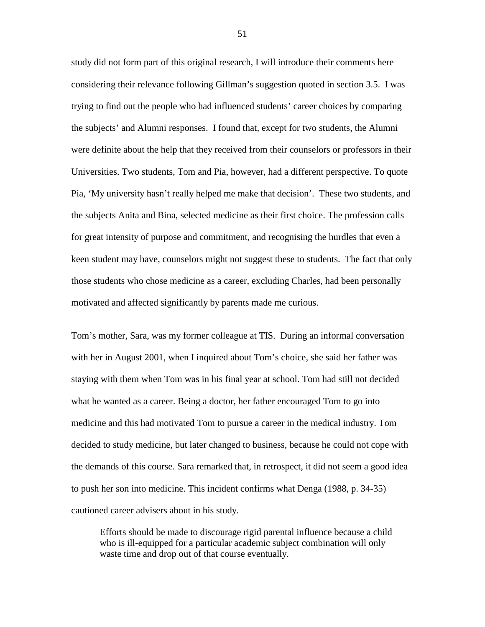study did not form part of this original research, I will introduce their comments here considering their relevance following Gillman's suggestion quoted in section 3.5. I was trying to find out the people who had influenced students' career choices by comparing the subjects' and Alumni responses. I found that, except for two students, the Alumni were definite about the help that they received from their counselors or professors in their Universities. Two students, Tom and Pia, however, had a different perspective. To quote Pia, 'My university hasn't really helped me make that decision'. These two students, and the subjects Anita and Bina, selected medicine as their first choice. The profession calls for great intensity of purpose and commitment, and recognising the hurdles that even a keen student may have, counselors might not suggest these to students. The fact that only those students who chose medicine as a career, excluding Charles, had been personally motivated and affected significantly by parents made me curious.

Tom's mother, Sara, was my former colleague at TIS. During an informal conversation with her in August 2001, when I inquired about Tom's choice, she said her father was staying with them when Tom was in his final year at school. Tom had still not decided what he wanted as a career. Being a doctor, her father encouraged Tom to go into medicine and this had motivated Tom to pursue a career in the medical industry. Tom decided to study medicine, but later changed to business, because he could not cope with the demands of this course. Sara remarked that, in retrospect, it did not seem a good idea to push her son into medicine. This incident confirms what Denga (1988, p. 34-35) cautioned career advisers about in his study.

 Efforts should be made to discourage rigid parental influence because a child who is ill-equipped for a particular academic subject combination will only waste time and drop out of that course eventually.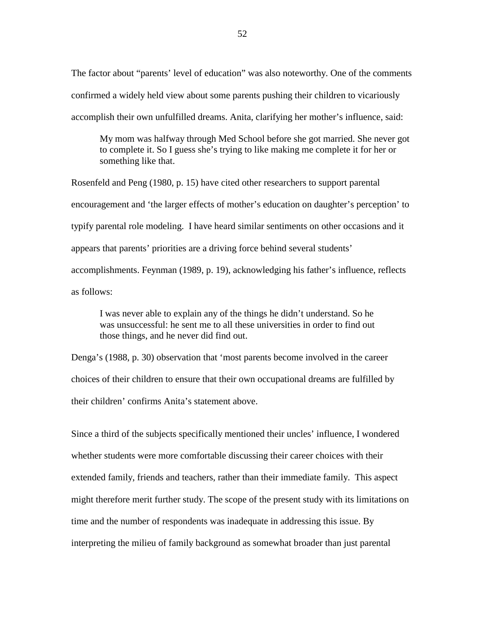The factor about "parents' level of education" was also noteworthy. One of the comments confirmed a widely held view about some parents pushing their children to vicariously accomplish their own unfulfilled dreams. Anita, clarifying her mother's influence, said:

My mom was halfway through Med School before she got married. She never got to complete it. So I guess she's trying to like making me complete it for her or something like that.

Rosenfeld and Peng (1980, p. 15) have cited other researchers to support parental encouragement and 'the larger effects of mother's education on daughter's perception' to typify parental role modeling. I have heard similar sentiments on other occasions and it appears that parents' priorities are a driving force behind several students' accomplishments. Feynman (1989, p. 19), acknowledging his father's influence, reflects as follows:

I was never able to explain any of the things he didn't understand. So he was unsuccessful: he sent me to all these universities in order to find out those things, and he never did find out.

Denga's (1988, p. 30) observation that 'most parents become involved in the career choices of their children to ensure that their own occupational dreams are fulfilled by their children' confirms Anita's statement above.

Since a third of the subjects specifically mentioned their uncles' influence, I wondered whether students were more comfortable discussing their career choices with their extended family, friends and teachers, rather than their immediate family. This aspect might therefore merit further study. The scope of the present study with its limitations on time and the number of respondents was inadequate in addressing this issue. By interpreting the milieu of family background as somewhat broader than just parental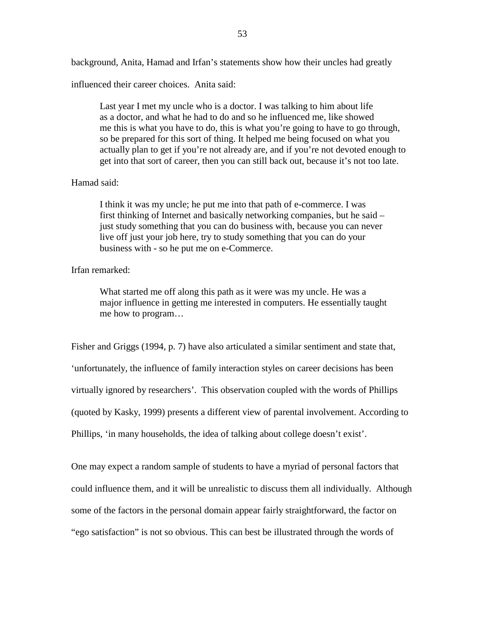background, Anita, Hamad and Irfan's statements show how their uncles had greatly

influenced their career choices. Anita said:

Last year I met my uncle who is a doctor. I was talking to him about life as a doctor, and what he had to do and so he influenced me, like showed me this is what you have to do, this is what you're going to have to go through, so be prepared for this sort of thing. It helped me being focused on what you actually plan to get if you're not already are, and if you're not devoted enough to get into that sort of career, then you can still back out, because it's not too late.

#### Hamad said:

I think it was my uncle; he put me into that path of e-commerce. I was first thinking of Internet and basically networking companies, but he said – just study something that you can do business with, because you can never live off just your job here, try to study something that you can do your business with - so he put me on e-Commerce.

#### Irfan remarked:

What started me off along this path as it were was my uncle. He was a major influence in getting me interested in computers. He essentially taught me how to program…

Fisher and Griggs (1994, p. 7) have also articulated a similar sentiment and state that, 'unfortunately, the influence of family interaction styles on career decisions has been virtually ignored by researchers'. This observation coupled with the words of Phillips (quoted by Kasky, 1999) presents a different view of parental involvement. According to Phillips, 'in many households, the idea of talking about college doesn't exist'.

One may expect a random sample of students to have a myriad of personal factors that could influence them, and it will be unrealistic to discuss them all individually. Although some of the factors in the personal domain appear fairly straightforward, the factor on "ego satisfaction" is not so obvious. This can best be illustrated through the words of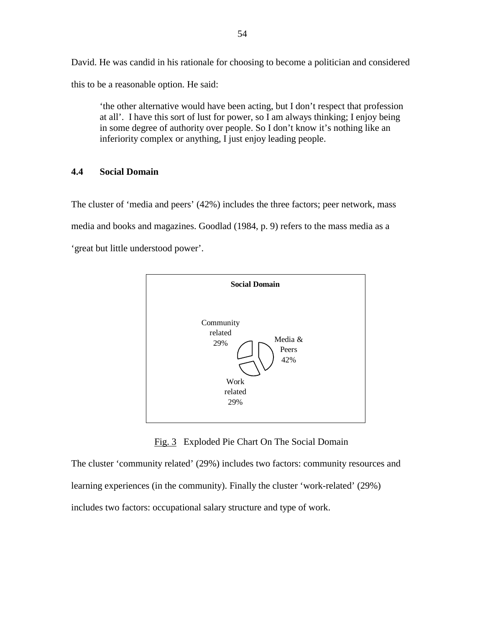David. He was candid in his rationale for choosing to become a politician and considered this to be a reasonable option. He said:

'the other alternative would have been acting, but I don't respect that profession at all'. I have this sort of lust for power, so I am always thinking; I enjoy being in some degree of authority over people. So I don't know it's nothing like an inferiority complex or anything, I just enjoy leading people.

## **4.4 Social Domain**

The cluster of 'media and peers' (42%) includes the three factors; peer network, mass media and books and magazines. Goodlad (1984, p. 9) refers to the mass media as a 'great but little understood power'.



Fig. 3 Exploded Pie Chart On The Social Domain

The cluster 'community related' (29%) includes two factors: community resources and learning experiences (in the community). Finally the cluster 'work-related' (29%) includes two factors: occupational salary structure and type of work.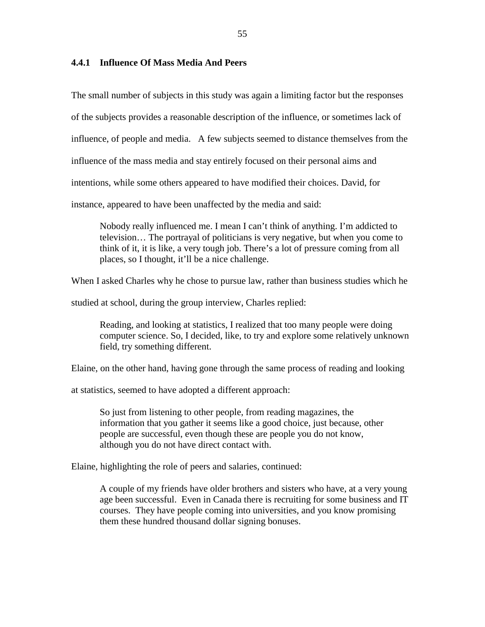### **4.4.1 Influence Of Mass Media And Peers**

The small number of subjects in this study was again a limiting factor but the responses

of the subjects provides a reasonable description of the influence, or sometimes lack of

influence, of people and media. A few subjects seemed to distance themselves from the

influence of the mass media and stay entirely focused on their personal aims and

intentions, while some others appeared to have modified their choices. David, for

instance, appeared to have been unaffected by the media and said:

Nobody really influenced me. I mean I can't think of anything. I'm addicted to television… The portrayal of politicians is very negative, but when you come to think of it, it is like, a very tough job. There's a lot of pressure coming from all places, so I thought, it'll be a nice challenge.

When I asked Charles why he chose to pursue law, rather than business studies which he

studied at school, during the group interview, Charles replied:

Reading, and looking at statistics, I realized that too many people were doing computer science. So, I decided, like, to try and explore some relatively unknown field, try something different.

Elaine, on the other hand, having gone through the same process of reading and looking

at statistics, seemed to have adopted a different approach:

So just from listening to other people, from reading magazines, the information that you gather it seems like a good choice, just because, other people are successful, even though these are people you do not know, although you do not have direct contact with.

Elaine, highlighting the role of peers and salaries, continued:

A couple of my friends have older brothers and sisters who have, at a very young age been successful. Even in Canada there is recruiting for some business and IT courses. They have people coming into universities, and you know promising them these hundred thousand dollar signing bonuses.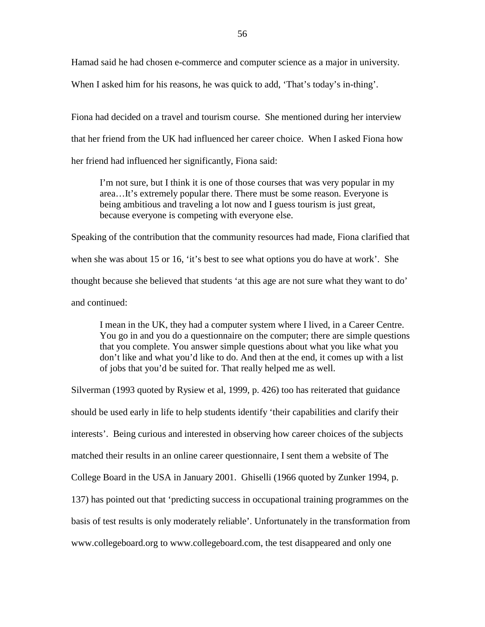Hamad said he had chosen e-commerce and computer science as a major in university.

When I asked him for his reasons, he was quick to add, 'That's today's in-thing'.

Fiona had decided on a travel and tourism course. She mentioned during her interview that her friend from the UK had influenced her career choice. When I asked Fiona how her friend had influenced her significantly, Fiona said:

I'm not sure, but I think it is one of those courses that was very popular in my area…It's extremely popular there. There must be some reason. Everyone is being ambitious and traveling a lot now and I guess tourism is just great, because everyone is competing with everyone else.

Speaking of the contribution that the community resources had made, Fiona clarified that when she was about 15 or 16, 'it's best to see what options you do have at work'. She thought because she believed that students 'at this age are not sure what they want to do' and continued:

I mean in the UK, they had a computer system where I lived, in a Career Centre. You go in and you do a questionnaire on the computer; there are simple questions that you complete. You answer simple questions about what you like what you don't like and what you'd like to do. And then at the end, it comes up with a list of jobs that you'd be suited for. That really helped me as well.

Silverman (1993 quoted by Rysiew et al, 1999, p. 426) too has reiterated that guidance should be used early in life to help students identify 'their capabilities and clarify their interests'. Being curious and interested in observing how career choices of the subjects matched their results in an online career questionnaire, I sent them a website of The College Board in the USA in January 2001. Ghiselli (1966 quoted by Zunker 1994, p. 137) has pointed out that 'predicting success in occupational training programmes on the basis of test results is only moderately reliable'. Unfortunately in the transformation from www.collegeboard.org to www.collegeboard.com, the test disappeared and only one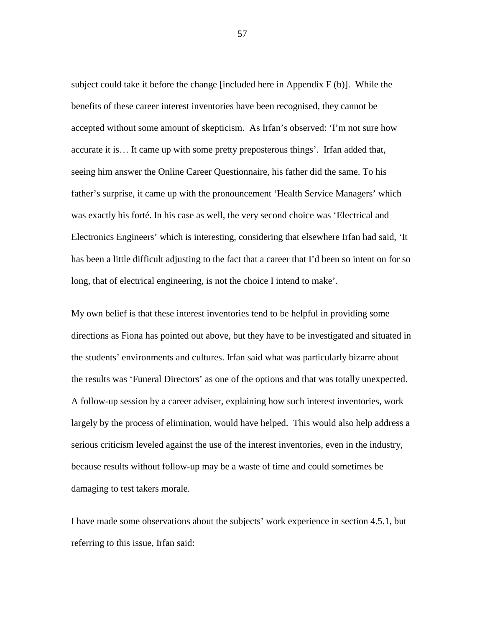subject could take it before the change [included here in Appendix F (b)]. While the benefits of these career interest inventories have been recognised, they cannot be accepted without some amount of skepticism. As Irfan's observed: 'I'm not sure how accurate it is… It came up with some pretty preposterous things'. Irfan added that, seeing him answer the Online Career Questionnaire, his father did the same. To his father's surprise, it came up with the pronouncement 'Health Service Managers' which was exactly his forté. In his case as well, the very second choice was 'Electrical and Electronics Engineers' which is interesting, considering that elsewhere Irfan had said, 'It has been a little difficult adjusting to the fact that a career that I'd been so intent on for so long, that of electrical engineering, is not the choice I intend to make'.

My own belief is that these interest inventories tend to be helpful in providing some directions as Fiona has pointed out above, but they have to be investigated and situated in the students' environments and cultures. Irfan said what was particularly bizarre about the results was 'Funeral Directors' as one of the options and that was totally unexpected. A follow-up session by a career adviser, explaining how such interest inventories, work largely by the process of elimination, would have helped. This would also help address a serious criticism leveled against the use of the interest inventories, even in the industry, because results without follow-up may be a waste of time and could sometimes be damaging to test takers morale.

I have made some observations about the subjects' work experience in section 4.5.1, but referring to this issue, Irfan said: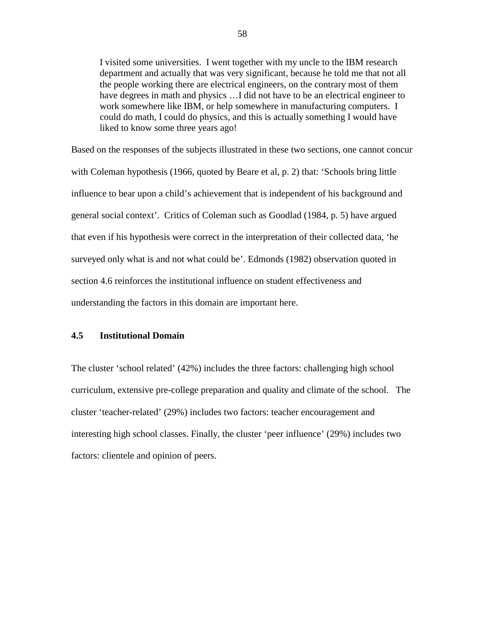I visited some universities. I went together with my uncle to the IBM research department and actually that was very significant, because he told me that not all the people working there are electrical engineers, on the contrary most of them have degrees in math and physics ... I did not have to be an electrical engineer to work somewhere like IBM, or help somewhere in manufacturing computers. I could do math, I could do physics, and this is actually something I would have liked to know some three years ago!

Based on the responses of the subjects illustrated in these two sections, one cannot concur with Coleman hypothesis (1966, quoted by Beare et al, p. 2) that: 'Schools bring little influence to bear upon a child's achievement that is independent of his background and general social context'. Critics of Coleman such as Goodlad (1984, p. 5) have argued that even if his hypothesis were correct in the interpretation of their collected data, 'he surveyed only what is and not what could be'. Edmonds (1982) observation quoted in section 4.6 reinforces the institutional influence on student effectiveness and understanding the factors in this domain are important here.

## **4.5 Institutional Domain**

The cluster 'school related' (42%) includes the three factors: challenging high school curriculum, extensive pre-college preparation and quality and climate of the school. The cluster 'teacher-related' (29%) includes two factors: teacher encouragement and interesting high school classes. Finally, the cluster 'peer influence' (29%) includes two factors: clientele and opinion of peers.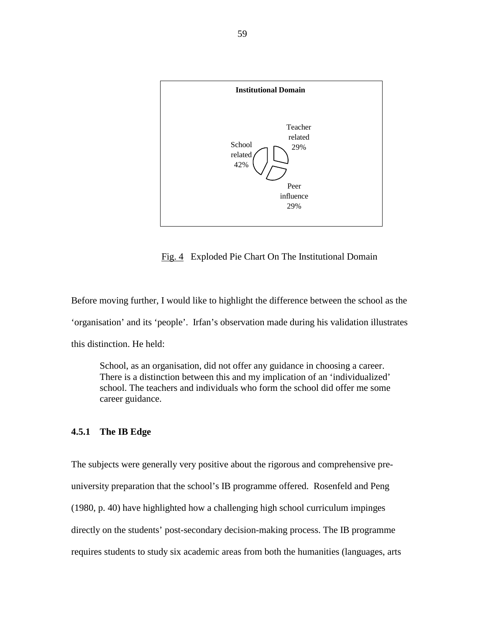

Fig. 4 Exploded Pie Chart On The Institutional Domain

Before moving further, I would like to highlight the difference between the school as the 'organisation' and its 'people'. Irfan's observation made during his validation illustrates this distinction. He held:

School, as an organisation, did not offer any guidance in choosing a career. There is a distinction between this and my implication of an 'individualized' school. The teachers and individuals who form the school did offer me some career guidance.

## **4.5.1 The IB Edge**

The subjects were generally very positive about the rigorous and comprehensive preuniversity preparation that the school's IB programme offered. Rosenfeld and Peng (1980, p. 40) have highlighted how a challenging high school curriculum impinges directly on the students' post-secondary decision-making process. The IB programme requires students to study six academic areas from both the humanities (languages, arts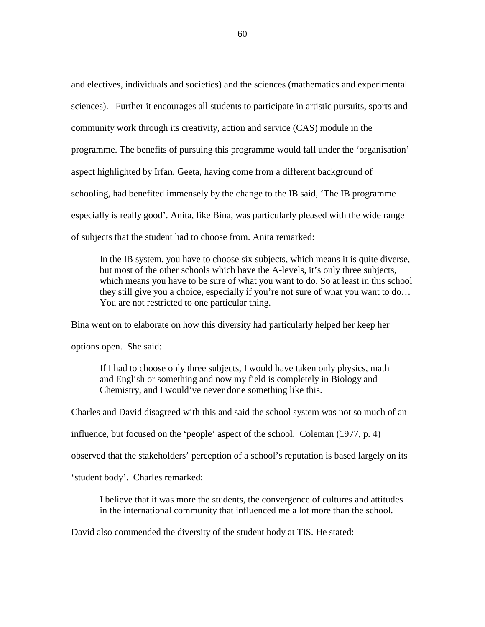and electives, individuals and societies) and the sciences (mathematics and experimental sciences). Further it encourages all students to participate in artistic pursuits, sports and community work through its creativity, action and service (CAS) module in the programme. The benefits of pursuing this programme would fall under the 'organisation' aspect highlighted by Irfan. Geeta, having come from a different background of schooling, had benefited immensely by the change to the IB said, 'The IB programme especially is really good'. Anita, like Bina, was particularly pleased with the wide range of subjects that the student had to choose from. Anita remarked:

In the IB system, you have to choose six subjects, which means it is quite diverse, but most of the other schools which have the A-levels, it's only three subjects, which means you have to be sure of what you want to do. So at least in this school they still give you a choice, especially if you're not sure of what you want to do… You are not restricted to one particular thing.

Bina went on to elaborate on how this diversity had particularly helped her keep her

options open. She said:

 If I had to choose only three subjects, I would have taken only physics, math and English or something and now my field is completely in Biology and Chemistry, and I would've never done something like this.

Charles and David disagreed with this and said the school system was not so much of an

influence, but focused on the 'people' aspect of the school. Coleman (1977, p. 4)

observed that the stakeholders' perception of a school's reputation is based largely on its

'student body'. Charles remarked:

I believe that it was more the students, the convergence of cultures and attitudes in the international community that influenced me a lot more than the school.

David also commended the diversity of the student body at TIS. He stated: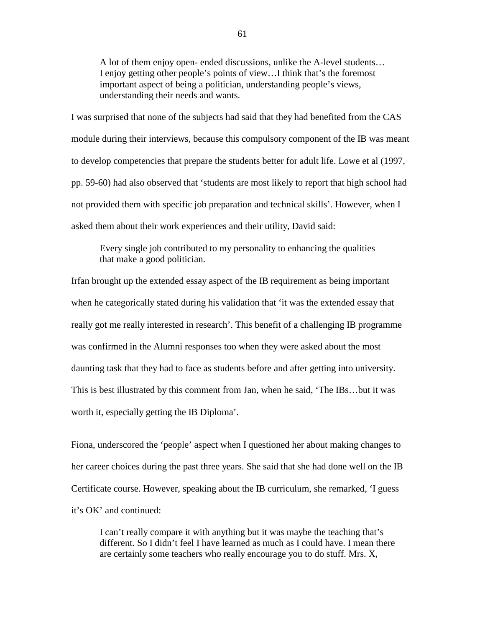A lot of them enjoy open- ended discussions, unlike the A-level students… I enjoy getting other people's points of view…I think that's the foremost important aspect of being a politician, understanding people's views, understanding their needs and wants.

I was surprised that none of the subjects had said that they had benefited from the CAS module during their interviews, because this compulsory component of the IB was meant to develop competencies that prepare the students better for adult life. Lowe et al (1997, pp. 59-60) had also observed that 'students are most likely to report that high school had not provided them with specific job preparation and technical skills'. However, when I asked them about their work experiences and their utility, David said:

Every single job contributed to my personality to enhancing the qualities that make a good politician.

Irfan brought up the extended essay aspect of the IB requirement as being important when he categorically stated during his validation that 'it was the extended essay that really got me really interested in research'. This benefit of a challenging IB programme was confirmed in the Alumni responses too when they were asked about the most daunting task that they had to face as students before and after getting into university. This is best illustrated by this comment from Jan, when he said, 'The IBs…but it was worth it, especially getting the IB Diploma'.

Fiona, underscored the 'people' aspect when I questioned her about making changes to her career choices during the past three years. She said that she had done well on the IB Certificate course. However, speaking about the IB curriculum, she remarked, 'I guess it's OK' and continued:

I can't really compare it with anything but it was maybe the teaching that's different. So I didn't feel I have learned as much as I could have. I mean there are certainly some teachers who really encourage you to do stuff. Mrs. X,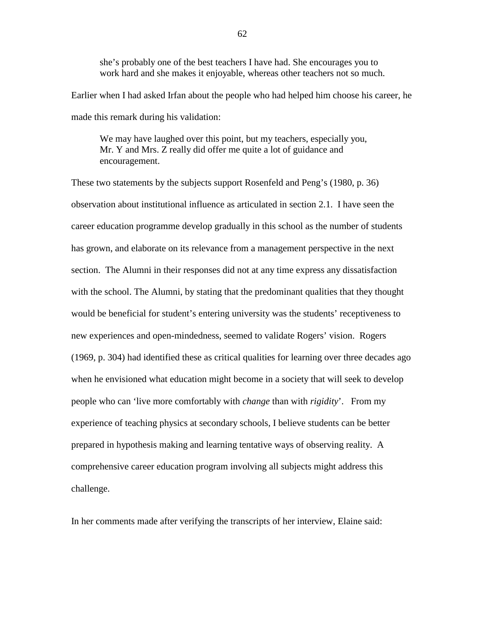she's probably one of the best teachers I have had. She encourages you to work hard and she makes it enjoyable, whereas other teachers not so much.

Earlier when I had asked Irfan about the people who had helped him choose his career, he made this remark during his validation:

We may have laughed over this point, but my teachers, especially you, Mr. Y and Mrs. Z really did offer me quite a lot of guidance and encouragement.

These two statements by the subjects support Rosenfeld and Peng's (1980, p. 36) observation about institutional influence as articulated in section 2.1. I have seen the career education programme develop gradually in this school as the number of students has grown, and elaborate on its relevance from a management perspective in the next section. The Alumni in their responses did not at any time express any dissatisfaction with the school. The Alumni, by stating that the predominant qualities that they thought would be beneficial for student's entering university was the students' receptiveness to new experiences and open-mindedness, seemed to validate Rogers' vision. Rogers (1969, p. 304) had identified these as critical qualities for learning over three decades ago when he envisioned what education might become in a society that will seek to develop people who can 'live more comfortably with *change* than with *rigidity*'. From my experience of teaching physics at secondary schools, I believe students can be better prepared in hypothesis making and learning tentative ways of observing reality. A comprehensive career education program involving all subjects might address this challenge.

In her comments made after verifying the transcripts of her interview, Elaine said: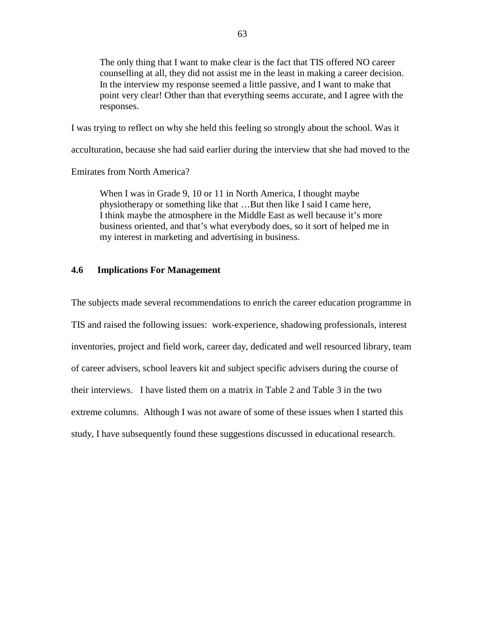The only thing that I want to make clear is the fact that TIS offered NO career counselling at all, they did not assist me in the least in making a career decision. In the interview my response seemed a little passive, and I want to make that point very clear! Other than that everything seems accurate, and I agree with the responses.

I was trying to reflect on why she held this feeling so strongly about the school. Was it

acculturation, because she had said earlier during the interview that she had moved to the

Emirates from North America?

When I was in Grade 9, 10 or 11 in North America, I thought maybe physiotherapy or something like that …But then like I said I came here, I think maybe the atmosphere in the Middle East as well because it's more business oriented, and that's what everybody does, so it sort of helped me in my interest in marketing and advertising in business.

## **4.6 Implications For Management**

The subjects made several recommendations to enrich the career education programme in TIS and raised the following issues: work-experience, shadowing professionals, interest inventories, project and field work, career day, dedicated and well resourced library, team of career advisers, school leavers kit and subject specific advisers during the course of their interviews. I have listed them on a matrix in Table 2 and Table 3 in the two extreme columns. Although I was not aware of some of these issues when I started this study, I have subsequently found these suggestions discussed in educational research.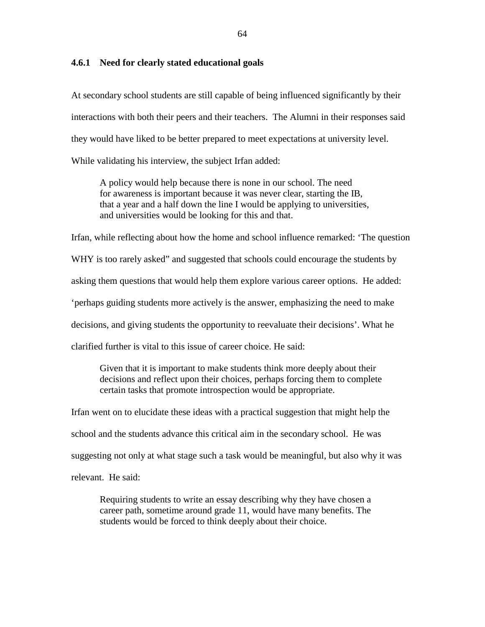#### **4.6.1 Need for clearly stated educational goals**

At secondary school students are still capable of being influenced significantly by their interactions with both their peers and their teachers. The Alumni in their responses said they would have liked to be better prepared to meet expectations at university level. While validating his interview, the subject Irfan added:

 A policy would help because there is none in our school. The need for awareness is important because it was never clear, starting the IB, that a year and a half down the line I would be applying to universities, and universities would be looking for this and that.

Irfan, while reflecting about how the home and school influence remarked: 'The question

WHY is too rarely asked" and suggested that schools could encourage the students by

asking them questions that would help them explore various career options. He added:

'perhaps guiding students more actively is the answer, emphasizing the need to make

decisions, and giving students the opportunity to reevaluate their decisions'. What he

clarified further is vital to this issue of career choice. He said:

 Given that it is important to make students think more deeply about their decisions and reflect upon their choices, perhaps forcing them to complete certain tasks that promote introspection would be appropriate.

Irfan went on to elucidate these ideas with a practical suggestion that might help the school and the students advance this critical aim in the secondary school. He was suggesting not only at what stage such a task would be meaningful, but also why it was relevant. He said:

 Requiring students to write an essay describing why they have chosen a career path, sometime around grade 11, would have many benefits. The students would be forced to think deeply about their choice.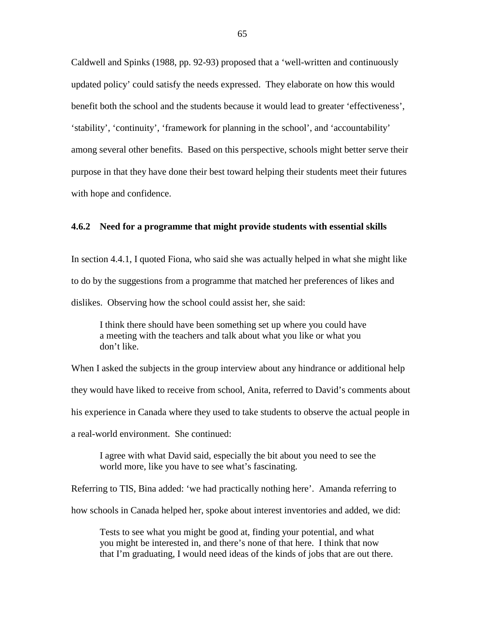Caldwell and Spinks (1988, pp. 92-93) proposed that a 'well-written and continuously updated policy' could satisfy the needs expressed. They elaborate on how this would benefit both the school and the students because it would lead to greater 'effectiveness', 'stability', 'continuity', 'framework for planning in the school', and 'accountability' among several other benefits. Based on this perspective, schools might better serve their purpose in that they have done their best toward helping their students meet their futures with hope and confidence.

### **4.6.2 Need for a programme that might provide students with essential skills**

In section 4.4.1, I quoted Fiona, who said she was actually helped in what she might like to do by the suggestions from a programme that matched her preferences of likes and dislikes. Observing how the school could assist her, she said:

 I think there should have been something set up where you could have a meeting with the teachers and talk about what you like or what you don't like.

When I asked the subjects in the group interview about any hindrance or additional help they would have liked to receive from school, Anita, referred to David's comments about his experience in Canada where they used to take students to observe the actual people in a real-world environment. She continued:

 I agree with what David said, especially the bit about you need to see the world more, like you have to see what's fascinating.

Referring to TIS, Bina added: 'we had practically nothing here'. Amanda referring to

how schools in Canada helped her, spoke about interest inventories and added, we did:

 Tests to see what you might be good at, finding your potential, and what you might be interested in, and there's none of that here. I think that now that I'm graduating, I would need ideas of the kinds of jobs that are out there.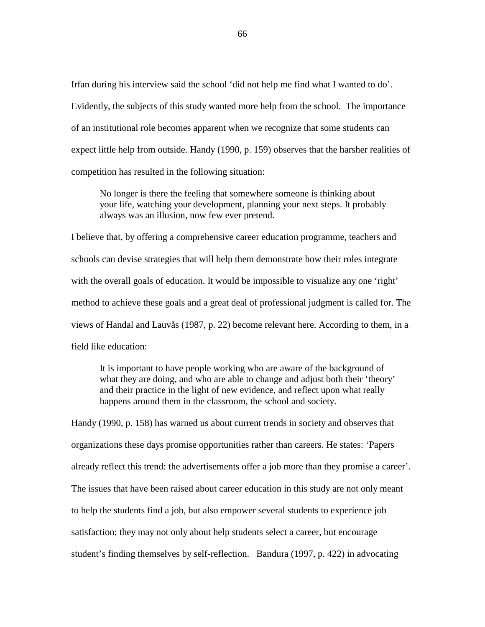Irfan during his interview said the school 'did not help me find what I wanted to do'. Evidently, the subjects of this study wanted more help from the school. The importance of an institutional role becomes apparent when we recognize that some students can expect little help from outside. Handy (1990, p. 159) observes that the harsher realities of competition has resulted in the following situation:

 No longer is there the feeling that somewhere someone is thinking about your life, watching your development, planning your next steps. It probably always was an illusion, now few ever pretend.

I believe that, by offering a comprehensive career education programme, teachers and schools can devise strategies that will help them demonstrate how their roles integrate with the overall goals of education. It would be impossible to visualize any one 'right' method to achieve these goals and a great deal of professional judgment is called for. The views of Handal and Lauvås (1987, p. 22) become relevant here. According to them, in a field like education:

 It is important to have people working who are aware of the background of what they are doing, and who are able to change and adjust both their 'theory' and their practice in the light of new evidence, and reflect upon what really happens around them in the classroom, the school and society.

Handy (1990, p. 158) has warned us about current trends in society and observes that organizations these days promise opportunities rather than careers. He states: 'Papers already reflect this trend: the advertisements offer a job more than they promise a career'. The issues that have been raised about career education in this study are not only meant to help the students find a job, but also empower several students to experience job satisfaction; they may not only about help students select a career, but encourage student's finding themselves by self-reflection. Bandura (1997, p. 422) in advocating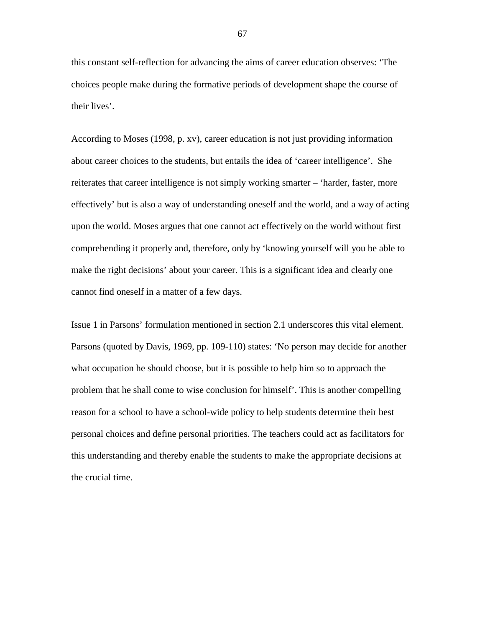this constant self-reflection for advancing the aims of career education observes: 'The choices people make during the formative periods of development shape the course of their lives'.

According to Moses (1998, p. xv), career education is not just providing information about career choices to the students, but entails the idea of 'career intelligence'. She reiterates that career intelligence is not simply working smarter – 'harder, faster, more effectively' but is also a way of understanding oneself and the world, and a way of acting upon the world. Moses argues that one cannot act effectively on the world without first comprehending it properly and, therefore, only by 'knowing yourself will you be able to make the right decisions' about your career. This is a significant idea and clearly one cannot find oneself in a matter of a few days.

Issue 1 in Parsons' formulation mentioned in section 2.1 underscores this vital element. Parsons (quoted by Davis, 1969, pp. 109-110) states: 'No person may decide for another what occupation he should choose, but it is possible to help him so to approach the problem that he shall come to wise conclusion for himself'. This is another compelling reason for a school to have a school-wide policy to help students determine their best personal choices and define personal priorities. The teachers could act as facilitators for this understanding and thereby enable the students to make the appropriate decisions at the crucial time.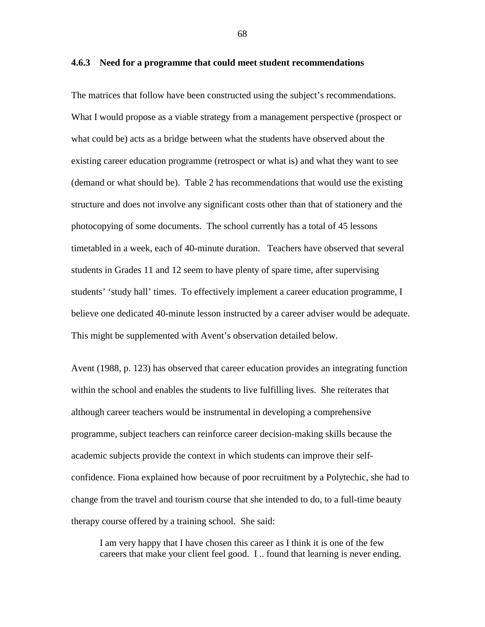**4.6.3 Need for a programme that could meet student recommendations** 

The matrices that follow have been constructed using the subject's recommendations. What I would propose as a viable strategy from a management perspective (prospect or what could be) acts as a bridge between what the students have observed about the existing career education programme (retrospect or what is) and what they want to see (demand or what should be). Table 2 has recommendations that would use the existing structure and does not involve any significant costs other than that of stationery and the photocopying of some documents. The school currently has a total of 45 lessons timetabled in a week, each of 40-minute duration. Teachers have observed that several students in Grades 11 and 12 seem to have plenty of spare time, after supervising students' 'study hall' times. To effectively implement a career education programme, I believe one dedicated 40-minute lesson instructed by a career adviser would be adequate. This might be supplemented with Avent's observation detailed below.

Avent (1988, p. 123) has observed that career education provides an integrating function within the school and enables the students to live fulfilling lives. She reiterates that although career teachers would be instrumental in developing a comprehensive programme, subject teachers can reinforce career decision-making skills because the academic subjects provide the context in which students can improve their selfconfidence. Fiona explained how because of poor recruitment by a Polytechic, she had to change from the travel and tourism course that she intended to do, to a full-time beauty therapy course offered by a training school. She said:

 I am very happy that I have chosen this career as I think it is one of the few careers that make your client feel good. I .. found that learning is never ending.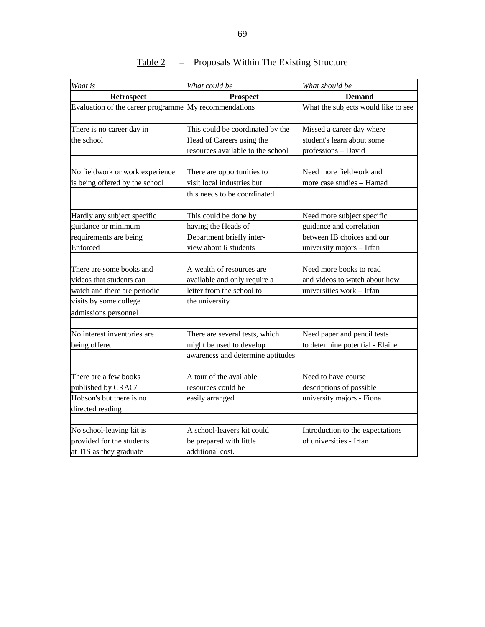| What is                                               | What could be                     | What should be                      |
|-------------------------------------------------------|-----------------------------------|-------------------------------------|
| Retrospect                                            | <b>Prospect</b>                   | <b>Demand</b>                       |
| Evaluation of the career programme My recommendations |                                   | What the subjects would like to see |
|                                                       |                                   |                                     |
| There is no career day in                             | This could be coordinated by the  | Missed a career day where           |
| the school                                            | Head of Careers using the         | student's learn about some          |
|                                                       | resources available to the school | professions - David                 |
|                                                       |                                   |                                     |
| No fieldwork or work experience                       | There are opportunities to        | Need more fieldwork and             |
| is being offered by the school                        | visit local industries but        | more case studies - Hamad           |
|                                                       | this needs to be coordinated      |                                     |
|                                                       |                                   |                                     |
| Hardly any subject specific                           | This could be done by             | Need more subject specific          |
| guidance or minimum                                   | having the Heads of               | guidance and correlation            |
| requirements are being                                | Department briefly inter-         | between IB choices and our          |
| Enforced                                              | view about 6 students             | university majors - Irfan           |
|                                                       |                                   |                                     |
| There are some books and                              | A wealth of resources are         | Need more books to read             |
| videos that students can                              | available and only require a      | and videos to watch about how       |
| watch and there are periodic                          | letter from the school to         | universities work - Irfan           |
| visits by some college                                | the university                    |                                     |
| admissions personnel                                  |                                   |                                     |
|                                                       |                                   |                                     |
| No interest inventories are                           | There are several tests, which    | Need paper and pencil tests         |
| being offered                                         | might be used to develop          | to determine potential - Elaine     |
|                                                       | awareness and determine aptitudes |                                     |
|                                                       |                                   |                                     |
| There are a few books                                 | A tour of the available           | Need to have course                 |
| published by CRAC/                                    | resources could be                | descriptions of possible            |
| Hobson's but there is no                              | easily arranged                   | university majors - Fiona           |
| directed reading                                      |                                   |                                     |
|                                                       |                                   |                                     |
| No school-leaving kit is                              | A school-leavers kit could        | Introduction to the expectations    |
| provided for the students                             | be prepared with little           | of universities - Irfan             |
| at TIS as they graduate                               | additional cost.                  |                                     |

## Table 2 – Proposals Within The Existing Structure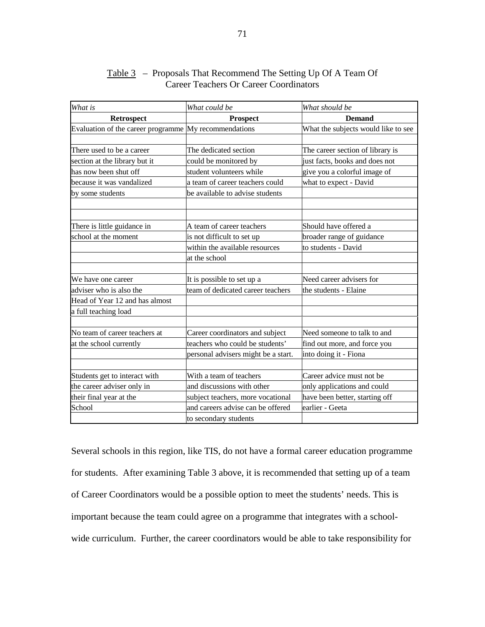| What is                                               | What could be                       | What should be                      |
|-------------------------------------------------------|-------------------------------------|-------------------------------------|
| Retrospect                                            | <b>Prospect</b>                     | <b>Demand</b>                       |
| Evaluation of the career programme My recommendations |                                     | What the subjects would like to see |
|                                                       |                                     |                                     |
| There used to be a career                             | The dedicated section               | The career section of library is    |
| section at the library but it                         | could be monitored by               | just facts, books and does not      |
| has now been shut off                                 | student volunteers while            | give you a colorful image of        |
| because it was vandalized                             | a team of career teachers could     | what to expect - David              |
| by some students                                      | be available to advise students     |                                     |
|                                                       |                                     |                                     |
|                                                       |                                     |                                     |
| There is little guidance in                           | A team of career teachers           | Should have offered a               |
| school at the moment                                  | is not difficult to set up          | broader range of guidance           |
|                                                       | within the available resources      | to students - David                 |
|                                                       | at the school                       |                                     |
|                                                       |                                     |                                     |
| We have one career                                    | It is possible to set up a          | Need career advisers for            |
| adviser who is also the                               | team of dedicated career teachers   | the students - Elaine               |
| Head of Year 12 and has almost                        |                                     |                                     |
| a full teaching load                                  |                                     |                                     |
|                                                       |                                     |                                     |
| No team of career teachers at                         | Career coordinators and subject     | Need someone to talk to and         |
| at the school currently                               | teachers who could be students'     | find out more, and force you        |
|                                                       | personal advisers might be a start. | into doing it - Fiona               |
| Students get to interact with                         | With a team of teachers             | Career advice must not be           |
|                                                       |                                     |                                     |
| the career adviser only in                            | and discussions with other          | only applications and could         |
| their final year at the                               | subject teachers, more vocational   | have been better, starting off      |
| School                                                | and careers advise can be offered   | earlier - Geeta                     |
|                                                       | to secondary students               |                                     |

## Table 3 – Proposals That Recommend The Setting Up Of A Team Of Career Teachers Or Career Coordinators

Several schools in this region, like TIS, do not have a formal career education programme for students. After examining Table 3 above, it is recommended that setting up of a team of Career Coordinators would be a possible option to meet the students' needs. This is important because the team could agree on a programme that integrates with a schoolwide curriculum. Further, the career coordinators would be able to take responsibility for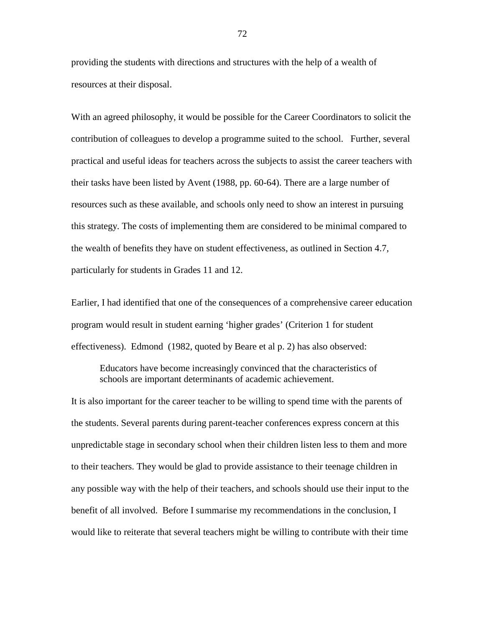providing the students with directions and structures with the help of a wealth of resources at their disposal.

With an agreed philosophy, it would be possible for the Career Coordinators to solicit the contribution of colleagues to develop a programme suited to the school. Further, several practical and useful ideas for teachers across the subjects to assist the career teachers with their tasks have been listed by Avent (1988, pp. 60-64). There are a large number of resources such as these available, and schools only need to show an interest in pursuing this strategy. The costs of implementing them are considered to be minimal compared to the wealth of benefits they have on student effectiveness, as outlined in Section 4.7, particularly for students in Grades 11 and 12.

Earlier, I had identified that one of the consequences of a comprehensive career education program would result in student earning 'higher grades' (Criterion 1 for student effectiveness). Edmond (1982, quoted by Beare et al p. 2) has also observed:

Educators have become increasingly convinced that the characteristics of schools are important determinants of academic achievement.

It is also important for the career teacher to be willing to spend time with the parents of the students. Several parents during parent-teacher conferences express concern at this unpredictable stage in secondary school when their children listen less to them and more to their teachers. They would be glad to provide assistance to their teenage children in any possible way with the help of their teachers, and schools should use their input to the benefit of all involved. Before I summarise my recommendations in the conclusion, I would like to reiterate that several teachers might be willing to contribute with their time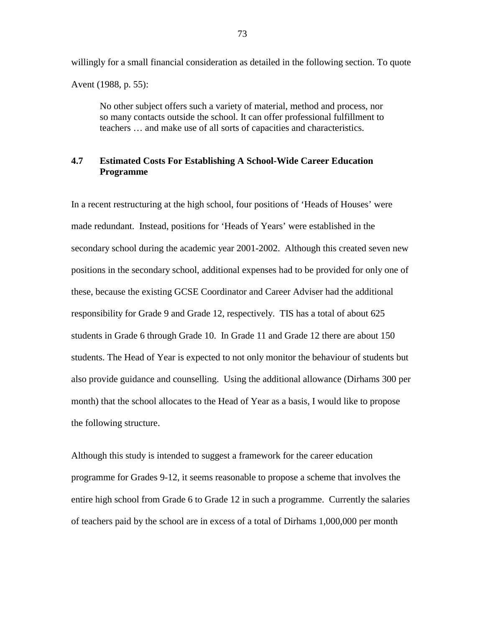willingly for a small financial consideration as detailed in the following section. To quote Avent (1988, p. 55):

 No other subject offers such a variety of material, method and process, nor so many contacts outside the school. It can offer professional fulfillment to teachers … and make use of all sorts of capacities and characteristics.

## **4.7 Estimated Costs For Establishing A School-Wide Career Education Programme**

In a recent restructuring at the high school, four positions of 'Heads of Houses' were made redundant. Instead, positions for 'Heads of Years' were established in the secondary school during the academic year 2001-2002. Although this created seven new positions in the secondary school, additional expenses had to be provided for only one of these, because the existing GCSE Coordinator and Career Adviser had the additional responsibility for Grade 9 and Grade 12, respectively. TIS has a total of about 625 students in Grade 6 through Grade 10. In Grade 11 and Grade 12 there are about 150 students. The Head of Year is expected to not only monitor the behaviour of students but also provide guidance and counselling. Using the additional allowance (Dirhams 300 per month) that the school allocates to the Head of Year as a basis, I would like to propose the following structure.

Although this study is intended to suggest a framework for the career education programme for Grades 9-12, it seems reasonable to propose a scheme that involves the entire high school from Grade 6 to Grade 12 in such a programme. Currently the salaries of teachers paid by the school are in excess of a total of Dirhams 1,000,000 per month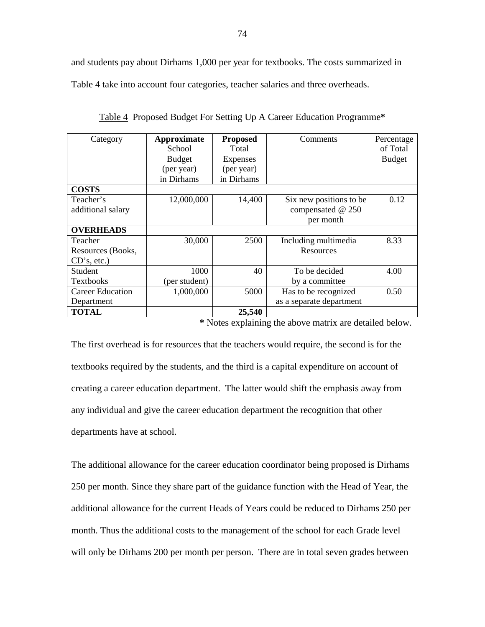and students pay about Dirhams 1,000 per year for textbooks. The costs summarized in Table 4 take into account four categories, teacher salaries and three overheads.

| Category                | Approximate   | <b>Proposed</b> | Comments                 | Percentage    |
|-------------------------|---------------|-----------------|--------------------------|---------------|
|                         | School        | Total           |                          | of Total      |
|                         | <b>Budget</b> | <b>Expenses</b> |                          | <b>Budget</b> |
|                         | (per year)    | (per year)      |                          |               |
|                         | in Dirhams    | in Dirhams      |                          |               |
| <b>COSTS</b>            |               |                 |                          |               |
| Teacher's               | 12,000,000    | 14,400          | Six new positions to be  | 0.12          |
| additional salary       |               |                 | compensated @ 250        |               |
|                         |               |                 | per month                |               |
| <b>OVERHEADS</b>        |               |                 |                          |               |
| Teacher                 | 30,000        | 2500            | Including multimedia     | 8.33          |
| Resources (Books,       |               |                 | Resources                |               |
| CD's, etc.)             |               |                 |                          |               |
| Student                 | 1000          | 40              | To be decided            | 4.00          |
| <b>Textbooks</b>        | (per student) |                 | by a committee           |               |
| <b>Career Education</b> | 1,000,000     | 5000            | Has to be recognized     | 0.50          |
| Department              |               |                 | as a separate department |               |
| <b>TOTAL</b>            |               | 25,540          |                          |               |

Table 4 Proposed Budget For Setting Up A Career Education Programme**\***

**\*** Notes explaining the above matrix are detailed below.

The first overhead is for resources that the teachers would require, the second is for the textbooks required by the students, and the third is a capital expenditure on account of creating a career education department. The latter would shift the emphasis away from any individual and give the career education department the recognition that other departments have at school.

The additional allowance for the career education coordinator being proposed is Dirhams 250 per month. Since they share part of the guidance function with the Head of Year, the additional allowance for the current Heads of Years could be reduced to Dirhams 250 per month. Thus the additional costs to the management of the school for each Grade level will only be Dirhams 200 per month per person. There are in total seven grades between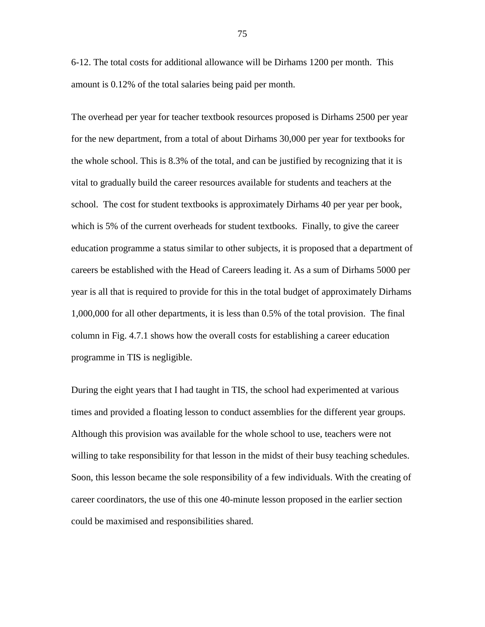6-12. The total costs for additional allowance will be Dirhams 1200 per month. This amount is 0.12% of the total salaries being paid per month.

The overhead per year for teacher textbook resources proposed is Dirhams 2500 per year for the new department, from a total of about Dirhams 30,000 per year for textbooks for the whole school. This is 8.3% of the total, and can be justified by recognizing that it is vital to gradually build the career resources available for students and teachers at the school. The cost for student textbooks is approximately Dirhams 40 per year per book, which is 5% of the current overheads for student textbooks. Finally, to give the career education programme a status similar to other subjects, it is proposed that a department of careers be established with the Head of Careers leading it. As a sum of Dirhams 5000 per year is all that is required to provide for this in the total budget of approximately Dirhams 1,000,000 for all other departments, it is less than 0.5% of the total provision. The final column in Fig. 4.7.1 shows how the overall costs for establishing a career education programme in TIS is negligible.

During the eight years that I had taught in TIS, the school had experimented at various times and provided a floating lesson to conduct assemblies for the different year groups. Although this provision was available for the whole school to use, teachers were not willing to take responsibility for that lesson in the midst of their busy teaching schedules. Soon, this lesson became the sole responsibility of a few individuals. With the creating of career coordinators, the use of this one 40-minute lesson proposed in the earlier section could be maximised and responsibilities shared.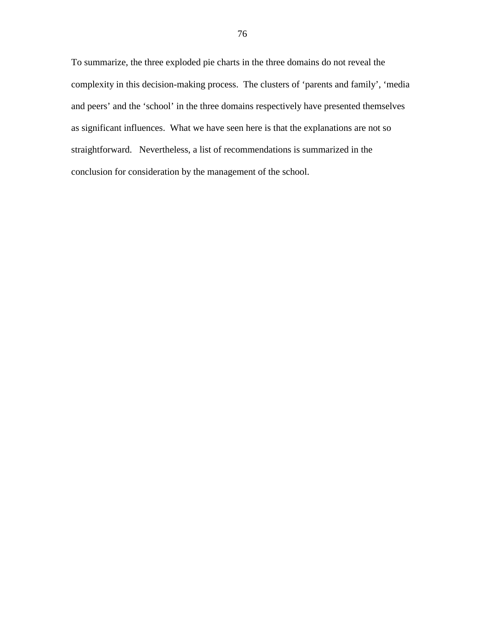To summarize, the three exploded pie charts in the three domains do not reveal the complexity in this decision-making process. The clusters of 'parents and family', 'media and peers' and the 'school' in the three domains respectively have presented themselves as significant influences. What we have seen here is that the explanations are not so straightforward. Nevertheless, a list of recommendations is summarized in the conclusion for consideration by the management of the school.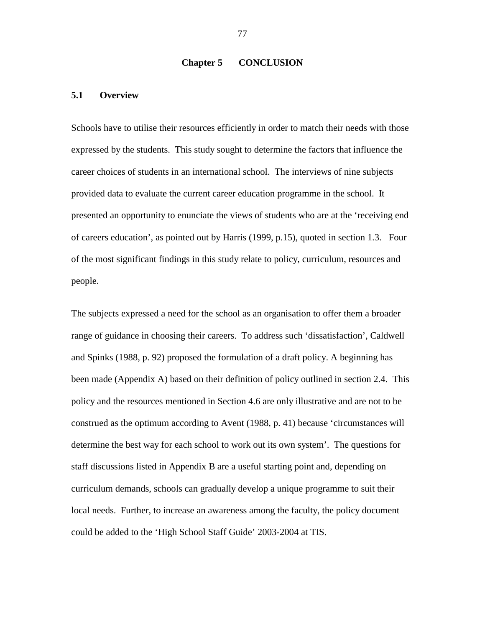#### **Chapter 5 CONCLUSION**

#### **5.1 Overview**

Schools have to utilise their resources efficiently in order to match their needs with those expressed by the students. This study sought to determine the factors that influence the career choices of students in an international school. The interviews of nine subjects provided data to evaluate the current career education programme in the school. It presented an opportunity to enunciate the views of students who are at the 'receiving end of careers education', as pointed out by Harris (1999, p.15), quoted in section 1.3. Four of the most significant findings in this study relate to policy, curriculum, resources and people.

The subjects expressed a need for the school as an organisation to offer them a broader range of guidance in choosing their careers. To address such 'dissatisfaction', Caldwell and Spinks (1988, p. 92) proposed the formulation of a draft policy. A beginning has been made (Appendix A) based on their definition of policy outlined in section 2.4. This policy and the resources mentioned in Section 4.6 are only illustrative and are not to be construed as the optimum according to Avent (1988, p. 41) because 'circumstances will determine the best way for each school to work out its own system'. The questions for staff discussions listed in Appendix B are a useful starting point and, depending on curriculum demands, schools can gradually develop a unique programme to suit their local needs. Further, to increase an awareness among the faculty, the policy document could be added to the 'High School Staff Guide' 2003-2004 at TIS.

77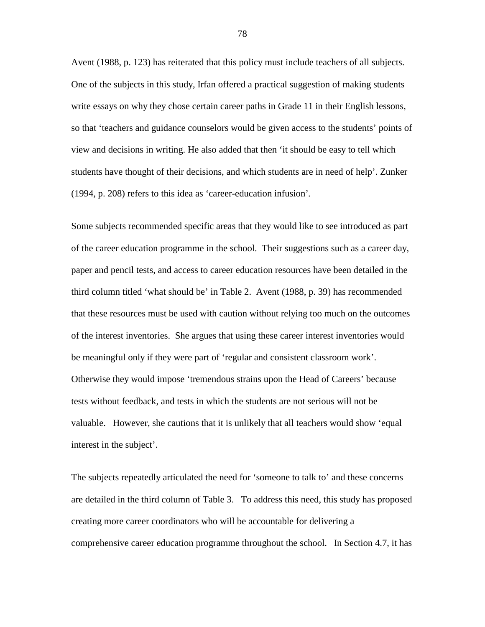Avent (1988, p. 123) has reiterated that this policy must include teachers of all subjects. One of the subjects in this study, Irfan offered a practical suggestion of making students write essays on why they chose certain career paths in Grade 11 in their English lessons, so that 'teachers and guidance counselors would be given access to the students' points of view and decisions in writing. He also added that then 'it should be easy to tell which students have thought of their decisions, and which students are in need of help'. Zunker (1994, p. 208) refers to this idea as 'career-education infusion'*.*

Some subjects recommended specific areas that they would like to see introduced as part of the career education programme in the school. Their suggestions such as a career day, paper and pencil tests, and access to career education resources have been detailed in the third column titled 'what should be' in Table 2. Avent (1988, p. 39) has recommended that these resources must be used with caution without relying too much on the outcomes of the interest inventories. She argues that using these career interest inventories would be meaningful only if they were part of 'regular and consistent classroom work'. Otherwise they would impose 'tremendous strains upon the Head of Careers' because tests without feedback, and tests in which the students are not serious will not be valuable. However, she cautions that it is unlikely that all teachers would show 'equal interest in the subject'.

The subjects repeatedly articulated the need for 'someone to talk to' and these concerns are detailed in the third column of Table 3. To address this need, this study has proposed creating more career coordinators who will be accountable for delivering a comprehensive career education programme throughout the school. In Section 4.7, it has

78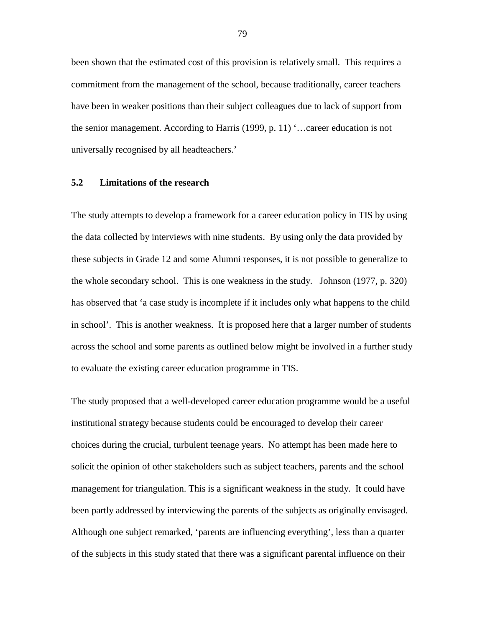been shown that the estimated cost of this provision is relatively small. This requires a commitment from the management of the school, because traditionally, career teachers have been in weaker positions than their subject colleagues due to lack of support from the senior management. According to Harris (1999, p. 11) '…career education is not universally recognised by all headteachers.'

#### **5.2 Limitations of the research**

The study attempts to develop a framework for a career education policy in TIS by using the data collected by interviews with nine students. By using only the data provided by these subjects in Grade 12 and some Alumni responses, it is not possible to generalize to the whole secondary school. This is one weakness in the study. Johnson (1977, p. 320) has observed that 'a case study is incomplete if it includes only what happens to the child in school'. This is another weakness. It is proposed here that a larger number of students across the school and some parents as outlined below might be involved in a further study to evaluate the existing career education programme in TIS.

The study proposed that a well-developed career education programme would be a useful institutional strategy because students could be encouraged to develop their career choices during the crucial, turbulent teenage years. No attempt has been made here to solicit the opinion of other stakeholders such as subject teachers, parents and the school management for triangulation. This is a significant weakness in the study. It could have been partly addressed by interviewing the parents of the subjects as originally envisaged. Although one subject remarked, 'parents are influencing everything', less than a quarter of the subjects in this study stated that there was a significant parental influence on their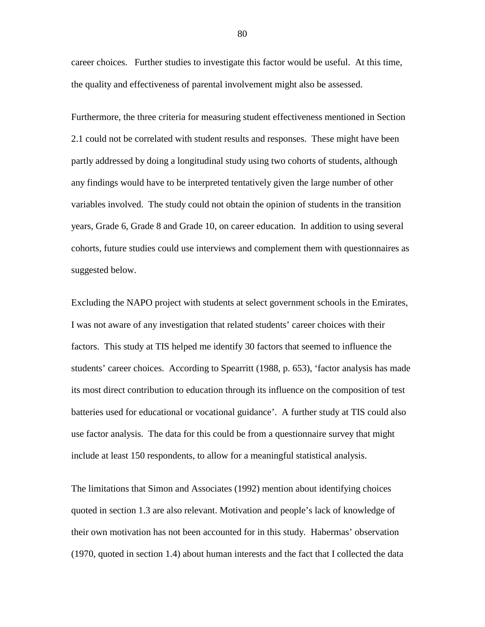career choices. Further studies to investigate this factor would be useful. At this time, the quality and effectiveness of parental involvement might also be assessed.

Furthermore, the three criteria for measuring student effectiveness mentioned in Section 2.1 could not be correlated with student results and responses. These might have been partly addressed by doing a longitudinal study using two cohorts of students, although any findings would have to be interpreted tentatively given the large number of other variables involved. The study could not obtain the opinion of students in the transition years, Grade 6, Grade 8 and Grade 10, on career education. In addition to using several cohorts, future studies could use interviews and complement them with questionnaires as suggested below.

Excluding the NAPO project with students at select government schools in the Emirates, I was not aware of any investigation that related students' career choices with their factors. This study at TIS helped me identify 30 factors that seemed to influence the students' career choices. According to Spearritt (1988, p. 653), 'factor analysis has made its most direct contribution to education through its influence on the composition of test batteries used for educational or vocational guidance'. A further study at TIS could also use factor analysis. The data for this could be from a questionnaire survey that might include at least 150 respondents, to allow for a meaningful statistical analysis.

The limitations that Simon and Associates (1992) mention about identifying choices quoted in section 1.3 are also relevant. Motivation and people's lack of knowledge of their own motivation has not been accounted for in this study. Habermas' observation (1970, quoted in section 1.4) about human interests and the fact that I collected the data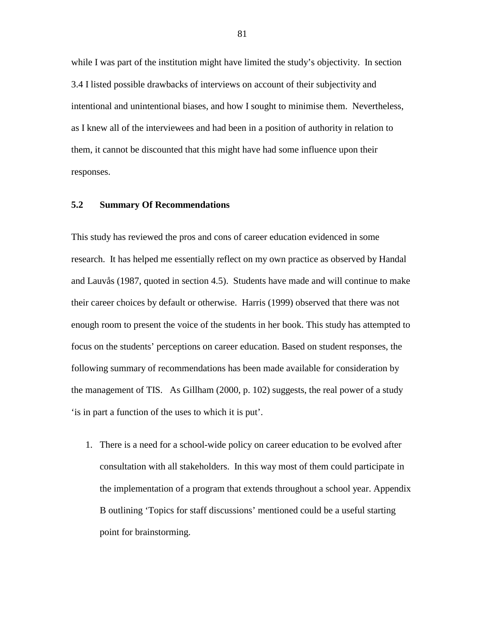while I was part of the institution might have limited the study's objectivity. In section 3.4 I listed possible drawbacks of interviews on account of their subjectivity and intentional and unintentional biases, and how I sought to minimise them. Nevertheless, as I knew all of the interviewees and had been in a position of authority in relation to them, it cannot be discounted that this might have had some influence upon their responses.

#### **5.2 Summary Of Recommendations**

This study has reviewed the pros and cons of career education evidenced in some research. It has helped me essentially reflect on my own practice as observed by Handal and Lauvås (1987, quoted in section 4.5). Students have made and will continue to make their career choices by default or otherwise. Harris (1999) observed that there was not enough room to present the voice of the students in her book. This study has attempted to focus on the students' perceptions on career education. Based on student responses, the following summary of recommendations has been made available for consideration by the management of TIS. As Gillham (2000, p. 102) suggests, the real power of a study 'is in part a function of the uses to which it is put'.

1. There is a need for a school-wide policy on career education to be evolved after consultation with all stakeholders. In this way most of them could participate in the implementation of a program that extends throughout a school year. Appendix B outlining 'Topics for staff discussions' mentioned could be a useful starting point for brainstorming.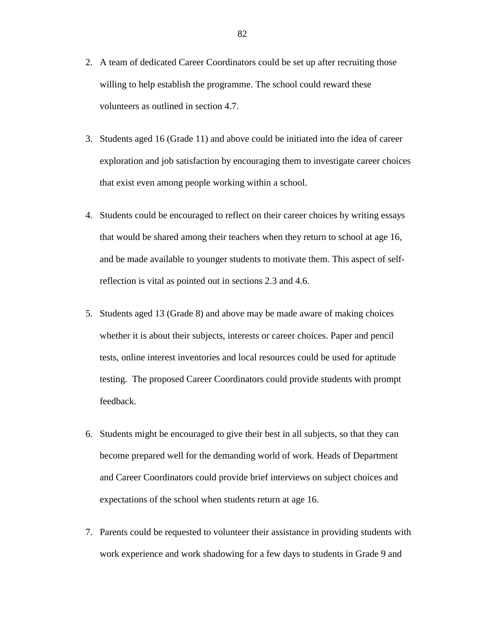- 2. A team of dedicated Career Coordinators could be set up after recruiting those willing to help establish the programme. The school could reward these volunteers as outlined in section 4.7.
- 3. Students aged 16 (Grade 11) and above could be initiated into the idea of career exploration and job satisfaction by encouraging them to investigate career choices that exist even among people working within a school.
- 4. Students could be encouraged to reflect on their career choices by writing essays that would be shared among their teachers when they return to school at age 16, and be made available to younger students to motivate them. This aspect of selfreflection is vital as pointed out in sections 2.3 and 4.6.
- 5. Students aged 13 (Grade 8) and above may be made aware of making choices whether it is about their subjects, interests or career choices. Paper and pencil tests, online interest inventories and local resources could be used for aptitude testing. The proposed Career Coordinators could provide students with prompt feedback.
- 6. Students might be encouraged to give their best in all subjects, so that they can become prepared well for the demanding world of work. Heads of Department and Career Coordinators could provide brief interviews on subject choices and expectations of the school when students return at age 16.
- 7. Parents could be requested to volunteer their assistance in providing students with work experience and work shadowing for a few days to students in Grade 9 and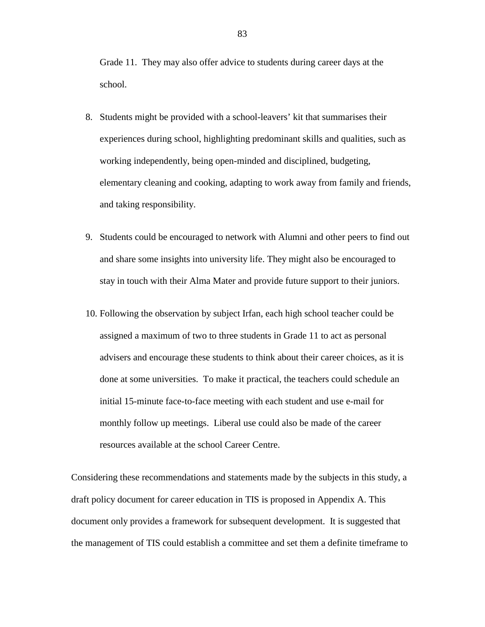Grade 11. They may also offer advice to students during career days at the school.

- 8. Students might be provided with a school-leavers' kit that summarises their experiences during school, highlighting predominant skills and qualities, such as working independently, being open-minded and disciplined, budgeting, elementary cleaning and cooking, adapting to work away from family and friends, and taking responsibility.
- 9. Students could be encouraged to network with Alumni and other peers to find out and share some insights into university life. They might also be encouraged to stay in touch with their Alma Mater and provide future support to their juniors.
- 10. Following the observation by subject Irfan, each high school teacher could be assigned a maximum of two to three students in Grade 11 to act as personal advisers and encourage these students to think about their career choices, as it is done at some universities. To make it practical, the teachers could schedule an initial 15-minute face-to-face meeting with each student and use e-mail for monthly follow up meetings. Liberal use could also be made of the career resources available at the school Career Centre.

Considering these recommendations and statements made by the subjects in this study, a draft policy document for career education in TIS is proposed in Appendix A. This document only provides a framework for subsequent development. It is suggested that the management of TIS could establish a committee and set them a definite timeframe to

83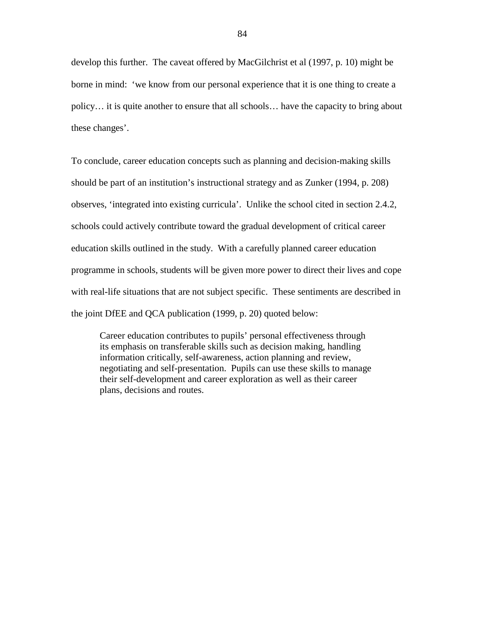develop this further. The caveat offered by MacGilchrist et al (1997, p. 10) might be borne in mind: 'we know from our personal experience that it is one thing to create a policy… it is quite another to ensure that all schools… have the capacity to bring about these changes'.

To conclude, career education concepts such as planning and decision-making skills should be part of an institution's instructional strategy and as Zunker (1994, p. 208) observes, 'integrated into existing curricula'. Unlike the school cited in section 2.4.2, schools could actively contribute toward the gradual development of critical career education skills outlined in the study. With a carefully planned career education programme in schools, students will be given more power to direct their lives and cope with real-life situations that are not subject specific. These sentiments are described in the joint DfEE and QCA publication (1999, p. 20) quoted below:

Career education contributes to pupils' personal effectiveness through its emphasis on transferable skills such as decision making, handling information critically, self-awareness, action planning and review, negotiating and self-presentation. Pupils can use these skills to manage their self-development and career exploration as well as their career plans, decisions and routes.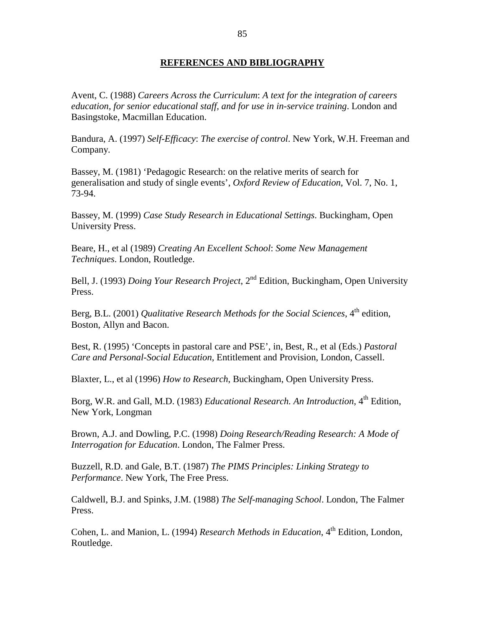#### **REFERENCES AND BIBLIOGRAPHY**

Avent, C. (1988) *Careers Across the Curriculum*: *A text for the integration of careers education, for senior educational staff, and for use in in-service training*. London and Basingstoke, Macmillan Education.

Bandura, A. (1997) *Self-Efficacy*: *The exercise of control*. New York, W.H. Freeman and Company.

Bassey, M. (1981) 'Pedagogic Research: on the relative merits of search for generalisation and study of single events', *Oxford Review of Education*, Vol. 7, No. 1, 73-94.

Bassey, M. (1999) *Case Study Research in Educational Settings*. Buckingham, Open University Press.

Beare, H., et al (1989) *Creating An Excellent School*: *Some New Management Techniques*. London, Routledge.

Bell, J. (1993) *Doing Your Research Project*, 2<sup>nd</sup> Edition, Buckingham, Open University Press.

Berg, B.L. (2001) *Qualitative Research Methods for the Social Sciences*, 4<sup>th</sup> edition, Boston, Allyn and Bacon.

Best, R. (1995) 'Concepts in pastoral care and PSE', in, Best, R., et al (Eds.) *Pastoral Care and Personal-Social Education*, Entitlement and Provision, London, Cassell.

Blaxter, L., et al (1996) *How to Research*, Buckingham, Open University Press.

Borg, W.R. and Gall, M.D. (1983) *Educational Research. An Introduction*, 4<sup>th</sup> Edition, New York, Longman

Brown, A.J. and Dowling, P.C. (1998) *Doing Research/Reading Research: A Mode of Interrogation for Education*. London, The Falmer Press.

Buzzell, R.D. and Gale, B.T. (1987) *The PIMS Principles: Linking Strategy to Performance*. New York, The Free Press.

Caldwell, B.J. and Spinks, J.M. (1988) *The Self-managing School*. London, The Falmer Press.

Cohen, L. and Manion, L. (1994) *Research Methods in Education*, 4<sup>th</sup> Edition, London, Routledge.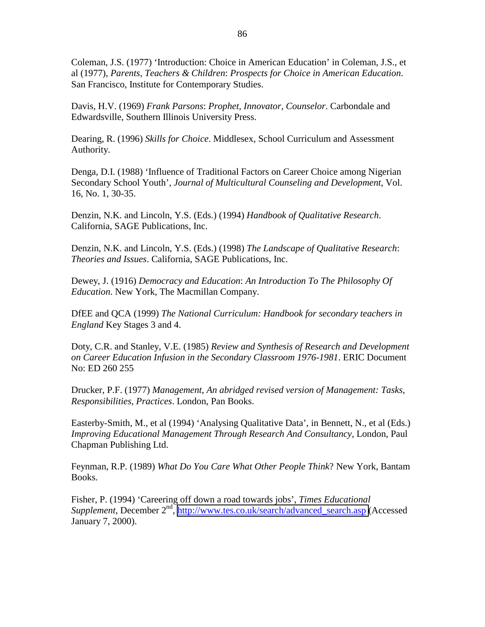Coleman, J.S. (1977) 'Introduction: Choice in American Education' in Coleman, J.S., et al (1977), *Parents, Teachers & Children*: *Prospects for Choice in American Education*. San Francisco, Institute for Contemporary Studies.

Davis, H.V. (1969) *Frank Parsons*: *Prophet, Innovator, Counselor*. Carbondale and Edwardsville, Southern Illinois University Press.

Dearing, R. (1996) *Skills for Choice*. Middlesex, School Curriculum and Assessment Authority.

Denga, D.I. (1988) 'Influence of Traditional Factors on Career Choice among Nigerian Secondary School Youth', *Journal of Multicultural Counseling and Development*, Vol. 16, No. 1, 30-35.

Denzin, N.K. and Lincoln, Y.S. (Eds.) (1994) *Handbook of Qualitative Research*. California, SAGE Publications, Inc.

Denzin, N.K. and Lincoln, Y.S. (Eds.) (1998) *The Landscape of Qualitative Research*: *Theories and Issues*. California, SAGE Publications, Inc.

Dewey, J. (1916) *Democracy and Education*: *An Introduction To The Philosophy Of Education*. New York, The Macmillan Company.

DfEE and QCA (1999) *The National Curriculum: Handbook for secondary teachers in England* Key Stages 3 and 4.

Doty, C.R. and Stanley, V.E. (1985) *Review and Synthesis of Research and Development on Career Education Infusion in the Secondary Classroom 1976-1981*. ERIC Document No: ED 260 255

Drucker, P.F. (1977) *Management*, *An abridged revised version of Management: Tasks, Responsibilities, Practices*. London, Pan Books.

Easterby-Smith, M., et al (1994) 'Analysing Qualitative Data', in Bennett, N., et al (Eds.) *Improving Educational Management Through Research And Consultancy*, London, Paul Chapman Publishing Ltd.

Feynman, R.P. (1989) *What Do You Care What Other People Think*? New York, Bantam Books.

Fisher, P. (1994) 'Careering off down a road towards jobs', *Times Educational Supplement*, December 2<sup>nd</sup>, [http://www.tes.co.uk/search/advanced\\_search.asp](http://www.tes.co.uk/search/advanced_search.asp) (Accessed January 7, 2000).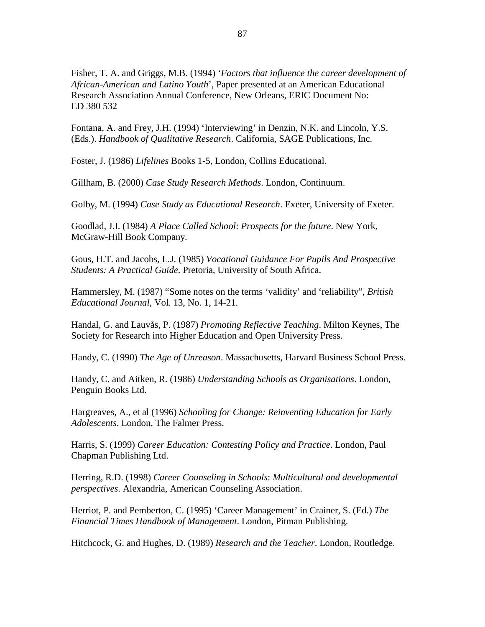Fisher, T. A. and Griggs, M.B. (1994) '*Factors that influence the career development of African-American and Latino Youth*', Paper presented at an American Educational Research Association Annual Conference, New Orleans, ERIC Document No: ED 380 532

Fontana, A. and Frey, J.H. (1994) 'Interviewing' in Denzin, N.K. and Lincoln, Y.S. (Eds.). *Handbook of Qualitative Research*. California, SAGE Publications, Inc.

Foster, J. (1986) *Lifelines* Books 1-5, London, Collins Educational.

Gillham, B. (2000) *Case Study Research Methods*. London, Continuum.

Golby, M. (1994) *Case Study as Educational Research*. Exeter, University of Exeter.

Goodlad, J.I. (1984) *A Place Called School*: *Prospects for the future*. New York, McGraw-Hill Book Company.

Gous, H.T. and Jacobs, L.J. (1985) *Vocational Guidance For Pupils And Prospective Students: A Practical Guide*. Pretoria, University of South Africa.

Hammersley, M. (1987) "Some notes on the terms 'validity' and 'reliability", *British Educational Journal*, Vol. 13, No. 1, 14-21.

Handal, G. and Lauvås, P. (1987) *Promoting Reflective Teaching*. Milton Keynes, The Society for Research into Higher Education and Open University Press.

Handy, C. (1990) *The Age of Unreason*. Massachusetts, Harvard Business School Press.

Handy, C. and Aitken, R. (1986) *Understanding Schools as Organisations*. London, Penguin Books Ltd.

Hargreaves, A., et al (1996) *Schooling for Change: Reinventing Education for Early Adolescents*. London, The Falmer Press.

Harris, S. (1999) *Career Education: Contesting Policy and Practice*. London, Paul Chapman Publishing Ltd.

Herring, R.D. (1998) *Career Counseling in Schools*: *Multicultural and developmental perspectives*. Alexandria, American Counseling Association.

Herriot, P. and Pemberton, C. (1995) 'Career Management' in Crainer, S. (Ed.) *The Financial Times Handbook of Management*. London, Pitman Publishing.

Hitchcock, G. and Hughes, D. (1989) *Research and the Teacher*. London, Routledge.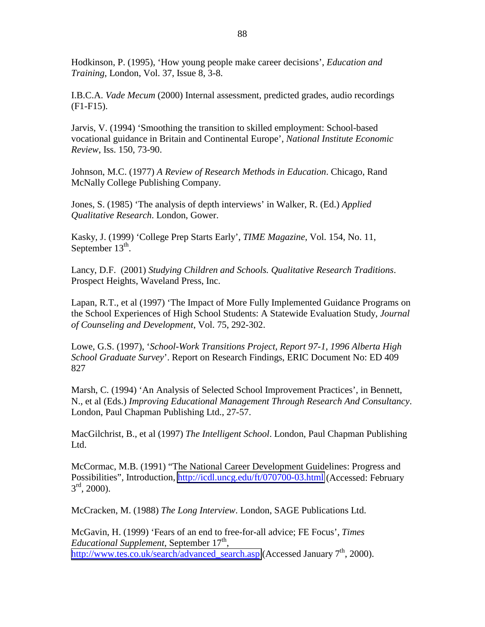Hodkinson, P. (1995), 'How young people make career decisions', *Education and Training*, London, Vol. 37, Issue 8, 3-8.

I.B.C.A. *Vade Mecum* (2000) Internal assessment, predicted grades, audio recordings (F1-F15).

Jarvis, V. (1994) 'Smoothing the transition to skilled employment: School-based vocational guidance in Britain and Continental Europe', *National Institute Economic Review*, Iss. 150, 73-90.

Johnson, M.C. (1977) *A Review of Research Methods in Education*. Chicago, Rand McNally College Publishing Company.

Jones, S. (1985) 'The analysis of depth interviews' in Walker, R. (Ed.) *Applied Qualitative Research*. London, Gower.

Kasky, J. (1999) 'College Prep Starts Early', *TIME Magazine*, Vol. 154, No. 11, September  $13<sup>th</sup>$ .

Lancy, D.F. (2001) *Studying Children and Schools. Qualitative Research Traditions*. Prospect Heights, Waveland Press, Inc.

Lapan, R.T., et al (1997) 'The Impact of More Fully Implemented Guidance Programs on the School Experiences of High School Students: A Statewide Evaluation Study, *Journal of Counseling and Development*, Vol. 75, 292-302.

Lowe, G.S. (1997), '*School-Work Transitions Project, Report 97-1, 1996 Alberta High School Graduate Survey*'. Report on Research Findings, ERIC Document No: ED 409 827

Marsh, C. (1994) 'An Analysis of Selected School Improvement Practices', in Bennett, N., et al (Eds.) *Improving Educational Management Through Research And Consultancy*. London, Paul Chapman Publishing Ltd., 27-57.

MacGilchrist, B., et al (1997) *The Intelligent School*. London, Paul Chapman Publishing Ltd.

McCormac, M.B. (1991) "The National Career Development Guidelines: Progress and Possibilities", Introduction,<http://icdl.uncg.edu/ft/070700-03.html>(Accessed: February  $3^{\text{rd}}$ , 2000).

McCracken, M. (1988) *The Long Interview*. London, SAGE Publications Ltd.

McGavin, H. (1999) 'Fears of an end to free-for-all advice; FE Focus', *Times Educational Supplement*, September 17<sup>th</sup>, [http://www.tes.co.uk/search/advanced\\_search.asp](http://www.tes.co.uk/search/advanced_search.asp) (Accessed January  $7<sup>th</sup>$ , 2000).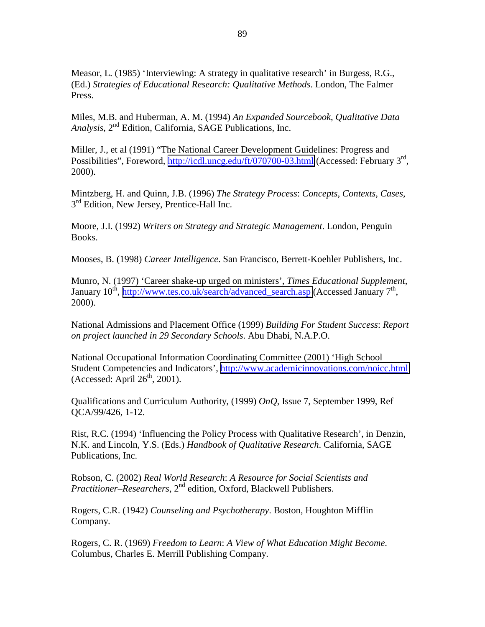Measor, L. (1985) 'Interviewing: A strategy in qualitative research' in Burgess, R.G., (Ed.) *Strategies of Educational Research: Qualitative Methods*. London, The Falmer Press.

Miles, M.B. and Huberman, A. M. (1994) *An Expanded Sourcebook*, *Qualitative Data Analysis*, 2nd Edition, California, SAGE Publications, Inc.

Miller, J., et al (1991) "The National Career Development Guidelines: Progress and Possibilities", Foreword, <http://icdl.uncg.edu/ft/070700-03.html>(Accessed: February 3<sup>rd</sup>, 2000).

Mintzberg, H. and Quinn, J.B. (1996) *The Strategy Process*: *Concepts, Contexts, Cases*,  $3<sup>rd</sup>$  Edition, New Jersey, Prentice-Hall Inc.

Moore, J.I. (1992) *Writers on Strategy and Strategic Management*. London, Penguin Books.

Mooses, B. (1998) *Career Intelligence*. San Francisco, Berrett-Koehler Publishers, Inc.

Munro, N. (1997) 'Career shake-up urged on ministers', *Times Educational Supplement*, January 10<sup>th</sup>, http://www.tes.co.uk/search/advanced search.asp (Accessed January  $7<sup>th</sup>$ , 2000).

National Admissions and Placement Office (1999) *Building For Student Success*: *Report on project launched in 29 Secondary Schools*. Abu Dhabi, N.A.P.O.

National Occupational Information Coordinating Committee (2001) 'High School Student Competencies and Indicators', <http://www.academicinnovations.com/noicc.html> (Accessed: April  $26<sup>th</sup>$ , 2001).

Qualifications and Curriculum Authority, (1999) *OnQ*, Issue 7, September 1999, Ref QCA/99/426, 1-12.

Rist, R.C. (1994) 'Influencing the Policy Process with Qualitative Research', in Denzin, N.K. and Lincoln, Y.S. (Eds.) *Handbook of Qualitative Research*. California, SAGE Publications, Inc.

Robson, C. (2002) *Real World Research*: *A Resource for Social Scientists and Practitioner–Researchers*, 2nd edition, Oxford, Blackwell Publishers.

Rogers, C.R. (1942) *Counseling and Psychotherapy*. Boston, Houghton Mifflin Company.

Rogers, C. R. (1969) *Freedom to Learn*: *A View of What Education Might Become*. Columbus, Charles E. Merrill Publishing Company.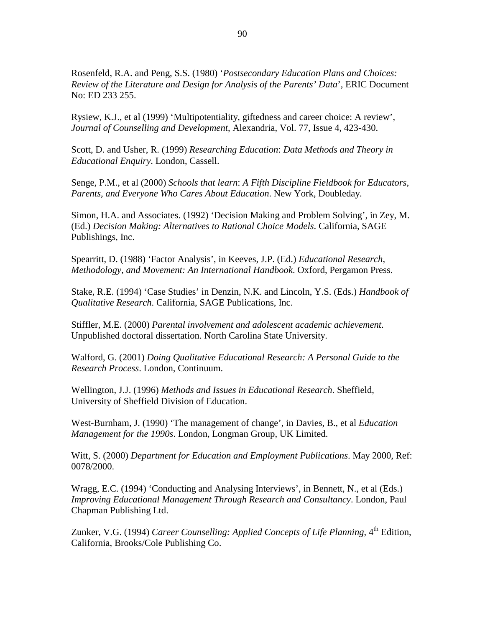Rosenfeld, R.A. and Peng, S.S. (1980) '*Postsecondary Education Plans and Choices: Review of the Literature and Design for Analysis of the Parents' Data*', ERIC Document No: ED 233 255.

Rysiew, K.J., et al (1999) 'Multipotentiality, giftedness and career choice: A review', *Journal of Counselling and Development*, Alexandria, Vol. 77, Issue 4, 423-430.

Scott, D. and Usher, R. (1999) *Researching Education*: *Data Methods and Theory in Educational Enquiry*. London, Cassell.

Senge, P.M., et al (2000) *Schools that learn*: *A Fifth Discipline Fieldbook for Educators, Parents, and Everyone Who Cares About Education*. New York, Doubleday.

Simon, H.A. and Associates. (1992) 'Decision Making and Problem Solving', in Zey, M. (Ed.) *Decision Making: Alternatives to Rational Choice Models*. California, SAGE Publishings, Inc.

Spearritt, D. (1988) 'Factor Analysis', in Keeves, J.P. (Ed.) *Educational Research, Methodology, and Movement: An International Handbook*. Oxford, Pergamon Press.

Stake, R.E. (1994) 'Case Studies' in Denzin, N.K. and Lincoln, Y.S. (Eds.) *Handbook of Qualitative Research*. California, SAGE Publications, Inc.

Stiffler, M.E. (2000) *Parental involvement and adolescent academic achievement*. Unpublished doctoral dissertation. North Carolina State University.

Walford, G. (2001) *Doing Qualitative Educational Research: A Personal Guide to the Research Process*. London, Continuum.

Wellington, J.J. (1996) *Methods and Issues in Educational Research*. Sheffield, University of Sheffield Division of Education.

West-Burnham, J. (1990) 'The management of change', in Davies, B., et al *Education Management for the 1990s*. London, Longman Group, UK Limited.

Witt, S. (2000) *Department for Education and Employment Publications*. May 2000, Ref: 0078/2000.

Wragg, E.C. (1994) 'Conducting and Analysing Interviews', in Bennett, N., et al (Eds.) *Improving Educational Management Through Research and Consultancy*. London, Paul Chapman Publishing Ltd.

Zunker, V.G. (1994) *Career Counselling: Applied Concepts of Life Planning*, 4<sup>th</sup> Edition, California, Brooks/Cole Publishing Co.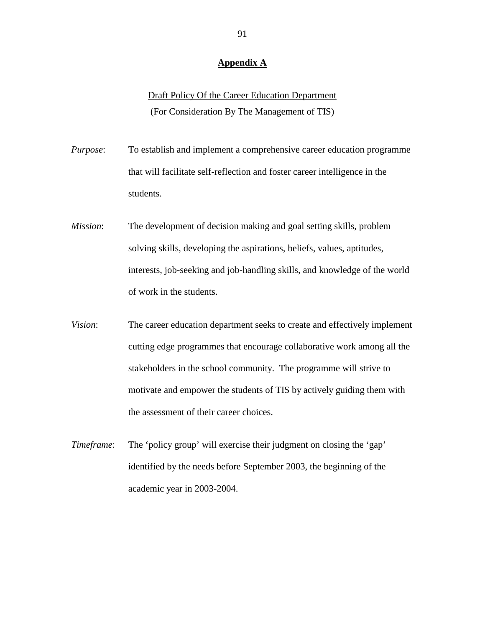#### **Appendix A**

# Draft Policy Of the Career Education Department (For Consideration By The Management of TIS)

*Purpose*: To establish and implement a comprehensive career education programme that will facilitate self-reflection and foster career intelligence in the students.

- *Mission*: The development of decision making and goal setting skills, problem solving skills, developing the aspirations, beliefs, values, aptitudes, interests, job-seeking and job-handling skills, and knowledge of the world of work in the students.
- *Vision*: The career education department seeks to create and effectively implement cutting edge programmes that encourage collaborative work among all the stakeholders in the school community. The programme will strive to motivate and empower the students of TIS by actively guiding them with the assessment of their career choices.
- *Timeframe*: The 'policy group' will exercise their judgment on closing the 'gap' identified by the needs before September 2003, the beginning of the academic year in 2003-2004.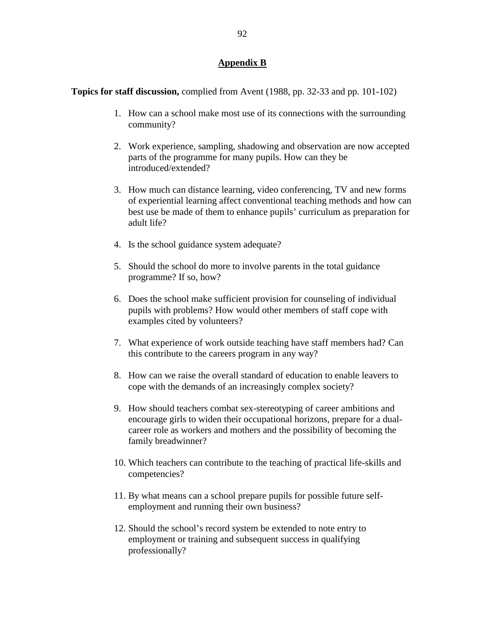## **Appendix B**

**Topics for staff discussion,** complied from Avent (1988, pp. 32-33 and pp. 101-102)

- 1. How can a school make most use of its connections with the surrounding community?
- 2. Work experience, sampling, shadowing and observation are now accepted parts of the programme for many pupils. How can they be introduced/extended?
- 3. How much can distance learning, video conferencing, TV and new forms of experiential learning affect conventional teaching methods and how can best use be made of them to enhance pupils' curriculum as preparation for adult life?
- 4. Is the school guidance system adequate?
- 5. Should the school do more to involve parents in the total guidance programme? If so, how?
- 6. Does the school make sufficient provision for counseling of individual pupils with problems? How would other members of staff cope with examples cited by volunteers?
- 7. What experience of work outside teaching have staff members had? Can this contribute to the careers program in any way?
- 8. How can we raise the overall standard of education to enable leavers to cope with the demands of an increasingly complex society?
- 9. How should teachers combat sex-stereotyping of career ambitions and encourage girls to widen their occupational horizons, prepare for a dualcareer role as workers and mothers and the possibility of becoming the family breadwinner?
- 10. Which teachers can contribute to the teaching of practical life-skills and competencies?
- 11. By what means can a school prepare pupils for possible future selfemployment and running their own business?
- 12. Should the school's record system be extended to note entry to employment or training and subsequent success in qualifying professionally?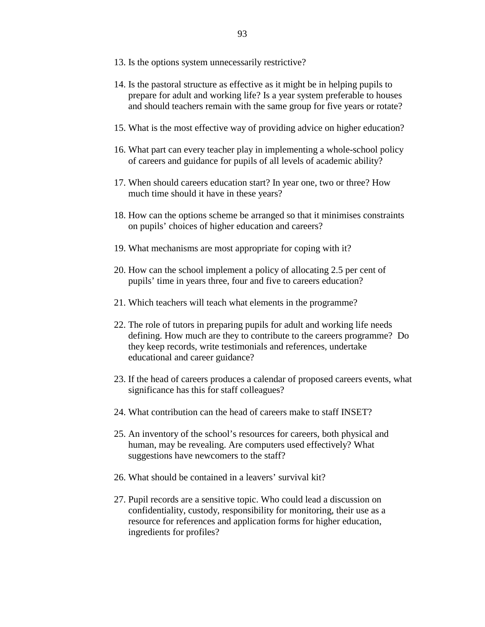- 13. Is the options system unnecessarily restrictive?
- 14. Is the pastoral structure as effective as it might be in helping pupils to prepare for adult and working life? Is a year system preferable to houses and should teachers remain with the same group for five years or rotate?
- 15. What is the most effective way of providing advice on higher education?
- 16. What part can every teacher play in implementing a whole-school policy of careers and guidance for pupils of all levels of academic ability?
- 17. When should careers education start? In year one, two or three? How much time should it have in these years?
- 18. How can the options scheme be arranged so that it minimises constraints on pupils' choices of higher education and careers?
- 19. What mechanisms are most appropriate for coping with it?
- 20. How can the school implement a policy of allocating 2.5 per cent of pupils' time in years three, four and five to careers education?
- 21. Which teachers will teach what elements in the programme?
- 22. The role of tutors in preparing pupils for adult and working life needs defining. How much are they to contribute to the careers programme? Do they keep records, write testimonials and references, undertake educational and career guidance?
- 23. If the head of careers produces a calendar of proposed careers events, what significance has this for staff colleagues?
- 24. What contribution can the head of careers make to staff INSET?
- 25. An inventory of the school's resources for careers, both physical and human, may be revealing. Are computers used effectively? What suggestions have newcomers to the staff?
- 26. What should be contained in a leavers' survival kit?
- 27. Pupil records are a sensitive topic. Who could lead a discussion on confidentiality, custody, responsibility for monitoring, their use as a resource for references and application forms for higher education, ingredients for profiles?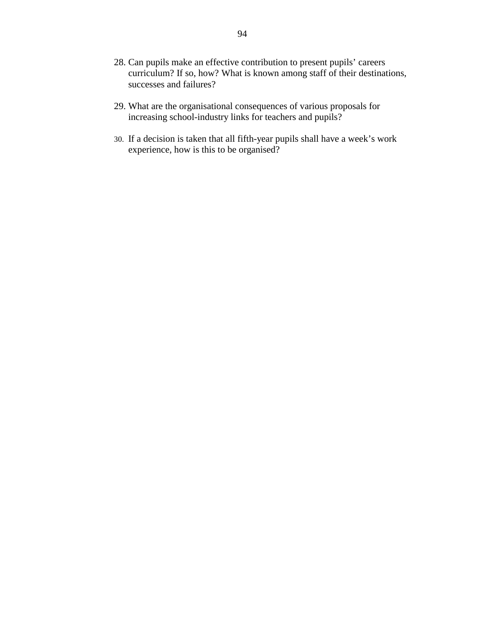- 28. Can pupils make an effective contribution to present pupils' careers curriculum? If so, how? What is known among staff of their destinations, successes and failures?
- 29. What are the organisational consequences of various proposals for increasing school-industry links for teachers and pupils?
- 30. If a decision is taken that all fifth-year pupils shall have a week's work experience, how is this to be organised?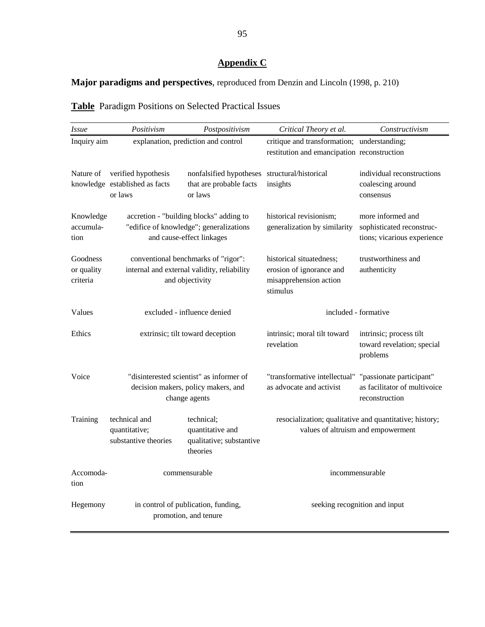# **Appendix C**

# **Major paradigms and perspectives**, reproduced from Denzin and Lincoln (1998, p. 210)

| <b>Table</b> Paradigm Positions on Selected Practical Issues |  |  |  |
|--------------------------------------------------------------|--|--|--|
|                                                              |  |  |  |

| <i>Issue</i>                       | Positivism                                                                                                      | Postpositivism                                                         | Critical Theory et al.                                                                        | Constructivism                                                                |  |
|------------------------------------|-----------------------------------------------------------------------------------------------------------------|------------------------------------------------------------------------|-----------------------------------------------------------------------------------------------|-------------------------------------------------------------------------------|--|
| Inquiry aim                        | explanation, prediction and control                                                                             |                                                                        | critique and transformation; understanding;<br>restitution and emancipation reconstruction    |                                                                               |  |
| Nature of                          | verified hypothesis<br>knowledge established as facts<br>or laws                                                | nonfalsified hypotheses<br>that are probable facts<br>or laws          | structural/historical<br>insights                                                             | individual reconstructions<br>coalescing around<br>consensus                  |  |
| Knowledge<br>accumula-<br>tion     | accretion - "building blocks" adding to<br>"edifice of knowledge"; generalizations<br>and cause-effect linkages |                                                                        | historical revisionism;<br>generalization by similarity                                       | more informed and<br>sophisticated reconstruc-<br>tions; vicarious experience |  |
| Goodness<br>or quality<br>criteria | conventional benchmarks of "rigor":<br>internal and external validity, reliability<br>and objectivity           |                                                                        | historical situatedness;<br>erosion of ignorance and<br>misapprehension action<br>stimulus    | trustworthiness and<br>authenticity                                           |  |
| Values                             | excluded - influence denied                                                                                     |                                                                        | included - formative                                                                          |                                                                               |  |
| Ethics                             | extrinsic; tilt toward deception                                                                                |                                                                        | intrinsic; moral tilt toward<br>revelation                                                    | intrinsic; process tilt<br>toward revelation; special<br>problems             |  |
| Voice                              | "disinterested scientist" as informer of<br>decision makers, policy makers, and<br>change agents                |                                                                        | "transformative intellectual" "passionate participant"<br>as advocate and activist            | as facilitator of multivoice<br>reconstruction                                |  |
| Training                           | technical and<br>quantitative;<br>substantive theories                                                          | technical;<br>quantitative and<br>qualitative; substantive<br>theories | resocialization; qualitative and quantitative; history;<br>values of altruism and empowerment |                                                                               |  |
| Accomoda-<br>tion                  | commensurable                                                                                                   |                                                                        | incommensurable                                                                               |                                                                               |  |
| Hegemony                           | in control of publication, funding,<br>promotion, and tenure                                                    |                                                                        | seeking recognition and input                                                                 |                                                                               |  |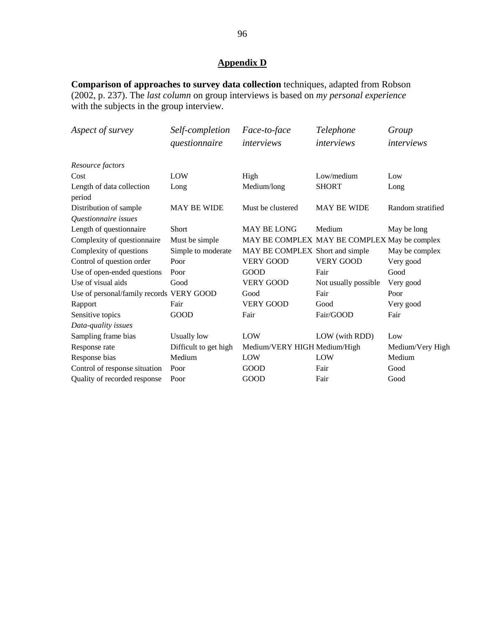# **Appendix D**

**Comparison of approaches to survey data collection** techniques, adapted from Robson (2002, p. 237). The *last column* on group interviews is based on *my personal experience*  with the subjects in the group interview*.*

| Aspect of survey                               | Self-completion<br>questionnaire | Face-to-face<br>interviews                   | Telephone<br>interviews | Group<br>interviews |
|------------------------------------------------|----------------------------------|----------------------------------------------|-------------------------|---------------------|
| Resource factors                               |                                  |                                              |                         |                     |
| Cost                                           | LOW                              | High                                         | Low/medium              | Low                 |
| Length of data collection<br>period            | Long                             | Medium/long                                  | <b>SHORT</b>            | Long                |
| Distribution of sample<br>Questionnaire issues | <b>MAY BE WIDE</b>               | Must be clustered                            | <b>MAY BE WIDE</b>      | Random stratified   |
| Length of questionnaire                        | Short                            | <b>MAY BE LONG</b>                           | Medium                  | May be long         |
| Complexity of questionnaire                    | Must be simple                   | MAY BE COMPLEX MAY BE COMPLEX May be complex |                         |                     |
| Complexity of questions                        | Simple to moderate               | MAY BE COMPLEX Short and simple              |                         | May be complex      |
| Control of question order                      | Poor                             | <b>VERY GOOD</b>                             | <b>VERY GOOD</b>        | Very good           |
| Use of open-ended questions                    | Poor                             | <b>GOOD</b>                                  | Fair                    | Good                |
| Use of visual aids                             | Good                             | <b>VERY GOOD</b>                             | Not usually possible    | Very good           |
| Use of personal/family records VERY GOOD       |                                  | Good                                         | Fair                    | Poor                |
| Rapport                                        | Fair                             | <b>VERY GOOD</b>                             | Good                    | Very good           |
| Sensitive topics                               | GOOD                             | Fair                                         | Fair/GOOD               | Fair                |
| Data-quality issues                            |                                  |                                              |                         |                     |
| Sampling frame bias                            | <b>Usually low</b>               | LOW                                          | LOW (with RDD)          | Low                 |
| Response rate                                  | Difficult to get high            | Medium/VERY HIGH Medium/High                 |                         | Medium/Very High    |
| Response bias                                  | Medium                           | LOW                                          | LOW                     | Medium              |
| Control of response situation                  | Poor                             | GOOD                                         | Fair                    | Good                |
| Quality of recorded response                   | Poor                             | GOOD                                         | Fair                    | Good                |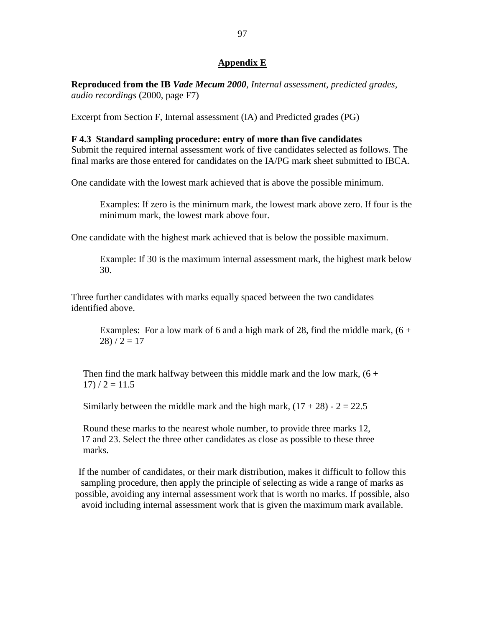### **Appendix E**

**Reproduced from the IB** *Vade Mecum 2000, Internal assessment, predicted grades, audio recordings* (2000, page F7)

Excerpt from Section F, Internal assessment (IA) and Predicted grades (PG)

#### **F 4.3 Standard sampling procedure: entry of more than five candidates**

Submit the required internal assessment work of five candidates selected as follows. The final marks are those entered for candidates on the IA/PG mark sheet submitted to IBCA.

One candidate with the lowest mark achieved that is above the possible minimum.

Examples: If zero is the minimum mark, the lowest mark above zero. If four is the minimum mark, the lowest mark above four.

One candidate with the highest mark achieved that is below the possible maximum.

Example: If 30 is the maximum internal assessment mark, the highest mark below 30.

Three further candidates with marks equally spaced between the two candidates identified above.

Examples: For a low mark of 6 and a high mark of 28, find the middle mark,  $(6 +$  $28) / 2 = 17$ 

Then find the mark halfway between this middle mark and the low mark,  $(6 +$  $17) / 2 = 11.5$ 

Similarly between the middle mark and the high mark,  $(17 + 28) - 2 = 22.5$ 

 Round these marks to the nearest whole number, to provide three marks 12, 17 and 23. Select the three other candidates as close as possible to these three marks.

If the number of candidates, or their mark distribution, makes it difficult to follow this sampling procedure, then apply the principle of selecting as wide a range of marks as possible, avoiding any internal assessment work that is worth no marks. If possible, also avoid including internal assessment work that is given the maximum mark available.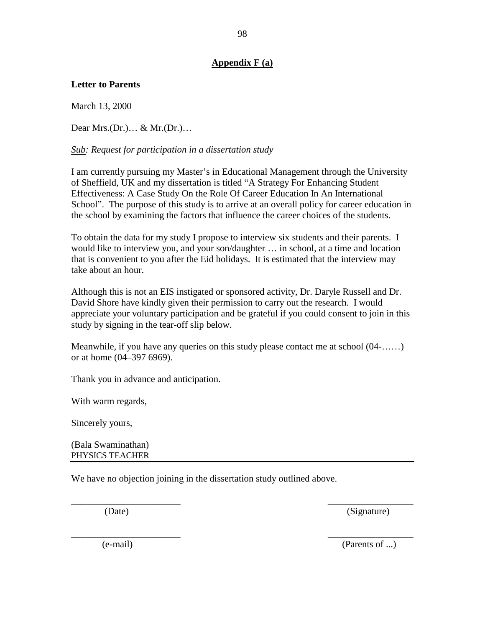## **Appendix F (a)**

## **Letter to Parents**

March 13, 2000

Dear Mrs.(Dr.)… & Mr.(Dr.)…

*Sub: Request for participation in a dissertation study* 

I am currently pursuing my Master's in Educational Management through the University of Sheffield, UK and my dissertation is titled "A Strategy For Enhancing Student Effectiveness: A Case Study On the Role Of Career Education In An International School". The purpose of this study is to arrive at an overall policy for career education in the school by examining the factors that influence the career choices of the students.

To obtain the data for my study I propose to interview six students and their parents. I would like to interview you, and your son/daughter … in school, at a time and location that is convenient to you after the Eid holidays. It is estimated that the interview may take about an hour.

Although this is not an EIS instigated or sponsored activity, Dr. Daryle Russell and Dr. David Shore have kindly given their permission to carry out the research. I would appreciate your voluntary participation and be grateful if you could consent to join in this study by signing in the tear-off slip below.

Meanwhile, if you have any queries on this study please contact me at school (04-……) or at home (04–397 6969).

 $\overline{\phantom{a}}$  , and the contract of the contract of the contract of the contract of the contract of the contract of the contract of the contract of the contract of the contract of the contract of the contract of the contrac

 $\frac{1}{2}$  ,  $\frac{1}{2}$  ,  $\frac{1}{2}$  ,  $\frac{1}{2}$  ,  $\frac{1}{2}$  ,  $\frac{1}{2}$  ,  $\frac{1}{2}$  ,  $\frac{1}{2}$  ,  $\frac{1}{2}$  ,  $\frac{1}{2}$  ,  $\frac{1}{2}$  ,  $\frac{1}{2}$  ,  $\frac{1}{2}$  ,  $\frac{1}{2}$  ,  $\frac{1}{2}$  ,  $\frac{1}{2}$  ,  $\frac{1}{2}$  ,  $\frac{1}{2}$  ,  $\frac{1$ 

Thank you in advance and anticipation.

With warm regards,

Sincerely yours,

(Bala Swaminathan) PHYSICS TEACHER

We have no objection joining in the dissertation study outlined above.

(Date) (Signature)

(e-mail) (Parents of ...)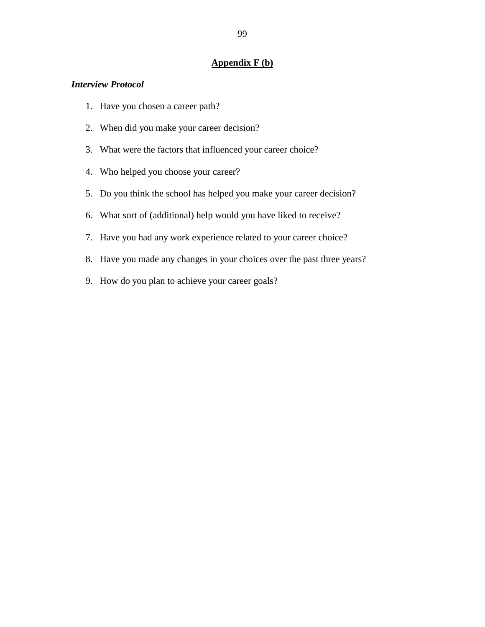## **Appendix F (b)**

#### *Interview Protocol*

- 1. Have you chosen a career path?
- 2. When did you make your career decision?
- 3. What were the factors that influenced your career choice?
- 4. Who helped you choose your career?
- 5. Do you think the school has helped you make your career decision?
- 6. What sort of (additional) help would you have liked to receive?
- 7. Have you had any work experience related to your career choice?
- 8. Have you made any changes in your choices over the past three years?
- 9. How do you plan to achieve your career goals?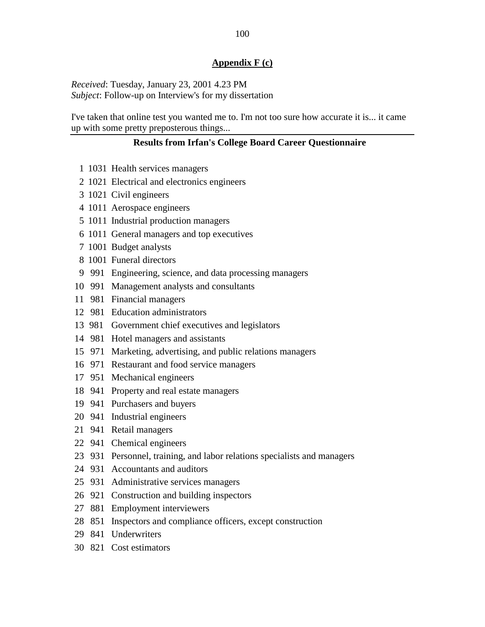#### **Appendix F (c)**

*Received*: Tuesday, January 23, 2001 4.23 PM *Subject*: Follow-up on Interview's for my dissertation

I've taken that online test you wanted me to. I'm not too sure how accurate it is... it came up with some pretty preposterous things...

#### **Results from Irfan's College Board Career Questionnaire**

- 1 1031 Health services managers
- 2 1021 Electrical and electronics engineers
- 3 1021 Civil engineers
- 4 1011 Aerospace engineers
- 5 1011 Industrial production managers
- 6 1011 General managers and top executives
- 7 1001 Budget analysts
- 8 1001 Funeral directors
- 9 991 Engineering, science, and data processing managers
- 10 991 Management analysts and consultants
- 11 981 Financial managers
- 12 981 Education administrators
- 13 981 Government chief executives and legislators
- 14 981 Hotel managers and assistants
- 15 971 Marketing, advertising, and public relations managers
- 16 971 Restaurant and food service managers
- 17 951 Mechanical engineers
- 18 941 Property and real estate managers
- 19 941 Purchasers and buyers
- 20 941 Industrial engineers
- 21 941 Retail managers
- 22 941 Chemical engineers
- 23 931 Personnel, training, and labor relations specialists and managers
- 24 931 Accountants and auditors
- 25 931 Administrative services managers
- 26 921 Construction and building inspectors
- 27 881 Employment interviewers
- 28 851 Inspectors and compliance officers, except construction
- 29 841 Underwriters
- 30 821 Cost estimators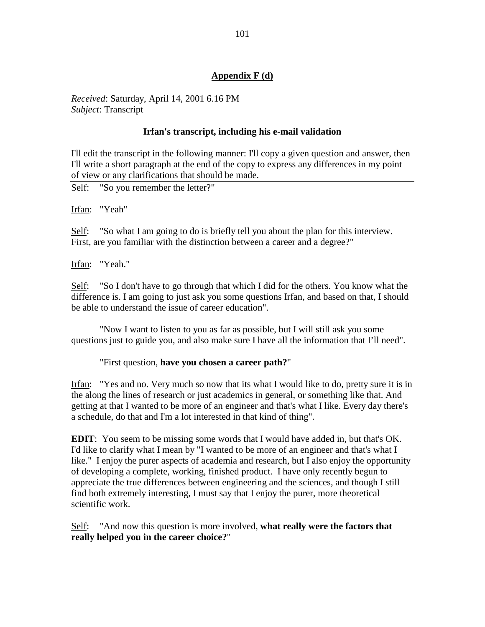## **Appendix F (d)**

*Received*: Saturday, April 14, 2001 6.16 PM *Subject*: Transcript

#### **Irfan's transcript, including his e-mail validation**

I'll edit the transcript in the following manner: I'll copy a given question and answer, then I'll write a short paragraph at the end of the copy to express any differences in my point of view or any clarifications that should be made.

Self: "So you remember the letter?"

Irfan: "Yeah"

Self: "So what I am going to do is briefly tell you about the plan for this interview. First, are you familiar with the distinction between a career and a degree?"

Irfan: "Yeah."

Self: "So I don't have to go through that which I did for the others. You know what the difference is. I am going to just ask you some questions Irfan, and based on that, I should be able to understand the issue of career education".

"Now I want to listen to you as far as possible, but I will still ask you some questions just to guide you, and also make sure I have all the information that I'll need".

"First question, **have you chosen a career path?**"

Irfan: "Yes and no. Very much so now that its what I would like to do, pretty sure it is in the along the lines of research or just academics in general, or something like that. And getting at that I wanted to be more of an engineer and that's what I like. Every day there's a schedule, do that and I'm a lot interested in that kind of thing".

**EDIT**: You seem to be missing some words that I would have added in, but that's OK. I'd like to clarify what I mean by "I wanted to be more of an engineer and that's what I like." I enjoy the purer aspects of academia and research, but I also enjoy the opportunity of developing a complete, working, finished product. I have only recently begun to appreciate the true differences between engineering and the sciences, and though I still find both extremely interesting, I must say that I enjoy the purer, more theoretical scientific work.

Self: "And now this question is more involved, **what really were the factors that really helped you in the career choice?**"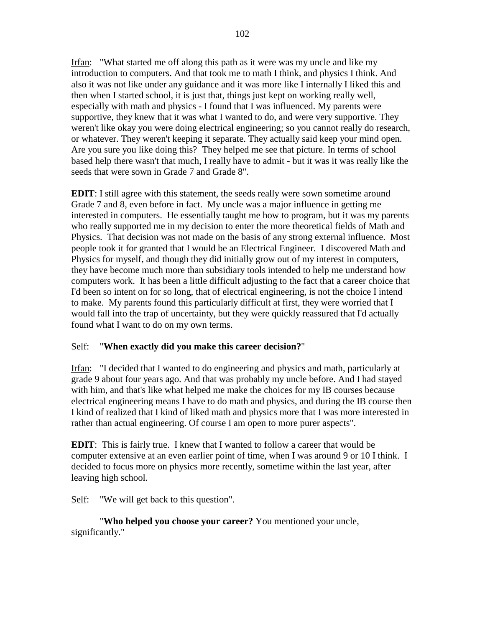Irfan: "What started me off along this path as it were was my uncle and like my introduction to computers. And that took me to math I think, and physics I think. And also it was not like under any guidance and it was more like I internally I liked this and then when I started school, it is just that, things just kept on working really well, especially with math and physics - I found that I was influenced. My parents were supportive, they knew that it was what I wanted to do, and were very supportive. They weren't like okay you were doing electrical engineering; so you cannot really do research, or whatever. They weren't keeping it separate. They actually said keep your mind open. Are you sure you like doing this? They helped me see that picture. In terms of school based help there wasn't that much, I really have to admit - but it was it was really like the seeds that were sown in Grade 7 and Grade 8".

**EDIT**: I still agree with this statement, the seeds really were sown sometime around Grade 7 and 8, even before in fact. My uncle was a major influence in getting me interested in computers. He essentially taught me how to program, but it was my parents who really supported me in my decision to enter the more theoretical fields of Math and Physics. That decision was not made on the basis of any strong external influence. Most people took it for granted that I would be an Electrical Engineer. I discovered Math and Physics for myself, and though they did initially grow out of my interest in computers, they have become much more than subsidiary tools intended to help me understand how computers work. It has been a little difficult adjusting to the fact that a career choice that I'd been so intent on for so long, that of electrical engineering, is not the choice I intend to make. My parents found this particularly difficult at first, they were worried that I would fall into the trap of uncertainty, but they were quickly reassured that I'd actually found what I want to do on my own terms.

## Self: "**When exactly did you make this career decision?**"

Irfan: "I decided that I wanted to do engineering and physics and math, particularly at grade 9 about four years ago. And that was probably my uncle before. And I had stayed with him, and that's like what helped me make the choices for my IB courses because electrical engineering means I have to do math and physics, and during the IB course then I kind of realized that I kind of liked math and physics more that I was more interested in rather than actual engineering. Of course I am open to more purer aspects".

**EDIT**: This is fairly true. I knew that I wanted to follow a career that would be computer extensive at an even earlier point of time, when I was around 9 or 10 I think. I decided to focus more on physics more recently, sometime within the last year, after leaving high school.

Self: "We will get back to this question".

"**Who helped you choose your career?** You mentioned your uncle, significantly."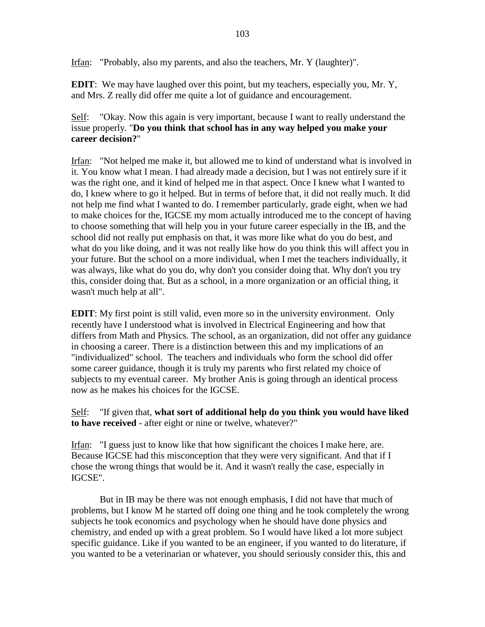Irfan: "Probably, also my parents, and also the teachers, Mr. Y (laughter)".

**EDIT**: We may have laughed over this point, but my teachers, especially you, Mr. Y, and Mrs. Z really did offer me quite a lot of guidance and encouragement.

## Self: "Okay. Now this again is very important, because I want to really understand the issue properly. "**Do you think that school has in any way helped you make your career decision?**"

Irfan: "Not helped me make it, but allowed me to kind of understand what is involved in it. You know what I mean. I had already made a decision, but I was not entirely sure if it was the right one, and it kind of helped me in that aspect. Once I knew what I wanted to do, I knew where to go it helped. But in terms of before that, it did not really much. It did not help me find what I wanted to do. I remember particularly, grade eight, when we had to make choices for the, IGCSE my mom actually introduced me to the concept of having to choose something that will help you in your future career especially in the IB, and the school did not really put emphasis on that, it was more like what do you do best, and what do you like doing, and it was not really like how do you think this will affect you in your future. But the school on a more individual, when I met the teachers individually, it was always, like what do you do, why don't you consider doing that. Why don't you try this, consider doing that. But as a school, in a more organization or an official thing, it wasn't much help at all".

**EDIT**: My first point is still valid, even more so in the university environment. Only recently have I understood what is involved in Electrical Engineering and how that differs from Math and Physics. The school, as an organization, did not offer any guidance in choosing a career. There is a distinction between this and my implications of an "individualized" school. The teachers and individuals who form the school did offer some career guidance, though it is truly my parents who first related my choice of subjects to my eventual career. My brother Anis is going through an identical process now as he makes his choices for the IGCSE.

## Self: "If given that, **what sort of additional help do you think you would have liked to have received** - after eight or nine or twelve, whatever?"

Irfan: "I guess just to know like that how significant the choices I make here, are. Because IGCSE had this misconception that they were very significant. And that if I chose the wrong things that would be it. And it wasn't really the case, especially in IGCSE".

But in IB may be there was not enough emphasis, I did not have that much of problems, but I know M he started off doing one thing and he took completely the wrong subjects he took economics and psychology when he should have done physics and chemistry, and ended up with a great problem. So I would have liked a lot more subject specific guidance. Like if you wanted to be an engineer, if you wanted to do literature, if you wanted to be a veterinarian or whatever, you should seriously consider this, this and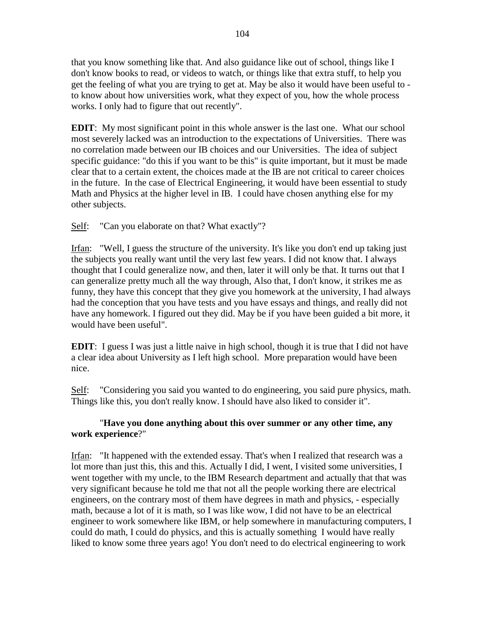that you know something like that. And also guidance like out of school, things like I don't know books to read, or videos to watch, or things like that extra stuff, to help you get the feeling of what you are trying to get at. May be also it would have been useful to to know about how universities work, what they expect of you, how the whole process works. I only had to figure that out recently".

**EDIT**: My most significant point in this whole answer is the last one. What our school most severely lacked was an introduction to the expectations of Universities. There was no correlation made between our IB choices and our Universities. The idea of subject specific guidance: "do this if you want to be this" is quite important, but it must be made clear that to a certain extent, the choices made at the IB are not critical to career choices in the future. In the case of Electrical Engineering, it would have been essential to study Math and Physics at the higher level in IB. I could have chosen anything else for my other subjects.

Self: "Can you elaborate on that? What exactly"?

Irfan: "Well, I guess the structure of the university. It's like you don't end up taking just the subjects you really want until the very last few years. I did not know that. I always thought that I could generalize now, and then, later it will only be that. It turns out that I can generalize pretty much all the way through, Also that, I don't know, it strikes me as funny, they have this concept that they give you homework at the university, I had always had the conception that you have tests and you have essays and things, and really did not have any homework. I figured out they did. May be if you have been guided a bit more, it would have been useful".

**EDIT**: I guess I was just a little naive in high school, though it is true that I did not have a clear idea about University as I left high school. More preparation would have been nice.

Self: "Considering you said you wanted to do engineering, you said pure physics, math. Things like this, you don't really know. I should have also liked to consider it".

## "**Have you done anything about this over summer or any other time, any work experience**?"

Irfan: "It happened with the extended essay. That's when I realized that research was a lot more than just this, this and this. Actually I did, I went, I visited some universities, I went together with my uncle, to the IBM Research department and actually that that was very significant because he told me that not all the people working there are electrical engineers, on the contrary most of them have degrees in math and physics, - especially math, because a lot of it is math, so I was like wow, I did not have to be an electrical engineer to work somewhere like IBM, or help somewhere in manufacturing computers, I could do math, I could do physics, and this is actually something I would have really liked to know some three years ago! You don't need to do electrical engineering to work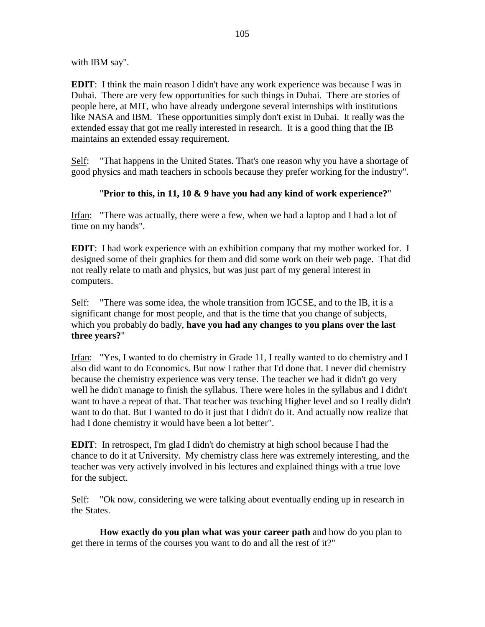with IBM say".

**EDIT**: I think the main reason I didn't have any work experience was because I was in Dubai. There are very few opportunities for such things in Dubai. There are stories of people here, at MIT, who have already undergone several internships with institutions like NASA and IBM. These opportunities simply don't exist in Dubai. It really was the extended essay that got me really interested in research. It is a good thing that the IB maintains an extended essay requirement.

Self: "That happens in the United States. That's one reason why you have a shortage of good physics and math teachers in schools because they prefer working for the industry".

## "**Prior to this, in 11, 10 & 9 have you had any kind of work experience?**"

Irfan: "There was actually, there were a few, when we had a laptop and I had a lot of time on my hands".

**EDIT**: I had work experience with an exhibition company that my mother worked for. I designed some of their graphics for them and did some work on their web page. That did not really relate to math and physics, but was just part of my general interest in computers.

Self: "There was some idea, the whole transition from IGCSE, and to the IB, it is a significant change for most people, and that is the time that you change of subjects, which you probably do badly, **have you had any changes to you plans over the last three years?**"

Irfan: "Yes, I wanted to do chemistry in Grade 11, I really wanted to do chemistry and I also did want to do Economics. But now I rather that I'd done that. I never did chemistry because the chemistry experience was very tense. The teacher we had it didn't go very well he didn't manage to finish the syllabus. There were holes in the syllabus and I didn't want to have a repeat of that. That teacher was teaching Higher level and so I really didn't want to do that. But I wanted to do it just that I didn't do it. And actually now realize that had I done chemistry it would have been a lot better".

**EDIT**: In retrospect, I'm glad I didn't do chemistry at high school because I had the chance to do it at University. My chemistry class here was extremely interesting, and the teacher was very actively involved in his lectures and explained things with a true love for the subject.

Self: "Ok now, considering we were talking about eventually ending up in research in the States.

**How exactly do you plan what was your career path** and how do you plan to get there in terms of the courses you want to do and all the rest of it?"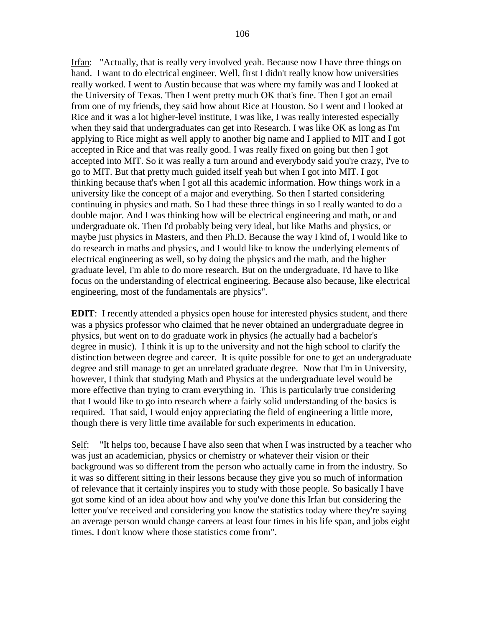Irfan: "Actually, that is really very involved yeah. Because now I have three things on hand. I want to do electrical engineer. Well, first I didn't really know how universities really worked. I went to Austin because that was where my family was and I looked at the University of Texas. Then I went pretty much OK that's fine. Then I got an email from one of my friends, they said how about Rice at Houston. So I went and I looked at Rice and it was a lot higher-level institute, I was like, I was really interested especially when they said that undergraduates can get into Research. I was like OK as long as I'm applying to Rice might as well apply to another big name and I applied to MIT and I got accepted in Rice and that was really good. I was really fixed on going but then I got accepted into MIT. So it was really a turn around and everybody said you're crazy, I've to go to MIT. But that pretty much guided itself yeah but when I got into MIT. I got thinking because that's when I got all this academic information. How things work in a university like the concept of a major and everything. So then I started considering continuing in physics and math. So I had these three things in so I really wanted to do a double major. And I was thinking how will be electrical engineering and math, or and undergraduate ok. Then I'd probably being very ideal, but like Maths and physics, or maybe just physics in Masters, and then Ph.D. Because the way I kind of, I would like to do research in maths and physics, and I would like to know the underlying elements of electrical engineering as well, so by doing the physics and the math, and the higher graduate level, I'm able to do more research. But on the undergraduate, I'd have to like focus on the understanding of electrical engineering. Because also because, like electrical engineering, most of the fundamentals are physics".

**EDIT**: I recently attended a physics open house for interested physics student, and there was a physics professor who claimed that he never obtained an undergraduate degree in physics, but went on to do graduate work in physics (he actually had a bachelor's degree in music). I think it is up to the university and not the high school to clarify the distinction between degree and career. It is quite possible for one to get an undergraduate degree and still manage to get an unrelated graduate degree. Now that I'm in University, however, I think that studying Math and Physics at the undergraduate level would be more effective than trying to cram everything in. This is particularly true considering that I would like to go into research where a fairly solid understanding of the basics is required. That said, I would enjoy appreciating the field of engineering a little more, though there is very little time available for such experiments in education.

Self: "It helps too, because I have also seen that when I was instructed by a teacher who was just an academician, physics or chemistry or whatever their vision or their background was so different from the person who actually came in from the industry. So it was so different sitting in their lessons because they give you so much of information of relevance that it certainly inspires you to study with those people. So basically I have got some kind of an idea about how and why you've done this Irfan but considering the letter you've received and considering you know the statistics today where they're saying an average person would change careers at least four times in his life span, and jobs eight times. I don't know where those statistics come from".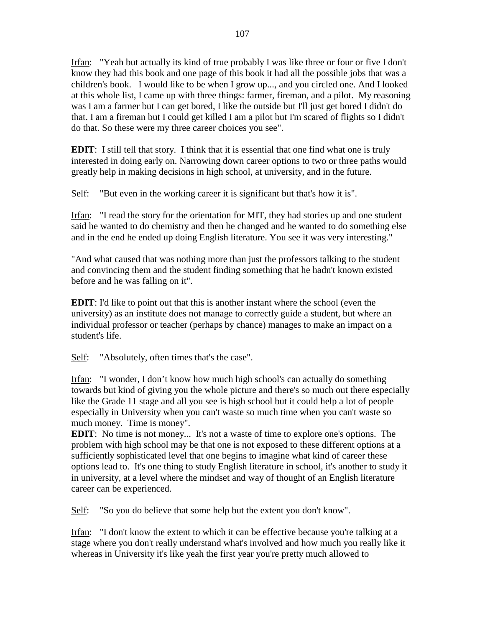Irfan: "Yeah but actually its kind of true probably I was like three or four or five I don't know they had this book and one page of this book it had all the possible jobs that was a children's book. I would like to be when I grow up..., and you circled one. And I looked at this whole list, I came up with three things: farmer, fireman, and a pilot. My reasoning was I am a farmer but I can get bored, I like the outside but I'll just get bored I didn't do that. I am a fireman but I could get killed I am a pilot but I'm scared of flights so I didn't do that. So these were my three career choices you see".

**EDIT**: I still tell that story. I think that it is essential that one find what one is truly interested in doing early on. Narrowing down career options to two or three paths would greatly help in making decisions in high school, at university, and in the future.

Self: "But even in the working career it is significant but that's how it is".

Irfan: "I read the story for the orientation for MIT, they had stories up and one student said he wanted to do chemistry and then he changed and he wanted to do something else and in the end he ended up doing English literature. You see it was very interesting."

"And what caused that was nothing more than just the professors talking to the student and convincing them and the student finding something that he hadn't known existed before and he was falling on it".

**EDIT**: I'd like to point out that this is another instant where the school (even the university) as an institute does not manage to correctly guide a student, but where an individual professor or teacher (perhaps by chance) manages to make an impact on a student's life.

Self: "Absolutely, often times that's the case".

Irfan: "I wonder, I don't know how much high school's can actually do something towards but kind of giving you the whole picture and there's so much out there especially like the Grade 11 stage and all you see is high school but it could help a lot of people especially in University when you can't waste so much time when you can't waste so much money. Time is money".

**EDIT**: No time is not money... It's not a waste of time to explore one's options. The problem with high school may be that one is not exposed to these different options at a sufficiently sophisticated level that one begins to imagine what kind of career these options lead to. It's one thing to study English literature in school, it's another to study it in university, at a level where the mindset and way of thought of an English literature career can be experienced.

Self: "So you do believe that some help but the extent you don't know".

Irfan: "I don't know the extent to which it can be effective because you're talking at a stage where you don't really understand what's involved and how much you really like it whereas in University it's like yeah the first year you're pretty much allowed to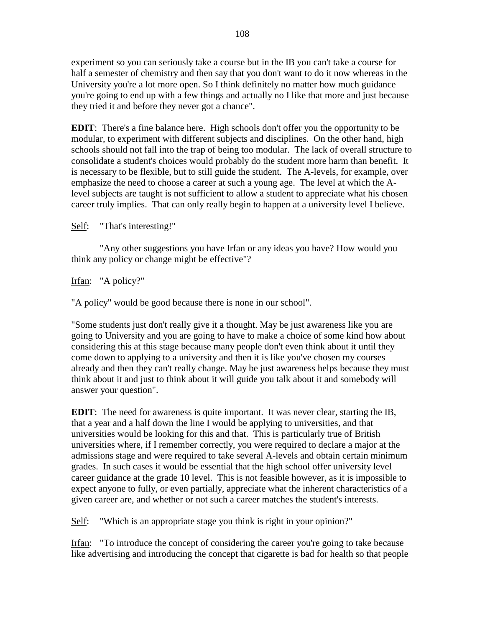experiment so you can seriously take a course but in the IB you can't take a course for half a semester of chemistry and then say that you don't want to do it now whereas in the University you're a lot more open. So I think definitely no matter how much guidance you're going to end up with a few things and actually no I like that more and just because they tried it and before they never got a chance".

**EDIT**: There's a fine balance here. High schools don't offer you the opportunity to be modular, to experiment with different subjects and disciplines. On the other hand, high schools should not fall into the trap of being too modular. The lack of overall structure to consolidate a student's choices would probably do the student more harm than benefit. It is necessary to be flexible, but to still guide the student. The A-levels, for example, over emphasize the need to choose a career at such a young age. The level at which the Alevel subjects are taught is not sufficient to allow a student to appreciate what his chosen career truly implies. That can only really begin to happen at a university level I believe.

## Self: "That's interesting!"

"Any other suggestions you have Irfan or any ideas you have? How would you think any policy or change might be effective"?

### Irfan: "A policy?"

"A policy" would be good because there is none in our school".

"Some students just don't really give it a thought. May be just awareness like you are going to University and you are going to have to make a choice of some kind how about considering this at this stage because many people don't even think about it until they come down to applying to a university and then it is like you've chosen my courses already and then they can't really change. May be just awareness helps because they must think about it and just to think about it will guide you talk about it and somebody will answer your question".

**EDIT**: The need for awareness is quite important. It was never clear, starting the IB, that a year and a half down the line I would be applying to universities, and that universities would be looking for this and that. This is particularly true of British universities where, if I remember correctly, you were required to declare a major at the admissions stage and were required to take several A-levels and obtain certain minimum grades. In such cases it would be essential that the high school offer university level career guidance at the grade 10 level. This is not feasible however, as it is impossible to expect anyone to fully, or even partially, appreciate what the inherent characteristics of a given career are, and whether or not such a career matches the student's interests.

Self: "Which is an appropriate stage you think is right in your opinion?"

Irfan: "To introduce the concept of considering the career you're going to take because like advertising and introducing the concept that cigarette is bad for health so that people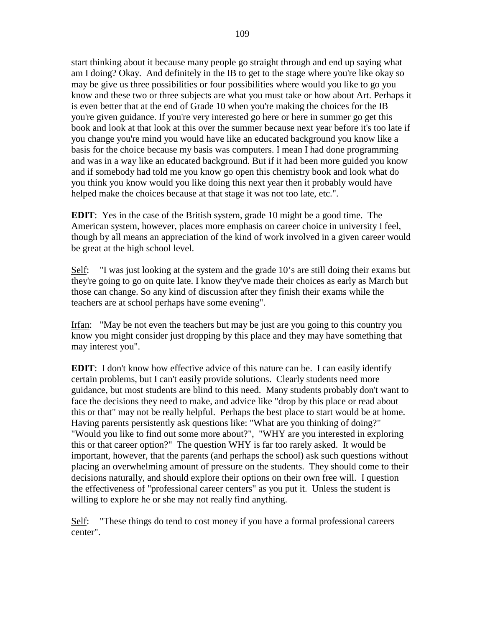start thinking about it because many people go straight through and end up saying what am I doing? Okay. And definitely in the IB to get to the stage where you're like okay so may be give us three possibilities or four possibilities where would you like to go you know and these two or three subjects are what you must take or how about Art. Perhaps it is even better that at the end of Grade 10 when you're making the choices for the IB you're given guidance. If you're very interested go here or here in summer go get this book and look at that look at this over the summer because next year before it's too late if you change you're mind you would have like an educated background you know like a basis for the choice because my basis was computers. I mean I had done programming and was in a way like an educated background. But if it had been more guided you know and if somebody had told me you know go open this chemistry book and look what do you think you know would you like doing this next year then it probably would have helped make the choices because at that stage it was not too late, etc.".

**EDIT**: Yes in the case of the British system, grade 10 might be a good time. The American system, however, places more emphasis on career choice in university I feel, though by all means an appreciation of the kind of work involved in a given career would be great at the high school level.

Self: "I was just looking at the system and the grade 10's are still doing their exams but they're going to go on quite late. I know they've made their choices as early as March but those can change. So any kind of discussion after they finish their exams while the teachers are at school perhaps have some evening".

Irfan: "May be not even the teachers but may be just are you going to this country you know you might consider just dropping by this place and they may have something that may interest you".

**EDIT**: I don't know how effective advice of this nature can be. I can easily identify certain problems, but I can't easily provide solutions. Clearly students need more guidance, but most students are blind to this need. Many students probably don't want to face the decisions they need to make, and advice like "drop by this place or read about this or that" may not be really helpful. Perhaps the best place to start would be at home. Having parents persistently ask questions like: "What are you thinking of doing?" "Would you like to find out some more about?", "WHY are you interested in exploring this or that career option?" The question WHY is far too rarely asked. It would be important, however, that the parents (and perhaps the school) ask such questions without placing an overwhelming amount of pressure on the students. They should come to their decisions naturally, and should explore their options on their own free will. I question the effectiveness of "professional career centers" as you put it. Unless the student is willing to explore he or she may not really find anything.

Self: "These things do tend to cost money if you have a formal professional careers center".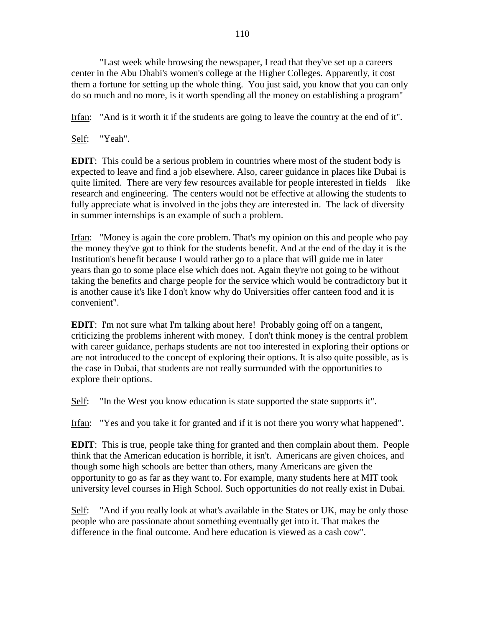"Last week while browsing the newspaper, I read that they've set up a careers center in the Abu Dhabi's women's college at the Higher Colleges. Apparently, it cost them a fortune for setting up the whole thing. You just said, you know that you can only do so much and no more, is it worth spending all the money on establishing a program"

Irfan: "And is it worth it if the students are going to leave the country at the end of it".

Self: "Yeah".

**EDIT**: This could be a serious problem in countries where most of the student body is expected to leave and find a job elsewhere. Also, career guidance in places like Dubai is quite limited. There are very few resources available for people interested in fields like research and engineering. The centers would not be effective at allowing the students to fully appreciate what is involved in the jobs they are interested in. The lack of diversity in summer internships is an example of such a problem.

Irfan: "Money is again the core problem. That's my opinion on this and people who pay the money they've got to think for the students benefit. And at the end of the day it is the Institution's benefit because I would rather go to a place that will guide me in later years than go to some place else which does not. Again they're not going to be without taking the benefits and charge people for the service which would be contradictory but it is another cause it's like I don't know why do Universities offer canteen food and it is convenient".

**EDIT**: I'm not sure what I'm talking about here! Probably going off on a tangent, criticizing the problems inherent with money. I don't think money is the central problem with career guidance, perhaps students are not too interested in exploring their options or are not introduced to the concept of exploring their options. It is also quite possible, as is the case in Dubai, that students are not really surrounded with the opportunities to explore their options.

Self: "In the West you know education is state supported the state supports it".

Irfan: "Yes and you take it for granted and if it is not there you worry what happened".

**EDIT**: This is true, people take thing for granted and then complain about them. People think that the American education is horrible, it isn't. Americans are given choices, and though some high schools are better than others, many Americans are given the opportunity to go as far as they want to. For example, many students here at MIT took university level courses in High School. Such opportunities do not really exist in Dubai.

Self: "And if you really look at what's available in the States or UK, may be only those people who are passionate about something eventually get into it. That makes the difference in the final outcome. And here education is viewed as a cash cow".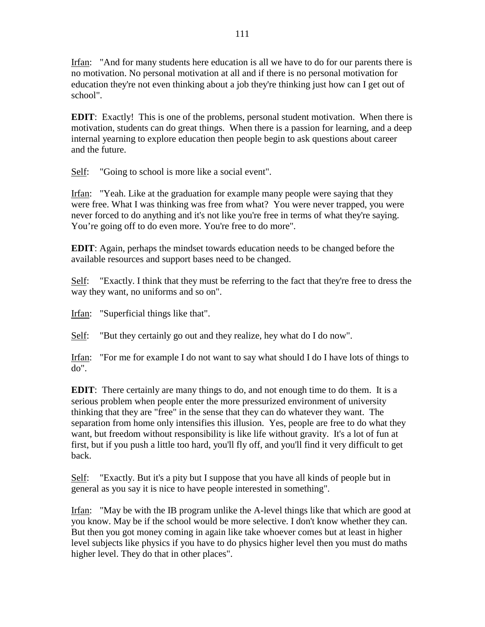Irfan: "And for many students here education is all we have to do for our parents there is no motivation. No personal motivation at all and if there is no personal motivation for education they're not even thinking about a job they're thinking just how can I get out of school".

**EDIT**: Exactly! This is one of the problems, personal student motivation. When there is motivation, students can do great things. When there is a passion for learning, and a deep internal yearning to explore education then people begin to ask questions about career and the future.

Self: "Going to school is more like a social event".

Irfan: "Yeah. Like at the graduation for example many people were saying that they were free. What I was thinking was free from what? You were never trapped, you were never forced to do anything and it's not like you're free in terms of what they're saying. You're going off to do even more. You're free to do more".

**EDIT**: Again, perhaps the mindset towards education needs to be changed before the available resources and support bases need to be changed.

Self: "Exactly. I think that they must be referring to the fact that they're free to dress the way they want, no uniforms and so on".

Irfan: "Superficial things like that".

Self: "But they certainly go out and they realize, hey what do I do now".

Irfan: "For me for example I do not want to say what should I do I have lots of things to do".

**EDIT**: There certainly are many things to do, and not enough time to do them. It is a serious problem when people enter the more pressurized environment of university thinking that they are "free" in the sense that they can do whatever they want. The separation from home only intensifies this illusion. Yes, people are free to do what they want, but freedom without responsibility is like life without gravity. It's a lot of fun at first, but if you push a little too hard, you'll fly off, and you'll find it very difficult to get back.

Self: "Exactly. But it's a pity but I suppose that you have all kinds of people but in general as you say it is nice to have people interested in something".

Irfan: "May be with the IB program unlike the A-level things like that which are good at you know. May be if the school would be more selective. I don't know whether they can. But then you got money coming in again like take whoever comes but at least in higher level subjects like physics if you have to do physics higher level then you must do maths higher level. They do that in other places".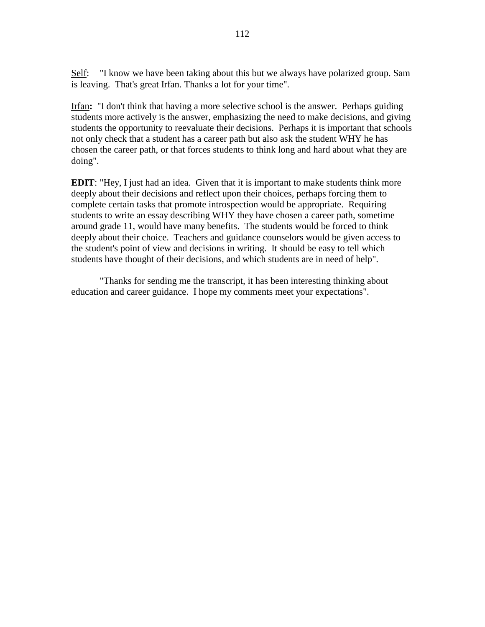Self: "I know we have been taking about this but we always have polarized group. Sam is leaving. That's great Irfan. Thanks a lot for your time".

Irfan**:** "I don't think that having a more selective school is the answer. Perhaps guiding students more actively is the answer, emphasizing the need to make decisions, and giving students the opportunity to reevaluate their decisions. Perhaps it is important that schools not only check that a student has a career path but also ask the student WHY he has chosen the career path, or that forces students to think long and hard about what they are doing".

**EDIT**: "Hey, I just had an idea. Given that it is important to make students think more deeply about their decisions and reflect upon their choices, perhaps forcing them to complete certain tasks that promote introspection would be appropriate. Requiring students to write an essay describing WHY they have chosen a career path, sometime around grade 11, would have many benefits. The students would be forced to think deeply about their choice. Teachers and guidance counselors would be given access to the student's point of view and decisions in writing. It should be easy to tell which students have thought of their decisions, and which students are in need of help".

"Thanks for sending me the transcript, it has been interesting thinking about education and career guidance. I hope my comments meet your expectations".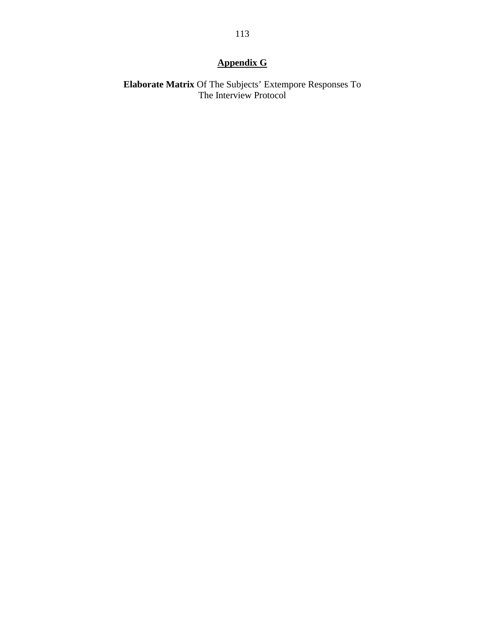# **Appendix G**

**Elaborate Matrix** Of The Subjects' Extempore Responses To The Interview Protocol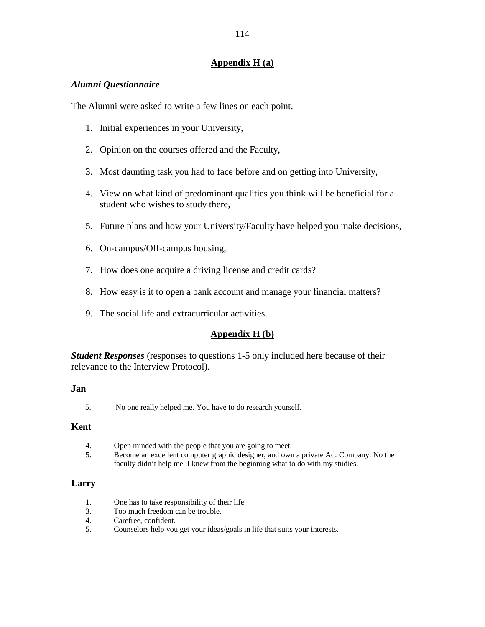# **Appendix H (a)**

# *Alumni Questionnaire*

The Alumni were asked to write a few lines on each point.

- 1. Initial experiences in your University,
- 2. Opinion on the courses offered and the Faculty,
- 3. Most daunting task you had to face before and on getting into University,
- 4. View on what kind of predominant qualities you think will be beneficial for a student who wishes to study there,
- 5. Future plans and how your University/Faculty have helped you make decisions,
- 6. On-campus/Off-campus housing,
- 7. How does one acquire a driving license and credit cards?
- 8. How easy is it to open a bank account and manage your financial matters?
- 9. The social life and extracurricular activities.

# **Appendix H (b)**

*Student Responses* (responses to questions 1-5 only included here because of their relevance to the Interview Protocol).

#### **Jan**

5. No one really helped me. You have to do research yourself.

#### **Kent**

- 4. Open minded with the people that you are going to meet.
- 5. Become an excellent computer graphic designer, and own a private Ad. Company. No the faculty didn't help me, I knew from the beginning what to do with my studies.

# **Larry**

- 1. One has to take responsibility of their life
- 3. Too much freedom can be trouble.
- 4. Carefree, confident.
- 5. Counselors help you get your ideas/goals in life that suits your interests.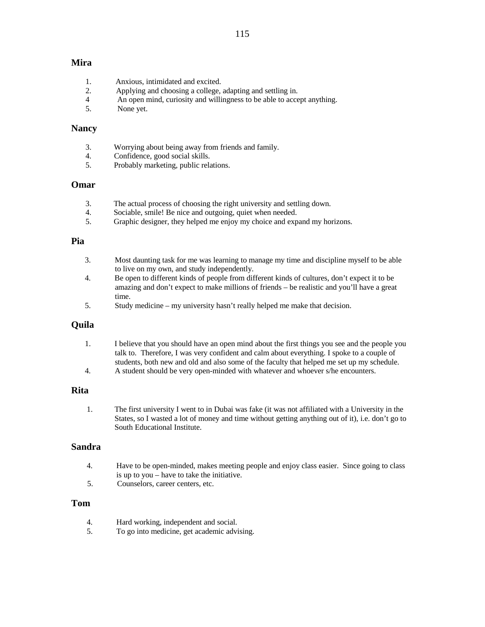#### **Mira**

- 1. Anxious, intimidated and excited.
- 2. Applying and choosing a college, adapting and settling in.
- 4 An open mind, curiosity and willingness to be able to accept anything.
- 5. None yet.

#### **Nancy**

- 3. Worrying about being away from friends and family.
- 4. Confidence, good social skills.
- 5. Probably marketing, public relations.

#### **Omar**

- 3. The actual process of choosing the right university and settling down.
- 4. Sociable, smile! Be nice and outgoing, quiet when needed.
- 5. Graphic designer, they helped me enjoy my choice and expand my horizons.

#### **Pia**

- 3. Most daunting task for me was learning to manage my time and discipline myself to be able to live on my own, and study independently. 4. Be open to different kinds of people from different kinds of cultures, don't expect it to be
- amazing and don't expect to make millions of friends be realistic and you'll have a great time.
- 5. Study medicine my university hasn't really helped me make that decision.

# **Quila**

- 1. I believe that you should have an open mind about the first things you see and the people you talk to. Therefore, I was very confident and calm about everything. I spoke to a couple of students, both new and old and also some of the faculty that helped me set up my schedule.
- 4. A student should be very open-minded with whatever and whoever s/he encounters.

#### **Rita**

1. The first university I went to in Dubai was fake (it was not affiliated with a University in the States, so I wasted a lot of money and time without getting anything out of it), i.e. don't go to South Educational Institute.

#### **Sandra**

- 4. Have to be open-minded, makes meeting people and enjoy class easier. Since going to class is up to you – have to take the initiative.
- 5. Counselors, career centers, etc.

#### **Tom**

- 4. Hard working, independent and social.
- 5. To go into medicine, get academic advising.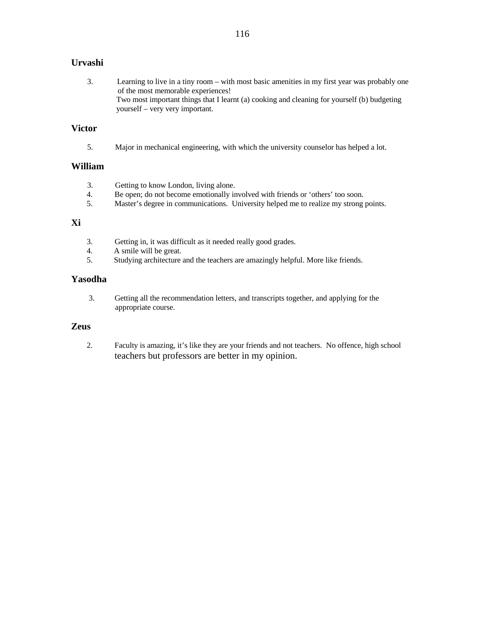# **Urvashi**

 3. Learning to live in a tiny room – with most basic amenities in my first year was probably one of the most memorable experiences! Two most important things that I learnt (a) cooking and cleaning for yourself (b) budgeting yourself – very very important.

# **Victor**

5. Major in mechanical engineering, with which the university counselor has helped a lot.

#### **William**

- 3. Getting to know London, living alone.
- 4. Be open; do not become emotionally involved with friends or 'others' too soon.
- 5. Master's degree in communications. University helped me to realize my strong points.

# **Xi**

- 3. Getting in, it was difficult as it needed really good grades.
- 4. A smile will be great.
- 5. Studying architecture and the teachers are amazingly helpful. More like friends.

# **Yasodha**

 3. Getting all the recommendation letters, and transcripts together, and applying for the appropriate course.

#### **Zeus**

2. Faculty is amazing, it's like they are your friends and not teachers. No offence, high school teachers but professors are better in my opinion.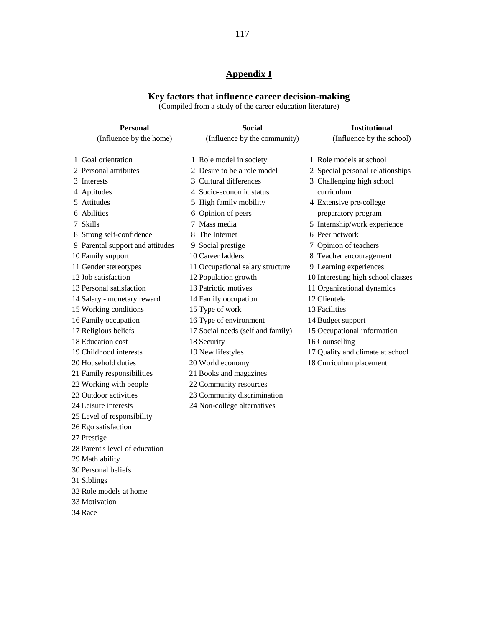# **Appendix I**

#### **Key factors that influence career decision-making**

(Compiled from a study of the career education literature)

| (Influence by the home)<br>(Influence by the community)<br>(Influence by the school)<br>1 Role models at school<br>1 Goal orientation<br>1 Role model in society<br>2 Desire to be a role model<br>2 Personal attributes<br>2 Special personal relationships<br>3 Cultural differences<br>3 Challenging high school<br>3 Interests<br>curriculum<br>4 Aptitudes<br>4 Socio-economic status<br>5 Attitudes<br>5 High family mobility<br>4 Extensive pre-college<br>6 Abilities<br>6 Opinion of peers<br>preparatory program<br>7 Mass media<br>5 Internship/work experience<br>7 Skills<br>6 Peer network<br>8 Strong self-confidence<br>8 The Internet<br>7 Opinion of teachers<br>9 Parental support and attitudes<br>9 Social prestige<br>10 Career ladders<br>10 Family support<br>8 Teacher encouragement<br>11 Gender stereotypes<br>11 Occupational salary structure<br>9 Learning experiences<br>12 Job satisfaction<br>10 Interesting high school classes<br>12 Population growth | <b>Personal</b>          | <b>Social</b>        | <b>Institutional</b>       |
|-------------------------------------------------------------------------------------------------------------------------------------------------------------------------------------------------------------------------------------------------------------------------------------------------------------------------------------------------------------------------------------------------------------------------------------------------------------------------------------------------------------------------------------------------------------------------------------------------------------------------------------------------------------------------------------------------------------------------------------------------------------------------------------------------------------------------------------------------------------------------------------------------------------------------------------------------------------------------------------------|--------------------------|----------------------|----------------------------|
|                                                                                                                                                                                                                                                                                                                                                                                                                                                                                                                                                                                                                                                                                                                                                                                                                                                                                                                                                                                           |                          |                      |                            |
|                                                                                                                                                                                                                                                                                                                                                                                                                                                                                                                                                                                                                                                                                                                                                                                                                                                                                                                                                                                           |                          |                      |                            |
|                                                                                                                                                                                                                                                                                                                                                                                                                                                                                                                                                                                                                                                                                                                                                                                                                                                                                                                                                                                           |                          |                      |                            |
|                                                                                                                                                                                                                                                                                                                                                                                                                                                                                                                                                                                                                                                                                                                                                                                                                                                                                                                                                                                           |                          |                      |                            |
|                                                                                                                                                                                                                                                                                                                                                                                                                                                                                                                                                                                                                                                                                                                                                                                                                                                                                                                                                                                           |                          |                      |                            |
|                                                                                                                                                                                                                                                                                                                                                                                                                                                                                                                                                                                                                                                                                                                                                                                                                                                                                                                                                                                           |                          |                      |                            |
|                                                                                                                                                                                                                                                                                                                                                                                                                                                                                                                                                                                                                                                                                                                                                                                                                                                                                                                                                                                           |                          |                      |                            |
|                                                                                                                                                                                                                                                                                                                                                                                                                                                                                                                                                                                                                                                                                                                                                                                                                                                                                                                                                                                           |                          |                      |                            |
|                                                                                                                                                                                                                                                                                                                                                                                                                                                                                                                                                                                                                                                                                                                                                                                                                                                                                                                                                                                           |                          |                      |                            |
|                                                                                                                                                                                                                                                                                                                                                                                                                                                                                                                                                                                                                                                                                                                                                                                                                                                                                                                                                                                           |                          |                      |                            |
|                                                                                                                                                                                                                                                                                                                                                                                                                                                                                                                                                                                                                                                                                                                                                                                                                                                                                                                                                                                           |                          |                      |                            |
|                                                                                                                                                                                                                                                                                                                                                                                                                                                                                                                                                                                                                                                                                                                                                                                                                                                                                                                                                                                           |                          |                      |                            |
|                                                                                                                                                                                                                                                                                                                                                                                                                                                                                                                                                                                                                                                                                                                                                                                                                                                                                                                                                                                           |                          |                      |                            |
|                                                                                                                                                                                                                                                                                                                                                                                                                                                                                                                                                                                                                                                                                                                                                                                                                                                                                                                                                                                           |                          |                      |                            |
|                                                                                                                                                                                                                                                                                                                                                                                                                                                                                                                                                                                                                                                                                                                                                                                                                                                                                                                                                                                           | 13 Personal satisfaction | 13 Patriotic motives | 11 Organizational dynamics |
| 12 Clientele<br>14 Salary - monetary reward<br>14 Family occupation                                                                                                                                                                                                                                                                                                                                                                                                                                                                                                                                                                                                                                                                                                                                                                                                                                                                                                                       |                          |                      |                            |
| 15 Working conditions<br>13 Facilities<br>15 Type of work                                                                                                                                                                                                                                                                                                                                                                                                                                                                                                                                                                                                                                                                                                                                                                                                                                                                                                                                 |                          |                      |                            |
| 16 Family occupation<br>16 Type of environment<br>14 Budget support                                                                                                                                                                                                                                                                                                                                                                                                                                                                                                                                                                                                                                                                                                                                                                                                                                                                                                                       |                          |                      |                            |
| 17 Religious beliefs<br>15 Occupational information<br>17 Social needs (self and family)                                                                                                                                                                                                                                                                                                                                                                                                                                                                                                                                                                                                                                                                                                                                                                                                                                                                                                  |                          |                      |                            |
| 18 Education cost<br>18 Security<br>16 Counselling                                                                                                                                                                                                                                                                                                                                                                                                                                                                                                                                                                                                                                                                                                                                                                                                                                                                                                                                        |                          |                      |                            |
| 19 Childhood interests<br>17 Quality and climate at school<br>19 New lifestyles                                                                                                                                                                                                                                                                                                                                                                                                                                                                                                                                                                                                                                                                                                                                                                                                                                                                                                           |                          |                      |                            |
| 18 Curriculum placement<br>20 Household duties<br>20 World economy                                                                                                                                                                                                                                                                                                                                                                                                                                                                                                                                                                                                                                                                                                                                                                                                                                                                                                                        |                          |                      |                            |
| 21 Family responsibilities<br>21 Books and magazines                                                                                                                                                                                                                                                                                                                                                                                                                                                                                                                                                                                                                                                                                                                                                                                                                                                                                                                                      |                          |                      |                            |
| 22 Working with people<br>22 Community resources                                                                                                                                                                                                                                                                                                                                                                                                                                                                                                                                                                                                                                                                                                                                                                                                                                                                                                                                          |                          |                      |                            |
| 23 Outdoor activities<br>23 Community discrimination                                                                                                                                                                                                                                                                                                                                                                                                                                                                                                                                                                                                                                                                                                                                                                                                                                                                                                                                      |                          |                      |                            |
| 24 Non-college alternatives<br>24 Leisure interests                                                                                                                                                                                                                                                                                                                                                                                                                                                                                                                                                                                                                                                                                                                                                                                                                                                                                                                                       |                          |                      |                            |
| 25 Level of responsibility                                                                                                                                                                                                                                                                                                                                                                                                                                                                                                                                                                                                                                                                                                                                                                                                                                                                                                                                                                |                          |                      |                            |
| 26 Ego satisfaction                                                                                                                                                                                                                                                                                                                                                                                                                                                                                                                                                                                                                                                                                                                                                                                                                                                                                                                                                                       |                          |                      |                            |
| 27 Prestige                                                                                                                                                                                                                                                                                                                                                                                                                                                                                                                                                                                                                                                                                                                                                                                                                                                                                                                                                                               |                          |                      |                            |
| 28 Parent's level of education                                                                                                                                                                                                                                                                                                                                                                                                                                                                                                                                                                                                                                                                                                                                                                                                                                                                                                                                                            |                          |                      |                            |
| 29 Math ability                                                                                                                                                                                                                                                                                                                                                                                                                                                                                                                                                                                                                                                                                                                                                                                                                                                                                                                                                                           |                          |                      |                            |
| 30 Personal beliefs                                                                                                                                                                                                                                                                                                                                                                                                                                                                                                                                                                                                                                                                                                                                                                                                                                                                                                                                                                       |                          |                      |                            |
| 31 Siblings                                                                                                                                                                                                                                                                                                                                                                                                                                                                                                                                                                                                                                                                                                                                                                                                                                                                                                                                                                               |                          |                      |                            |
| 32 Role models at home                                                                                                                                                                                                                                                                                                                                                                                                                                                                                                                                                                                                                                                                                                                                                                                                                                                                                                                                                                    |                          |                      |                            |

33 Motivation 34 Race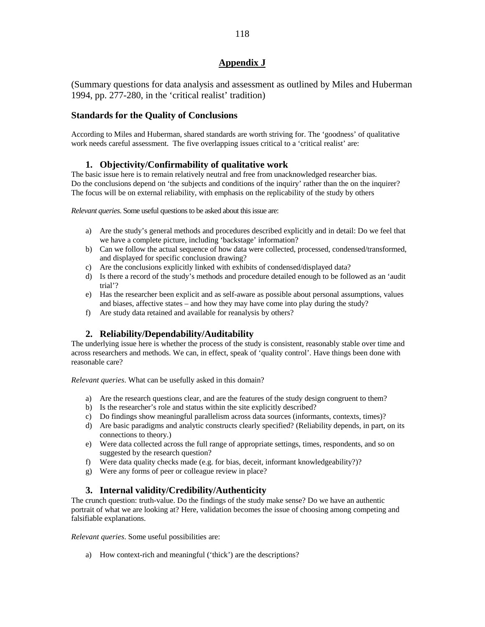# **Appendix J**

(Summary questions for data analysis and assessment as outlined by Miles and Huberman 1994, pp. 277-280, in the 'critical realist' tradition)

# **Standards for the Quality of Conclusions**

According to Miles and Huberman, shared standards are worth striving for. The 'goodness' of qualitative work needs careful assessment. The five overlapping issues critical to a 'critical realist' are:

# **1. Objectivity/Confirmability of qualitative work**

The basic issue here is to remain relatively neutral and free from unacknowledged researcher bias. Do the conclusions depend on 'the subjects and conditions of the inquiry' rather than the on the inquirer? The focus will be on external reliability, with emphasis on the replicability of the study by others

*Relevant queries*. Some useful questions to be asked about this issue are:

- a) Are the study's general methods and procedures described explicitly and in detail: Do we feel that we have a complete picture, including 'backstage' information?
- b) Can we follow the actual sequence of how data were collected, processed, condensed/transformed, and displayed for specific conclusion drawing?
- c) Are the conclusions explicitly linked with exhibits of condensed/displayed data?
- d) Is there a record of the study's methods and procedure detailed enough to be followed as an 'audit trial'?
- e) Has the researcher been explicit and as self-aware as possible about personal assumptions, values and biases, affective states – and how they may have come into play during the study?
- f) Are study data retained and available for reanalysis by others?

# **2. Reliability/Dependability/Auditability**

The underlying issue here is whether the process of the study is consistent, reasonably stable over time and across researchers and methods. We can, in effect, speak of 'quality control'. Have things been done with reasonable care?

*Relevant queries*. What can be usefully asked in this domain?

- a) Are the research questions clear, and are the features of the study design congruent to them?
- b) Is the researcher's role and status within the site explicitly described?
- c) Do findings show meaningful parallelism across data sources (informants, contexts, times)?
- d) Are basic paradigms and analytic constructs clearly specified? (Reliability depends, in part, on its connections to theory.)
- e) Were data collected across the full range of appropriate settings, times, respondents, and so on suggested by the research question?
- f) Were data quality checks made (e.g. for bias, deceit, informant knowledgeability?)?
- g) Were any forms of peer or colleague review in place?

# **3. Internal validity/Credibility/Authenticity**

The crunch question: truth-value. Do the findings of the study make sense? Do we have an authentic portrait of what we are looking at? Here, validation becomes the issue of choosing among competing and falsifiable explanations.

*Relevant queries*. Some useful possibilities are:

a) How context-rich and meaningful ('thick') are the descriptions?